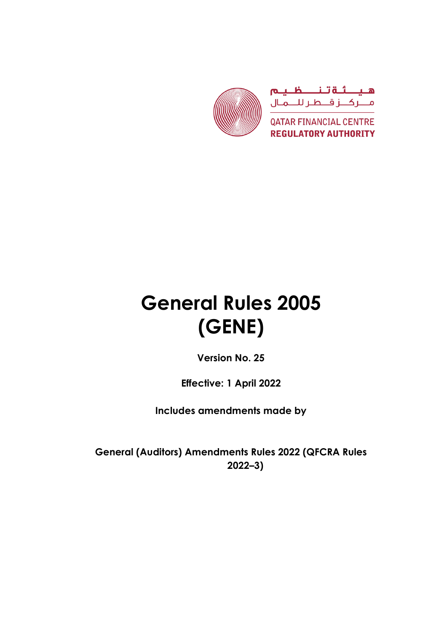

# **General Rules 2005 (GENE)**

**Version No. 25**

**Effective: 1 April 2022**

**Includes amendments made by**

**General (Auditors) Amendments Rules 2022 (QFCRA Rules 2022–3)**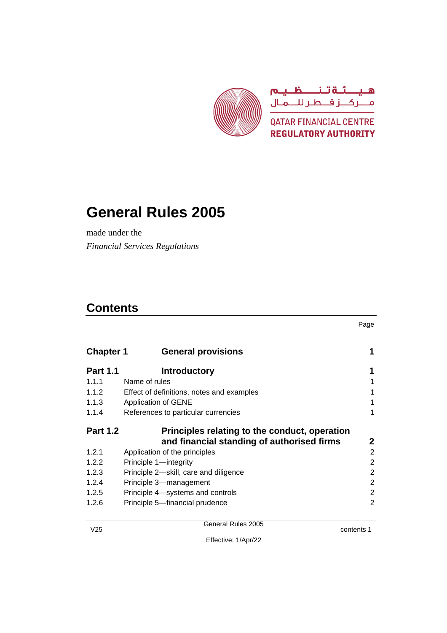

# **General Rules 2005**

made under the *Financial Services Regulations*

# **Contents**

Page

| <b>Chapter 1</b> | <b>General provisions</b>                     |                |
|------------------|-----------------------------------------------|----------------|
| <b>Part 1.1</b>  | <b>Introductory</b>                           | 1              |
| 1.1.1            | Name of rules                                 |                |
| 1.1.2            | Effect of definitions, notes and examples     |                |
| 1.1.3            | <b>Application of GENE</b>                    |                |
| 1.1.4            | References to particular currencies           | 1              |
| <b>Part 1.2</b>  | Principles relating to the conduct, operation |                |
|                  | and financial standing of authorised firms    | $\mathbf{2}$   |
| 1.2.1            | Application of the principles                 | $\overline{2}$ |
| 1.2.2            | Principle 1-integrity                         | 2              |
| 1.2.3            | Principle 2-skill, care and diligence         | 2              |
| 1.2.4            | Principle 3-management                        | 2              |
| 1.2.5            | Principle 4-systems and controls              | 2              |
| 1.2.6            | Principle 5-financial prudence                | 2              |

contents 1

Effective: 1/Apr/22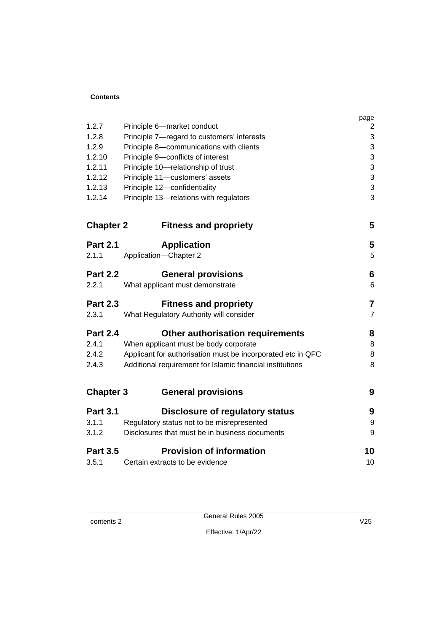|                  |                                                             | page           |
|------------------|-------------------------------------------------------------|----------------|
| 1.2.7            | Principle 6-market conduct                                  | $\overline{c}$ |
| 1.2.8            | Principle 7-regard to customers' interests                  | 3              |
| 1.2.9            | Principle 8-communications with clients                     | 3              |
| 1.2.10           | Principle 9-conflicts of interest                           | 3              |
| 1.2.11           | Principle 10-relationship of trust                          | 3              |
| 1.2.12           | Principle 11-customers' assets                              | 3              |
| 1.2.13           | Principle 12-confidentiality                                | 3              |
| 1.2.14           | Principle 13-relations with regulators                      | 3              |
| <b>Chapter 2</b> | <b>Fitness and propriety</b>                                | 5              |
| <b>Part 2.1</b>  | <b>Application</b>                                          | 5              |
| 2.1.1            | Application-Chapter 2                                       | 5              |
| <b>Part 2.2</b>  | <b>General provisions</b>                                   | 6              |
| 2.2.1            | What applicant must demonstrate                             | 6              |
| <b>Part 2.3</b>  | <b>Fitness and propriety</b>                                | $\overline{7}$ |
| 2.3.1            | What Regulatory Authority will consider                     | $\overline{7}$ |
| <b>Part 2.4</b>  | Other authorisation requirements                            | 8              |
| 2.4.1            | When applicant must be body corporate                       | 8              |
| 2.4.2            | Applicant for authorisation must be incorporated etc in QFC | 8              |
| 2.4.3            | Additional requirement for Islamic financial institutions   | 8              |
| <b>Chapter 3</b> | <b>General provisions</b>                                   | 9              |
| <b>Part 3.1</b>  | <b>Disclosure of regulatory status</b>                      | 9              |
| 3.1.1            | Regulatory status not to be misrepresented                  | 9              |
| 3.1.2            | Disclosures that must be in business documents              | 9              |
| <b>Part 3.5</b>  | <b>Provision of information</b>                             | 10             |
| 3.5.1            | Certain extracts to be evidence                             | 10             |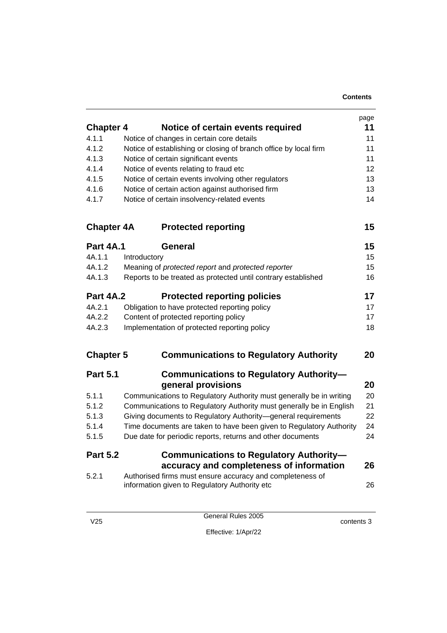|                   |                                                                                                            | page |
|-------------------|------------------------------------------------------------------------------------------------------------|------|
| <b>Chapter 4</b>  | Notice of certain events required                                                                          | 11   |
| 4.1.1             | Notice of changes in certain core details                                                                  | 11   |
| 4.1.2             | Notice of establishing or closing of branch office by local firm                                           | 11   |
| 4.1.3             | Notice of certain significant events                                                                       | 11   |
| 4.1.4             | Notice of events relating to fraud etc                                                                     | 12   |
| 4.1.5             | Notice of certain events involving other regulators                                                        | 13   |
| 4.1.6             | Notice of certain action against authorised firm                                                           | 13   |
| 4.1.7             | Notice of certain insolvency-related events                                                                | 14   |
| <b>Chapter 4A</b> | <b>Protected reporting</b>                                                                                 | 15   |
| <b>Part 4A.1</b>  | General                                                                                                    | 15   |
| 4A.1.1            | Introductory                                                                                               | 15   |
| 4A.1.2            | Meaning of protected report and protected reporter                                                         | 15   |
| 4A.1.3            | Reports to be treated as protected until contrary established                                              | 16   |
| <b>Part 4A.2</b>  | <b>Protected reporting policies</b>                                                                        | 17   |
| 4A.2.1            | Obligation to have protected reporting policy                                                              | 17   |
| 4A.2.2            | Content of protected reporting policy                                                                      | 17   |
| 4A.2.3            | Implementation of protected reporting policy                                                               | 18   |
| <b>Chapter 5</b>  | <b>Communications to Regulatory Authority</b>                                                              | 20   |
| <b>Part 5.1</b>   | <b>Communications to Regulatory Authority-</b>                                                             |      |
|                   | general provisions                                                                                         | 20   |
| 5.1.1             | Communications to Regulatory Authority must generally be in writing                                        | 20   |
| 5.1.2             | Communications to Regulatory Authority must generally be in English                                        | 21   |
| 5.1.3             | Giving documents to Regulatory Authority-general requirements                                              | 22   |
| 5.1.4             | Time documents are taken to have been given to Regulatory Authority                                        | 24   |
| 5.1.5             | Due date for periodic reports, returns and other documents                                                 | 24   |
| <b>Part 5.2</b>   | <b>Communications to Regulatory Authority-</b>                                                             |      |
|                   | accuracy and completeness of information                                                                   | 26   |
| 5.2.1             | Authorised firms must ensure accuracy and completeness of<br>information given to Regulatory Authority etc | 26   |
|                   |                                                                                                            |      |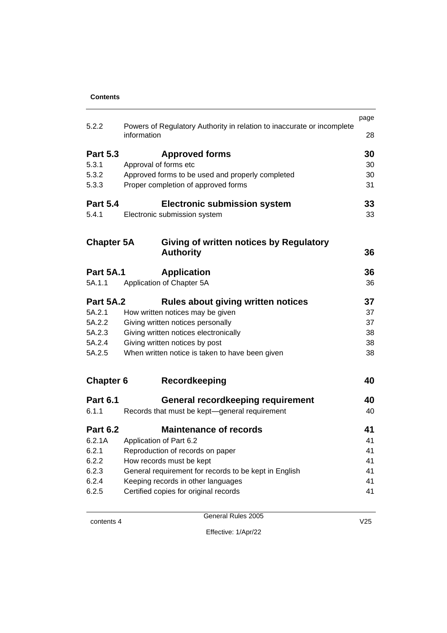|                   |                                                                                       | page |
|-------------------|---------------------------------------------------------------------------------------|------|
| 5.2.2             | Powers of Regulatory Authority in relation to inaccurate or incomplete<br>information | 28   |
| <b>Part 5.3</b>   | <b>Approved forms</b>                                                                 | 30   |
| 5.3.1             | Approval of forms etc                                                                 | 30   |
| 5.3.2             | Approved forms to be used and properly completed                                      | 30   |
| 5.3.3             | Proper completion of approved forms                                                   | 31   |
| <b>Part 5.4</b>   | <b>Electronic submission system</b>                                                   | 33   |
| 5.4.1             | Electronic submission system                                                          | 33   |
| <b>Chapter 5A</b> | Giving of written notices by Regulatory                                               |      |
|                   | <b>Authority</b>                                                                      | 36   |
| <b>Part 5A.1</b>  | <b>Application</b>                                                                    | 36   |
| 5A.1.1            | Application of Chapter 5A                                                             | 36   |
| <b>Part 5A.2</b>  | Rules about giving written notices                                                    | 37   |
| 5A.2.1            | How written notices may be given                                                      | 37   |
| 5A.2.2            | Giving written notices personally                                                     | 37   |
| 5A.2.3            | Giving written notices electronically                                                 | 38   |
| 5A.2.4            | Giving written notices by post                                                        | 38   |
| 5A.2.5            | When written notice is taken to have been given                                       | 38   |
| <b>Chapter 6</b>  | <b>Recordkeeping</b>                                                                  | 40   |
| <b>Part 6.1</b>   | <b>General recordkeeping requirement</b>                                              | 40   |
| 6.1.1             | Records that must be kept-general requirement                                         | 40   |
| <b>Part 6.2</b>   | <b>Maintenance of records</b>                                                         | 41   |
| 6.2.1A            | Application of Part 6.2                                                               | 41   |
| 6.2.1             | Reproduction of records on paper                                                      | 41   |
| 6.2.2             | How records must be kept                                                              | 41   |
| 6.2.3             | General requirement for records to be kept in English                                 | 41   |
| 6.2.4             | Keeping records in other languages                                                    | 41   |
| 6.2.5             | Certified copies for original records                                                 | 41   |
|                   |                                                                                       |      |

Effective: 1/Apr/22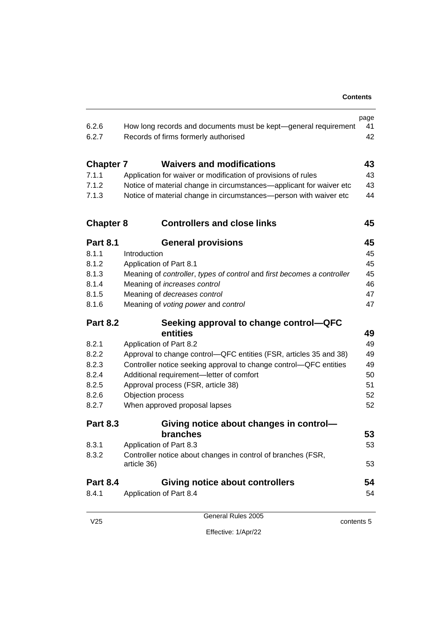| 6.2.6<br>6.2.7   | How long records and documents must be kept-general requirement<br>Records of firms formerly authorised | page<br>41<br>42 |
|------------------|---------------------------------------------------------------------------------------------------------|------------------|
| <b>Chapter 7</b> | <b>Waivers and modifications</b>                                                                        | 43               |
| 7.1.1            | Application for waiver or modification of provisions of rules                                           | 43               |
| 7.1.2            | Notice of material change in circumstances—applicant for waiver etc                                     | 43               |
| 7.1.3            | Notice of material change in circumstances-person with waiver etc                                       | 44               |
| <b>Chapter 8</b> | <b>Controllers and close links</b>                                                                      | 45               |
| <b>Part 8.1</b>  | <b>General provisions</b>                                                                               | 45               |
| 8.1.1            | Introduction                                                                                            | 45               |
| 8.1.2            | Application of Part 8.1                                                                                 | 45               |
| 8.1.3            | Meaning of controller, types of control and first becomes a controller                                  | 45               |
| 8.1.4            | Meaning of increases control                                                                            | 46               |
| 8.1.5            | Meaning of decreases control                                                                            | 47               |
| 8.1.6            | Meaning of voting power and control                                                                     | 47               |
| <b>Part 8.2</b>  | Seeking approval to change control-QFC                                                                  |                  |
|                  | entities                                                                                                | 49               |
| 8.2.1            | Application of Part 8.2                                                                                 | 49               |
| 8.2.2            | Approval to change control—QFC entities (FSR, articles 35 and 38)                                       | 49               |
| 8.2.3            | Controller notice seeking approval to change control-QFC entities                                       | 49               |
| 8.2.4            | Additional requirement-letter of comfort                                                                | 50               |
| 8.2.5            | Approval process (FSR, article 38)                                                                      | 51               |
| 8.2.6            | Objection process                                                                                       | 52               |
| 8.2.7            | When approved proposal lapses                                                                           | 52               |
| <b>Part 8.3</b>  | Giving notice about changes in control-                                                                 |                  |
|                  | branches                                                                                                | 53               |
| 8.3.1            | Application of Part 8.3                                                                                 | 53               |
| 8.3.2            | Controller notice about changes in control of branches (FSR,<br>article 36)                             | 53               |
| <b>Part 8.4</b>  | <b>Giving notice about controllers</b>                                                                  | 54               |
| 8.4.1            | Application of Part 8.4                                                                                 | 54               |
|                  |                                                                                                         |                  |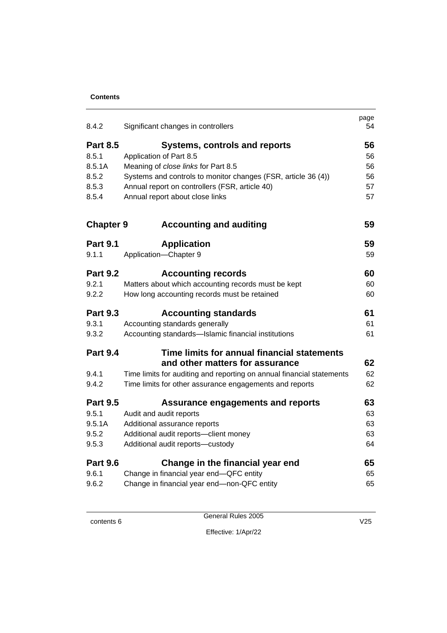| 8.4.2            | Significant changes in controllers                                    | page<br>54 |
|------------------|-----------------------------------------------------------------------|------------|
| <b>Part 8.5</b>  | <b>Systems, controls and reports</b>                                  | 56         |
| 8.5.1            | Application of Part 8.5                                               | 56         |
| 8.5.1A           | Meaning of close links for Part 8.5                                   | 56         |
| 8.5.2            | Systems and controls to monitor changes (FSR, article 36 (4))         | 56         |
| 8.5.3            | Annual report on controllers (FSR, article 40)                        | 57         |
| 8.5.4            | Annual report about close links                                       | 57         |
| <b>Chapter 9</b> | <b>Accounting and auditing</b>                                        | 59         |
| <b>Part 9.1</b>  | <b>Application</b>                                                    | 59         |
| 9.1.1            | Application-Chapter 9                                                 | 59         |
| <b>Part 9.2</b>  | <b>Accounting records</b>                                             | 60         |
| 9.2.1            | Matters about which accounting records must be kept                   | 60         |
| 9.2.2            | How long accounting records must be retained                          | 60         |
| <b>Part 9.3</b>  | <b>Accounting standards</b>                                           | 61         |
| 9.3.1            | Accounting standards generally                                        | 61         |
| 9.3.2            | Accounting standards-Islamic financial institutions                   | 61         |
| <b>Part 9.4</b>  | Time limits for annual financial statements                           |            |
|                  | and other matters for assurance                                       | 62         |
| 9.4.1            | Time limits for auditing and reporting on annual financial statements | 62         |
| 9.4.2            | Time limits for other assurance engagements and reports               | 62         |
| <b>Part 9.5</b>  | <b>Assurance engagements and reports</b>                              | 63         |
| 9.5.1            | Audit and audit reports                                               | 63         |
| 9.5.1A           | Additional assurance reports                                          | 63         |
| 9.5.2            | Additional audit reports-client money                                 | 63         |
| 9.5.3            | Additional audit reports-custody                                      | 64         |
| <b>Part 9.6</b>  | Change in the financial year end                                      | 65         |
| 9.6.1            | Change in financial year end-QFC entity                               | 65         |
| 9.6.2            | Change in financial year end-non-QFC entity                           | 65         |

General Rules 2005

Effective: 1/Apr/22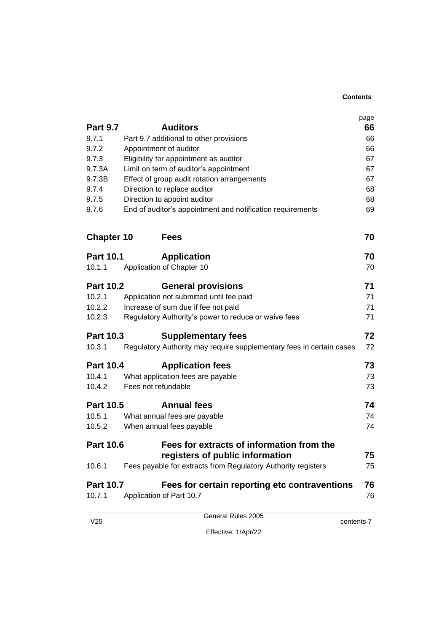|                   |                                                                      | page |
|-------------------|----------------------------------------------------------------------|------|
| <b>Part 9.7</b>   | <b>Auditors</b>                                                      | 66   |
| 9.7.1             | Part 9.7 additional to other provisions                              | 66   |
| 9.7.2             | Appointment of auditor                                               | 66   |
| 9.7.3             | Eligibility for appointment as auditor                               | 67   |
| 9.7.3A            | Limit on term of auditor's appointment                               | 67   |
| 9.7.3B            | Effect of group audit rotation arrangements                          | 67   |
| 9.7.4             | Direction to replace auditor                                         | 68   |
| 9.7.5             | Direction to appoint auditor                                         | 68   |
| 9.7.6             | End of auditor's appointment and notification requirements           | 69   |
| <b>Chapter 10</b> | <b>Fees</b>                                                          | 70   |
| <b>Part 10.1</b>  | <b>Application</b>                                                   | 70   |
| 10.1.1            | Application of Chapter 10                                            | 70   |
| <b>Part 10.2</b>  | <b>General provisions</b>                                            | 71   |
| 10.2.1            | Application not submitted until fee paid                             | 71   |
| 10.2.2            | Increase of sum due if fee not paid                                  | 71   |
| 10.2.3            | Regulatory Authority's power to reduce or waive fees                 | 71   |
| <b>Part 10.3</b>  | <b>Supplementary fees</b>                                            | 72   |
| 10.3.1            | Regulatory Authority may require supplementary fees in certain cases | 72   |
| <b>Part 10.4</b>  | <b>Application fees</b>                                              | 73   |
| 10.4.1            | What application fees are payable                                    | 73   |
| 10.4.2            | Fees not refundable                                                  | 73   |
| <b>Part 10.5</b>  | <b>Annual fees</b>                                                   | 74   |
| 10.5.1            | What annual fees are payable                                         | 74   |
| 10.5.2            | When annual fees payable                                             | 74   |
| <b>Part 10.6</b>  | Fees for extracts of information from the                            |      |
|                   | registers of public information                                      | 75   |
| 10.6.1            | Fees payable for extracts from Regulatory Authority registers        | 75   |
| <b>Part 10.7</b>  | Fees for certain reporting etc contraventions                        | 76   |
| 10.7.1            | Application of Part 10.7                                             | 76   |
|                   | General Rules 2005                                                   |      |

contents 7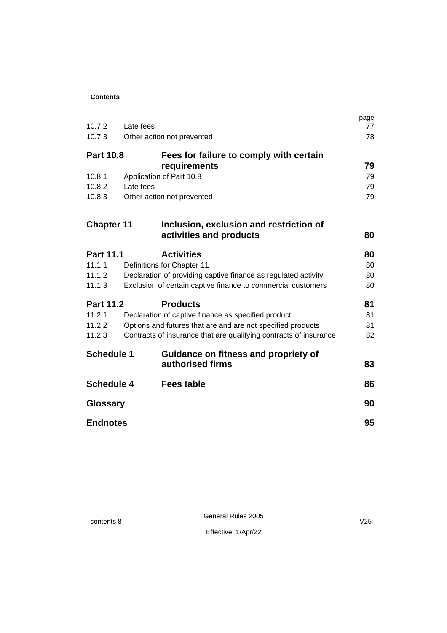| 10.7.2            | Late fees                                                         | page<br>77 |
|-------------------|-------------------------------------------------------------------|------------|
| 10.7.3            | Other action not prevented                                        | 78         |
|                   |                                                                   |            |
| <b>Part 10.8</b>  | Fees for failure to comply with certain                           | 79         |
| 10.8.1            | requirements                                                      | 79         |
| 10.8.2            | Application of Part 10.8<br>Late fees                             | 79         |
| 10.8.3            |                                                                   | 79         |
|                   | Other action not prevented                                        |            |
| <b>Chapter 11</b> | Inclusion, exclusion and restriction of                           |            |
|                   | activities and products                                           | 80         |
| <b>Part 11.1</b>  | <b>Activities</b>                                                 | 80         |
| 11.1.1            | Definitions for Chapter 11                                        | 80         |
| 11.1.2            | Declaration of providing captive finance as regulated activity    | 80         |
| 11.1.3            | Exclusion of certain captive finance to commercial customers      | 80         |
| <b>Part 11.2</b>  | <b>Products</b>                                                   | 81         |
| 11.2.1            | Declaration of captive finance as specified product               | 81         |
| 11.2.2            | Options and futures that are and are not specified products       | 81         |
| 11.2.3            | Contracts of insurance that are qualifying contracts of insurance | 82         |
| <b>Schedule 1</b> | Guidance on fitness and propriety of                              |            |
|                   | authorised firms                                                  | 83         |
| <b>Schedule 4</b> | <b>Fees table</b>                                                 | 86         |
| <b>Glossary</b>   |                                                                   | 90         |
| <b>Endnotes</b>   |                                                                   | 95         |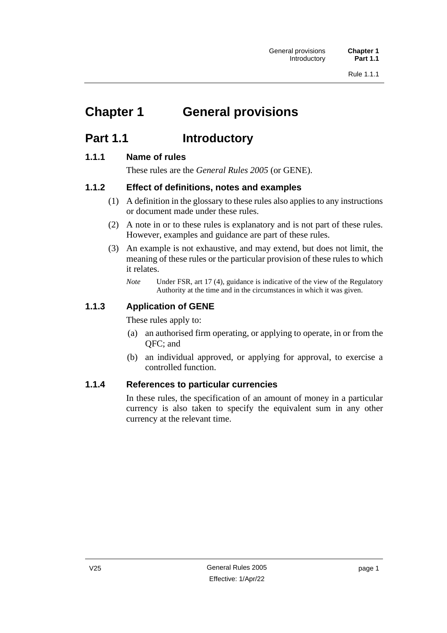# <span id="page-10-0"></span>**Chapter 1 General provisions**

# <span id="page-10-1"></span>**Part 1.1 Introductory**

### <span id="page-10-2"></span>**1.1.1 Name of rules**

These rules are the *General Rules 2005* (or GENE).

### <span id="page-10-3"></span>**1.1.2 Effect of definitions, notes and examples**

- (1) A definition in the glossary to these rules also applies to any instructions or document made under these rules.
- (2) A note in or to these rules is explanatory and is not part of these rules. However, examples and guidance are part of these rules.
- (3) An example is not exhaustive, and may extend, but does not limit, the meaning of these rules or the particular provision of these rules to which it relates.
	- *Note* Under FSR, art 17 (4), guidance is indicative of the view of the Regulatory Authority at the time and in the circumstances in which it was given.

# <span id="page-10-4"></span>**1.1.3 Application of GENE**

These rules apply to:

- (a) an authorised firm operating, or applying to operate, in or from the QFC; and
- (b) an individual approved, or applying for approval, to exercise a controlled function.

### <span id="page-10-5"></span>**1.1.4 References to particular currencies**

In these rules, the specification of an amount of money in a particular currency is also taken to specify the equivalent sum in any other currency at the relevant time.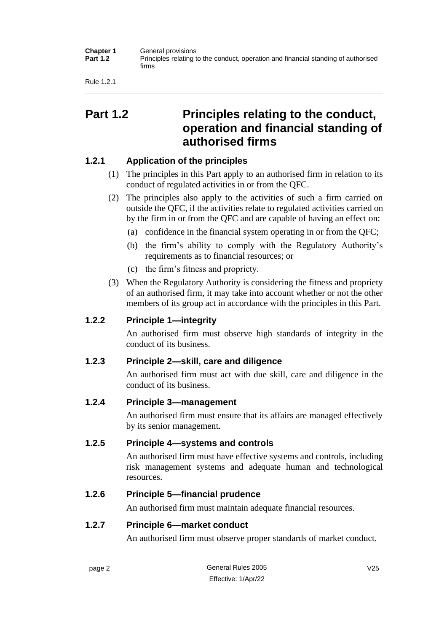| <b>Chapter 1</b><br><b>Part 1.2</b> | General provisions<br>Principles relating to the conduct, operation and financial standing of authorised<br>firms |
|-------------------------------------|-------------------------------------------------------------------------------------------------------------------|
|                                     |                                                                                                                   |

Rule 1.2.1

# <span id="page-11-0"></span>**Part 1.2 Principles relating to the conduct, operation and financial standing of authorised firms**

# <span id="page-11-1"></span>**1.2.1 Application of the principles**

- (1) The principles in this Part apply to an authorised firm in relation to its conduct of regulated activities in or from the QFC.
- (2) The principles also apply to the activities of such a firm carried on outside the QFC, if the activities relate to regulated activities carried on by the firm in or from the QFC and are capable of having an effect on:
	- (a) confidence in the financial system operating in or from the QFC;
	- (b) the firm's ability to comply with the Regulatory Authority's requirements as to financial resources; or
	- (c) the firm's fitness and propriety.
- (3) When the Regulatory Authority is considering the fitness and propriety of an authorised firm, it may take into account whether or not the other members of its group act in accordance with the principles in this Part.

# <span id="page-11-2"></span>**1.2.2 Principle 1—integrity**

An authorised firm must observe high standards of integrity in the conduct of its business.

# <span id="page-11-3"></span>**1.2.3 Principle 2—skill, care and diligence**

An authorised firm must act with due skill, care and diligence in the conduct of its business.

# <span id="page-11-4"></span>**1.2.4 Principle 3—management**

An authorised firm must ensure that its affairs are managed effectively by its senior management.

# <span id="page-11-5"></span>**1.2.5 Principle 4—systems and controls**

An authorised firm must have effective systems and controls, including risk management systems and adequate human and technological resources.

# <span id="page-11-6"></span>**1.2.6 Principle 5—financial prudence**

An authorised firm must maintain adequate financial resources.

# <span id="page-11-7"></span>**1.2.7 Principle 6—market conduct**

An authorised firm must observe proper standards of market conduct.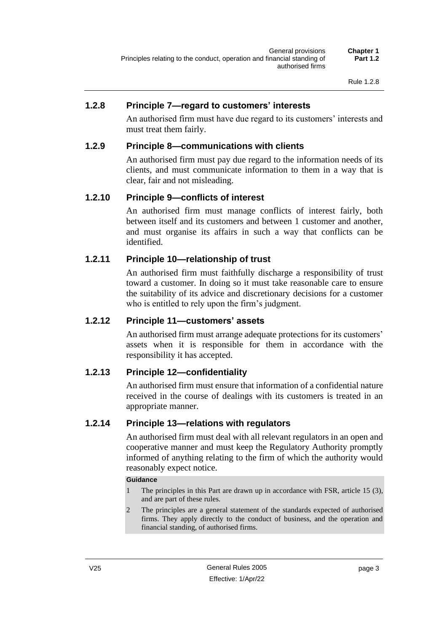#### <span id="page-12-0"></span>**1.2.8 Principle 7—regard to customers' interests**

An authorised firm must have due regard to its customers' interests and must treat them fairly.

#### <span id="page-12-1"></span>**1.2.9 Principle 8—communications with clients**

An authorised firm must pay due regard to the information needs of its clients, and must communicate information to them in a way that is clear, fair and not misleading.

#### <span id="page-12-2"></span>**1.2.10 Principle 9—conflicts of interest**

An authorised firm must manage conflicts of interest fairly, both between itself and its customers and between 1 customer and another, and must organise its affairs in such a way that conflicts can be identified.

#### <span id="page-12-3"></span>**1.2.11 Principle 10—relationship of trust**

An authorised firm must faithfully discharge a responsibility of trust toward a customer. In doing so it must take reasonable care to ensure the suitability of its advice and discretionary decisions for a customer who is entitled to rely upon the firm's judgment.

#### <span id="page-12-4"></span>**1.2.12 Principle 11—customers' assets**

An authorised firm must arrange adequate protections for its customers' assets when it is responsible for them in accordance with the responsibility it has accepted.

#### <span id="page-12-5"></span>**1.2.13 Principle 12—confidentiality**

An authorised firm must ensure that information of a confidential nature received in the course of dealings with its customers is treated in an appropriate manner.

#### <span id="page-12-6"></span>**1.2.14 Principle 13—relations with regulators**

An authorised firm must deal with all relevant regulators in an open and cooperative manner and must keep the Regulatory Authority promptly informed of anything relating to the firm of which the authority would reasonably expect notice.

#### **Guidance**

- 1 The principles in this Part are drawn up in accordance with FSR, article 15 (3), and are part of these rules.
- 2 The principles are a general statement of the standards expected of authorised firms. They apply directly to the conduct of business, and the operation and financial standing, of authorised firms.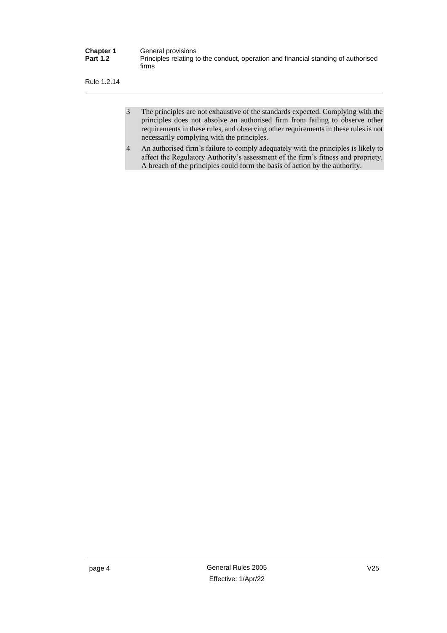| <b>Chapter 1</b> | General provisions                                                                          |
|------------------|---------------------------------------------------------------------------------------------|
| <b>Part 1.2</b>  | Principles relating to the conduct, operation and financial standing of authorised<br>firms |

Rule 1.2.14

- 3 The principles are not exhaustive of the standards expected. Complying with the principles does not absolve an authorised firm from failing to observe other requirements in these rules, and observing other requirements in these rules is not necessarily complying with the principles.
- 4 An authorised firm's failure to comply adequately with the principles is likely to affect the Regulatory Authority's assessment of the firm's fitness and propriety. A breach of the principles could form the basis of action by the authority.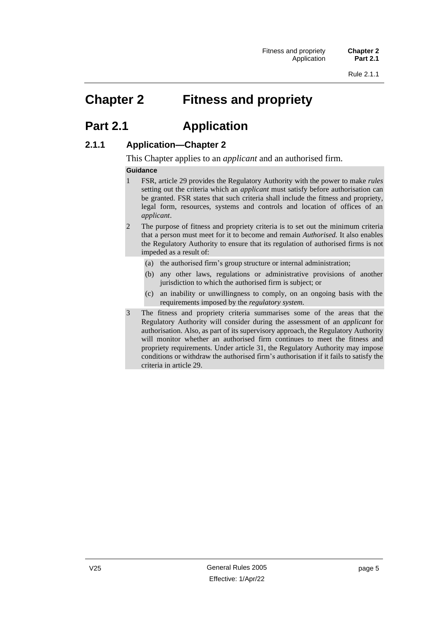# <span id="page-14-0"></span>**Chapter 2 Fitness and propriety**

# <span id="page-14-1"></span>**Part 2.1 Application**

### <span id="page-14-2"></span>**2.1.1 Application—Chapter 2**

This Chapter applies to an *applicant* and an authorised firm.

#### **Guidance**

- 1 FSR, article 29 provides the Regulatory Authority with the power to make *rules* setting out the criteria which an *applicant* must satisfy before authorisation can be granted. FSR states that such criteria shall include the fitness and propriety, legal form, resources, systems and controls and location of offices of an *applicant*.
- 2 The purpose of fitness and propriety criteria is to set out the minimum criteria that a person must meet for it to become and remain *Authorised.* It also enables the Regulatory Authority to ensure that its regulation of authorised firms is not impeded as a result of:
	- (a) the authorised firm's group structure or internal administration;
	- (b) any other laws, regulations or administrative provisions of another jurisdiction to which the authorised firm is subject; or
	- (c) an inability or unwillingness to comply, on an ongoing basis with the requirements imposed by the *regulatory system.*
- 3 The fitness and propriety criteria summarises some of the areas that the Regulatory Authority will consider during the assessment of an *applicant* for authorisation. Also, as part of its supervisory approach, the Regulatory Authority will monitor whether an authorised firm continues to meet the fitness and propriety requirements. Under article 31, the Regulatory Authority may impose conditions or withdraw the authorised firm's authorisation if it fails to satisfy the criteria in article 29.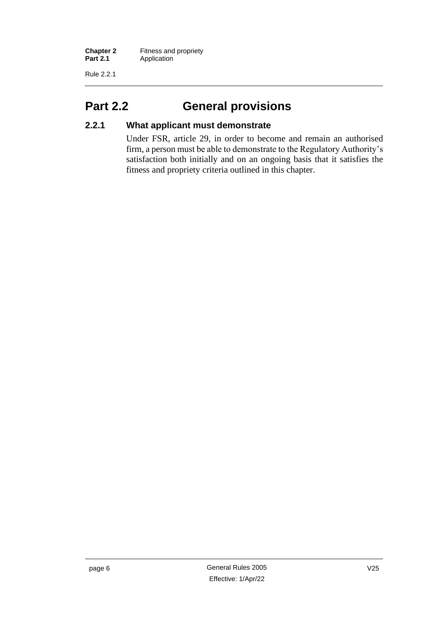Rule 2.2.1

# <span id="page-15-0"></span>**Part 2.2 General provisions**

# <span id="page-15-1"></span>**2.2.1 What applicant must demonstrate**

Under FSR, article 29, in order to become and remain an authorised firm, a person must be able to demonstrate to the Regulatory Authority's satisfaction both initially and on an ongoing basis that it satisfies the fitness and propriety criteria outlined in this chapter.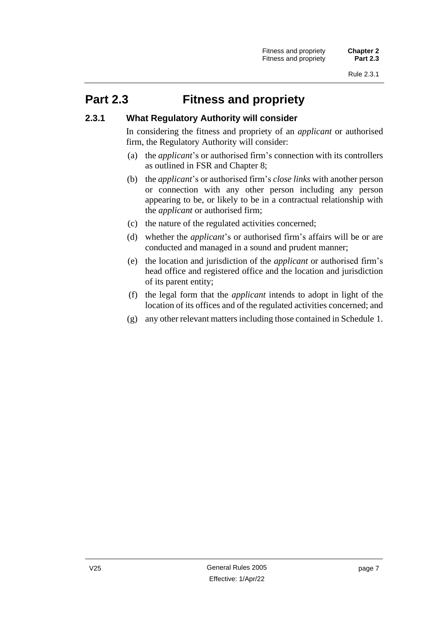# <span id="page-16-0"></span>**Part 2.3 Fitness and propriety**

#### <span id="page-16-1"></span>**2.3.1 What Regulatory Authority will consider**

In considering the fitness and propriety of an *applicant* or authorised firm, the Regulatory Authority will consider:

- (a) the *applicant*'s or authorised firm's connection with its controllers as outlined in FSR and Chapter 8;
- (b) the *applicant*'s or authorised firm's *close links* with another person or connection with any other person including any person appearing to be, or likely to be in a contractual relationship with the *applicant* or authorised firm;
- (c) the nature of the regulated activities concerned;
- (d) whether the *applicant*'s or authorised firm's affairs will be or are conducted and managed in a sound and prudent manner;
- (e) the location and jurisdiction of the *applicant* or authorised firm's head office and registered office and the location and jurisdiction of its parent entity;
- (f) the legal form that the *applicant* intends to adopt in light of the location of its offices and of the regulated activities concerned; and
- (g) any other relevant matters including those contained in Schedule 1.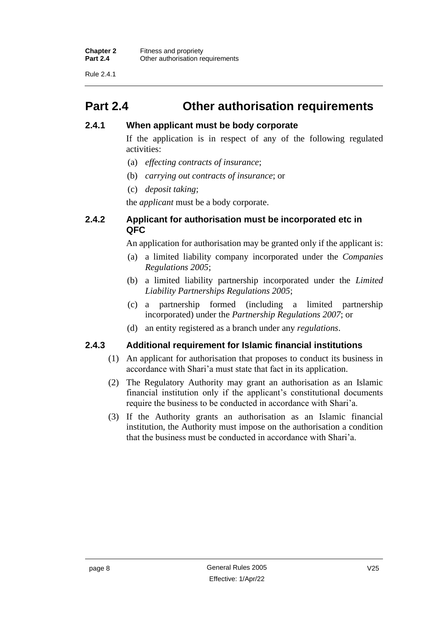Rule 2.4.1

# <span id="page-17-0"></span>**Part 2.4 Other authorisation requirements**

### <span id="page-17-1"></span>**2.4.1 When applicant must be body corporate**

If the application is in respect of any of the following regulated activities:

- (a) *effecting contracts of insurance*;
- (b) *carrying out contracts of insurance*; or
- (c) *deposit taking*;

the *applicant* must be a body corporate.

### <span id="page-17-2"></span>**2.4.2 Applicant for authorisation must be incorporated etc in QFC**

An application for authorisation may be granted only if the applicant is:

- (a) a limited liability company incorporated under the *Companies Regulations 2005*;
- (b) a limited liability partnership incorporated under the *Limited Liability Partnerships Regulations 2005*;
- (c) a partnership formed (including a limited partnership incorporated) under the *Partnership Regulations 2007*; or
- (d) an entity registered as a branch under any *regulations*.

#### <span id="page-17-3"></span>**2.4.3 Additional requirement for Islamic financial institutions**

- (1) An applicant for authorisation that proposes to conduct its business in accordance with Shari'a must state that fact in its application.
- (2) The Regulatory Authority may grant an authorisation as an Islamic financial institution only if the applicant's constitutional documents require the business to be conducted in accordance with Shari'a.
- (3) If the Authority grants an authorisation as an Islamic financial institution, the Authority must impose on the authorisation a condition that the business must be conducted in accordance with Shari'a.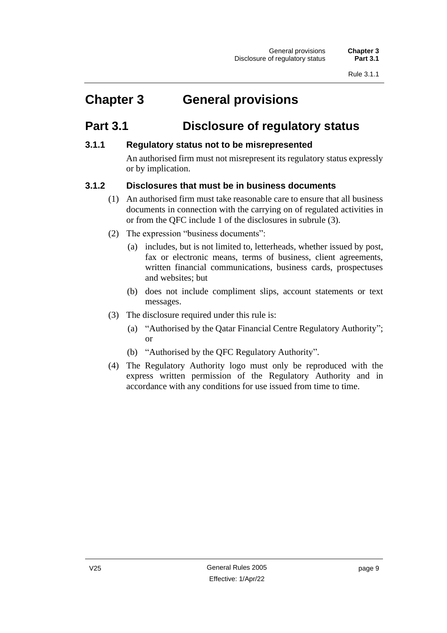# <span id="page-18-0"></span>**Chapter 3 General provisions**

# <span id="page-18-1"></span>**Part 3.1 Disclosure of regulatory status**

# <span id="page-18-2"></span>**3.1.1 Regulatory status not to be misrepresented**

An authorised firm must not misrepresent its regulatory status expressly or by implication.

# <span id="page-18-3"></span>**3.1.2 Disclosures that must be in business documents**

- (1) An authorised firm must take reasonable care to ensure that all business documents in connection with the carrying on of regulated activities in or from the QFC include 1 of the disclosures in subrule (3).
- (2) The expression "business documents":
	- (a) includes, but is not limited to, letterheads, whether issued by post, fax or electronic means, terms of business, client agreements, written financial communications, business cards, prospectuses and websites; but
	- (b) does not include compliment slips, account statements or text messages.
- (3) The disclosure required under this rule is:
	- (a) "Authorised by the Qatar Financial Centre Regulatory Authority"; or
	- (b) "Authorised by the QFC Regulatory Authority".
- (4) The Regulatory Authority logo must only be reproduced with the express written permission of the Regulatory Authority and in accordance with any conditions for use issued from time to time.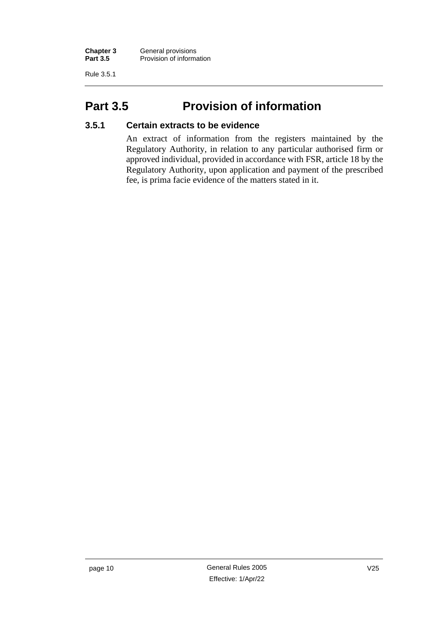Rule 3.5.1

# <span id="page-19-0"></span>**Part 3.5 Provision of information**

### <span id="page-19-1"></span>**3.5.1 Certain extracts to be evidence**

An extract of information from the registers maintained by the Regulatory Authority, in relation to any particular authorised firm or approved individual, provided in accordance with FSR, article 18 by the Regulatory Authority, upon application and payment of the prescribed fee, is prima facie evidence of the matters stated in it.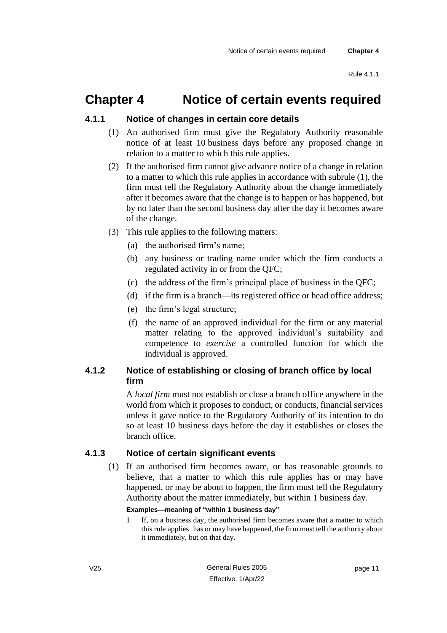# <span id="page-20-0"></span>**Chapter 4 Notice of certain events required**

#### <span id="page-20-1"></span>**4.1.1 Notice of changes in certain core details**

- (1) An authorised firm must give the Regulatory Authority reasonable notice of at least 10 business days before any proposed change in relation to a matter to which this rule applies.
- (2) If the authorised firm cannot give advance notice of a change in relation to a matter to which this rule applies in accordance with subrule (1), the firm must tell the Regulatory Authority about the change immediately after it becomes aware that the change is to happen or has happened, but by no later than the second business day after the day it becomes aware of the change.
- (3) This rule applies to the following matters:
	- (a) the authorised firm's name;
	- (b) any business or trading name under which the firm conducts a regulated activity in or from the QFC;
	- (c) the address of the firm's principal place of business in the QFC;
	- (d) if the firm is a branch—its registered office or head office address;
	- (e) the firm's legal structure;
	- (f) the name of an approved individual for the firm or any material matter relating to the approved individual's suitability and competence to *exercise* a controlled function for which the individual is approved.

# <span id="page-20-2"></span>**4.1.2 Notice of establishing or closing of branch office by local firm**

A *local firm* must not establish or close a branch office anywhere in the world from which it proposes to conduct, or conducts, financial services unless it gave notice to the Regulatory Authority of its intention to do so at least 10 business days before the day it establishes or closes the branch office.

#### <span id="page-20-3"></span>**4.1.3 Notice of certain significant events**

(1) If an authorised firm becomes aware, or has reasonable grounds to believe, that a matter to which this rule applies has or may have happened, or may be about to happen, the firm must tell the Regulatory Authority about the matter immediately, but within 1 business day.

#### **Examples—meaning of "within 1 business day"**

1 If, on a business day, the authorised firm becomes aware that a matter to which this rule applies has or may have happened, the firm must tell the authority about it immediately, but on that day.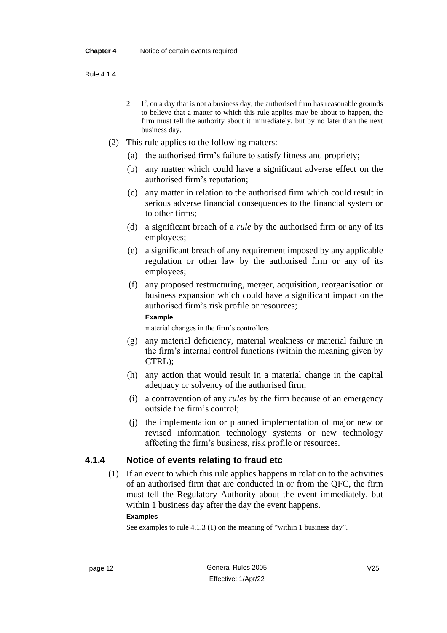Rule 4.1.4

- 2 If, on a day that is not a business day, the authorised firm has reasonable grounds to believe that a matter to which this rule applies may be about to happen, the firm must tell the authority about it immediately, but by no later than the next business day.
- (2) This rule applies to the following matters:
	- (a) the authorised firm's failure to satisfy fitness and propriety;
	- (b) any matter which could have a significant adverse effect on the authorised firm's reputation;
	- (c) any matter in relation to the authorised firm which could result in serious adverse financial consequences to the financial system or to other firms;
	- (d) a significant breach of a *rule* by the authorised firm or any of its employees;
	- (e) a significant breach of any requirement imposed by any applicable regulation or other law by the authorised firm or any of its employees;
	- (f) any proposed restructuring, merger, acquisition, reorganisation or business expansion which could have a significant impact on the authorised firm's risk profile or resources;

#### **Example**

material changes in the firm's controllers

- (g) any material deficiency, material weakness or material failure in the firm's internal control functions (within the meaning given by CTRL);
- (h) any action that would result in a material change in the capital adequacy or solvency of the authorised firm;
- (i) a contravention of any *rules* by the firm because of an emergency outside the firm's control;
- (j) the implementation or planned implementation of major new or revised information technology systems or new technology affecting the firm's business, risk profile or resources.

#### <span id="page-21-0"></span>**4.1.4 Notice of events relating to fraud etc**

(1) If an event to which this rule applies happens in relation to the activities of an authorised firm that are conducted in or from the QFC, the firm must tell the Regulatory Authority about the event immediately, but within 1 business day after the day the event happens.

#### **Examples**

See examples to rule 4.1.3 (1) on the meaning of "within 1 business day".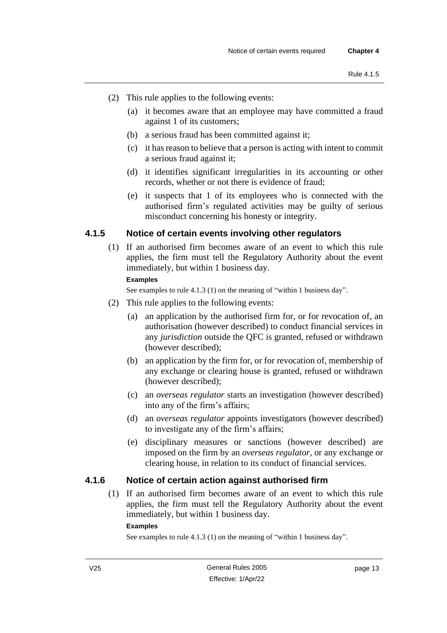- (2) This rule applies to the following events:
	- (a) it becomes aware that an employee may have committed a fraud against 1 of its customers;
	- (b) a serious fraud has been committed against it;
	- (c) it has reason to believe that a person is acting with intent to commit a serious fraud against it;
	- (d) it identifies significant irregularities in its accounting or other records, whether or not there is evidence of fraud;
	- (e) it suspects that 1 of its employees who is connected with the authorised firm's regulated activities may be guilty of serious misconduct concerning his honesty or integrity.

### <span id="page-22-0"></span>**4.1.5 Notice of certain events involving other regulators**

(1) If an authorised firm becomes aware of an event to which this rule applies, the firm must tell the Regulatory Authority about the event immediately, but within 1 business day.

### **Examples**

See examples to rule 4.1.3 (1) on the meaning of "within 1 business day".

- (2) This rule applies to the following events:
	- (a) an application by the authorised firm for, or for revocation of, an authorisation (however described) to conduct financial services in any *jurisdiction* outside the QFC is granted, refused or withdrawn (however described);
	- (b) an application by the firm for, or for revocation of, membership of any exchange or clearing house is granted, refused or withdrawn (however described);
	- (c) an *overseas regulator* starts an investigation (however described) into any of the firm's affairs;
	- (d) an *overseas regulator* appoints investigators (however described) to investigate any of the firm's affairs;
	- (e) disciplinary measures or sanctions (however described) are imposed on the firm by an *overseas regulator*, or any exchange or clearing house, in relation to its conduct of financial services.

#### <span id="page-22-1"></span>**4.1.6 Notice of certain action against authorised firm**

(1) If an authorised firm becomes aware of an event to which this rule applies, the firm must tell the Regulatory Authority about the event immediately, but within 1 business day.

#### **Examples**

See examples to rule 4.1.3 (1) on the meaning of "within 1 business day".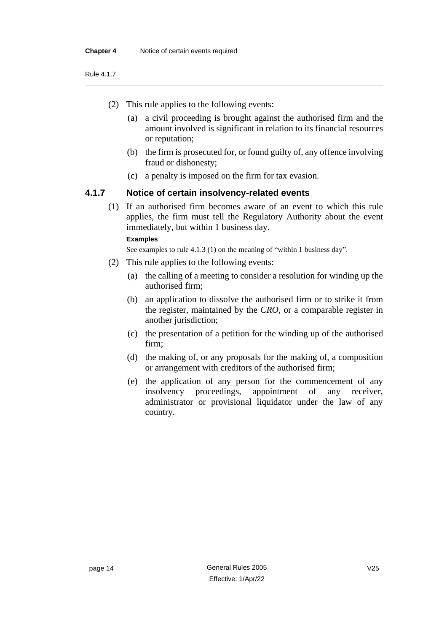- (2) This rule applies to the following events:
	- (a) a civil proceeding is brought against the authorised firm and the amount involved is significant in relation to its financial resources or reputation;
	- (b) the firm is prosecuted for, or found guilty of, any offence involving fraud or dishonesty;
	- (c) a penalty is imposed on the firm for tax evasion.

#### <span id="page-23-0"></span>**4.1.7 Notice of certain insolvency-related events**

(1) If an authorised firm becomes aware of an event to which this rule applies, the firm must tell the Regulatory Authority about the event immediately, but within 1 business day.

#### **Examples**

See examples to rule 4.1.3 (1) on the meaning of "within 1 business day".

- (2) This rule applies to the following events:
	- (a) the calling of a meeting to consider a resolution for winding up the authorised firm;
	- (b) an application to dissolve the authorised firm or to strike it from the register, maintained by the *CRO*, or a comparable register in another jurisdiction;
	- (c) the presentation of a petition for the winding up of the authorised firm;
	- (d) the making of, or any proposals for the making of, a composition or arrangement with creditors of the authorised firm;
	- (e) the application of any person for the commencement of any insolvency proceedings, appointment of any receiver, administrator or provisional liquidator under the law of any country.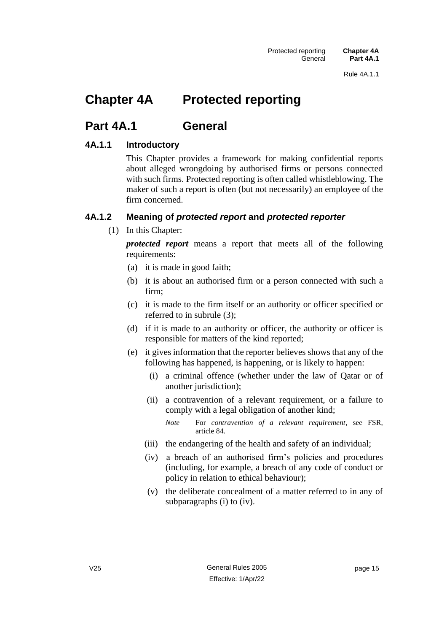# <span id="page-24-0"></span>**Chapter 4A Protected reporting**

# <span id="page-24-1"></span>**Part 4A.1 General**

# <span id="page-24-2"></span>**4A.1.1 Introductory**

This Chapter provides a framework for making confidential reports about alleged wrongdoing by authorised firms or persons connected with such firms. Protected reporting is often called whistleblowing. The maker of such a report is often (but not necessarily) an employee of the firm concerned.

# <span id="page-24-3"></span>**4A.1.2 Meaning of** *protected report* **and** *protected reporter*

(1) In this Chapter:

*protected report* means a report that meets all of the following requirements:

- (a) it is made in good faith;
- (b) it is about an authorised firm or a person connected with such a firm;
- (c) it is made to the firm itself or an authority or officer specified or referred to in subrule (3);
- (d) if it is made to an authority or officer, the authority or officer is responsible for matters of the kind reported;
- (e) it gives information that the reporter believes shows that any of the following has happened, is happening, or is likely to happen:
	- (i) a criminal offence (whether under the law of Qatar or of another jurisdiction);
	- (ii) a contravention of a relevant requirement, or a failure to comply with a legal obligation of another kind;
		- *Note* For *contravention of a relevant requirement*, see FSR, article 84.
	- (iii) the endangering of the health and safety of an individual;
	- (iv) a breach of an authorised firm's policies and procedures (including, for example, a breach of any code of conduct or policy in relation to ethical behaviour);
	- (v) the deliberate concealment of a matter referred to in any of subparagraphs (i) to (iv).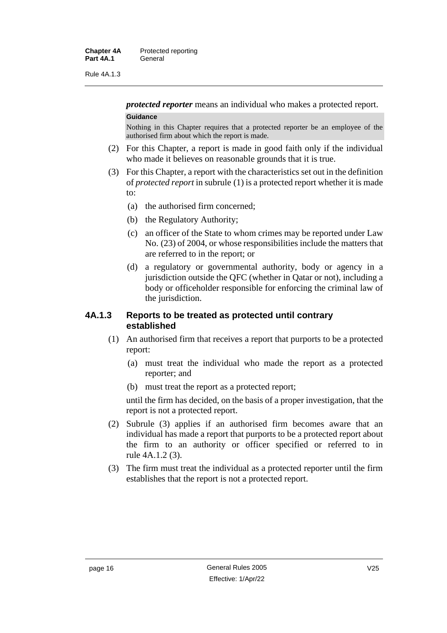Rule 4A.1.3

*protected reporter* means an individual who makes a protected report. **Guidance**

Nothing in this Chapter requires that a protected reporter be an employee of the authorised firm about which the report is made.

- (2) For this Chapter, a report is made in good faith only if the individual who made it believes on reasonable grounds that it is true.
- (3) For this Chapter, a report with the characteristics set out in the definition of *protected report* in subrule (1) is a protected report whether it is made to:
	- (a) the authorised firm concerned;
	- (b) the Regulatory Authority;
	- (c) an officer of the State to whom crimes may be reported under Law No. (23) of 2004, or whose responsibilities include the matters that are referred to in the report; or
	- (d) a regulatory or governmental authority, body or agency in a jurisdiction outside the QFC (whether in Qatar or not), including a body or officeholder responsible for enforcing the criminal law of the jurisdiction.

#### <span id="page-25-0"></span>**4A.1.3 Reports to be treated as protected until contrary established**

- (1) An authorised firm that receives a report that purports to be a protected report:
	- (a) must treat the individual who made the report as a protected reporter; and
	- (b) must treat the report as a protected report;

until the firm has decided, on the basis of a proper investigation, that the report is not a protected report.

- (2) Subrule (3) applies if an authorised firm becomes aware that an individual has made a report that purports to be a protected report about the firm to an authority or officer specified or referred to in rule 4A.1.2 (3).
- (3) The firm must treat the individual as a protected reporter until the firm establishes that the report is not a protected report.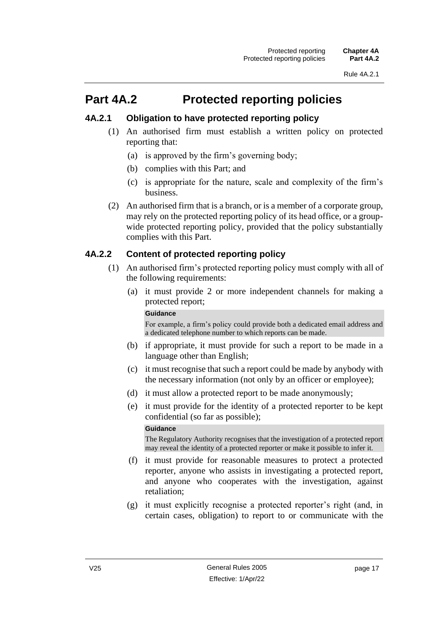# <span id="page-26-0"></span>**Part 4A.2 Protected reporting policies**

### <span id="page-26-1"></span>**4A.2.1 Obligation to have protected reporting policy**

- (1) An authorised firm must establish a written policy on protected reporting that:
	- (a) is approved by the firm's governing body;
	- (b) complies with this Part; and
	- (c) is appropriate for the nature, scale and complexity of the firm's business.
- (2) An authorised firm that is a branch, or is a member of a corporate group, may rely on the protected reporting policy of its head office, or a groupwide protected reporting policy, provided that the policy substantially complies with this Part.

# <span id="page-26-2"></span>**4A.2.2 Content of protected reporting policy**

- (1) An authorised firm's protected reporting policy must comply with all of the following requirements:
	- (a) it must provide 2 or more independent channels for making a protected report;

#### **Guidance**

For example, a firm's policy could provide both a dedicated email address and a dedicated telephone number to which reports can be made.

- (b) if appropriate, it must provide for such a report to be made in a language other than English;
- (c) it must recognise that such a report could be made by anybody with the necessary information (not only by an officer or employee);
- (d) it must allow a protected report to be made anonymously;
- (e) it must provide for the identity of a protected reporter to be kept confidential (so far as possible);

#### **Guidance**

The Regulatory Authority recognises that the investigation of a protected report may reveal the identity of a protected reporter or make it possible to infer it.

- (f) it must provide for reasonable measures to protect a protected reporter, anyone who assists in investigating a protected report, and anyone who cooperates with the investigation, against retaliation;
- (g) it must explicitly recognise a protected reporter's right (and, in certain cases, obligation) to report to or communicate with the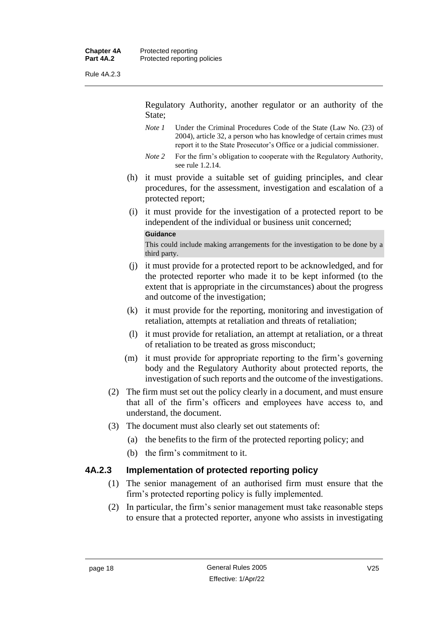Rule 4A.2.3

Regulatory Authority, another regulator or an authority of the State;

- *Note 1* Under the Criminal Procedures Code of the State (Law No. (23) of 2004), article 32, a person who has knowledge of certain crimes must report it to the State Prosecutor's Office or a judicial commissioner.
- *Note* 2 For the firm's obligation to cooperate with the Regulatory Authority, see rule 1.2.14.
- (h) it must provide a suitable set of guiding principles, and clear procedures, for the assessment, investigation and escalation of a protected report;
- (i) it must provide for the investigation of a protected report to be independent of the individual or business unit concerned;

#### **Guidance**

This could include making arrangements for the investigation to be done by a third party.

- (j) it must provide for a protected report to be acknowledged, and for the protected reporter who made it to be kept informed (to the extent that is appropriate in the circumstances) about the progress and outcome of the investigation;
- (k) it must provide for the reporting, monitoring and investigation of retaliation, attempts at retaliation and threats of retaliation;
- (l) it must provide for retaliation, an attempt at retaliation, or a threat of retaliation to be treated as gross misconduct;
- (m) it must provide for appropriate reporting to the firm's governing body and the Regulatory Authority about protected reports, the investigation of such reports and the outcome of the investigations.
- (2) The firm must set out the policy clearly in a document, and must ensure that all of the firm's officers and employees have access to, and understand, the document.
- (3) The document must also clearly set out statements of:
	- (a) the benefits to the firm of the protected reporting policy; and
	- (b) the firm's commitment to it.

#### <span id="page-27-0"></span>**4A.2.3 Implementation of protected reporting policy**

- (1) The senior management of an authorised firm must ensure that the firm's protected reporting policy is fully implemented.
- (2) In particular, the firm's senior management must take reasonable steps to ensure that a protected reporter, anyone who assists in investigating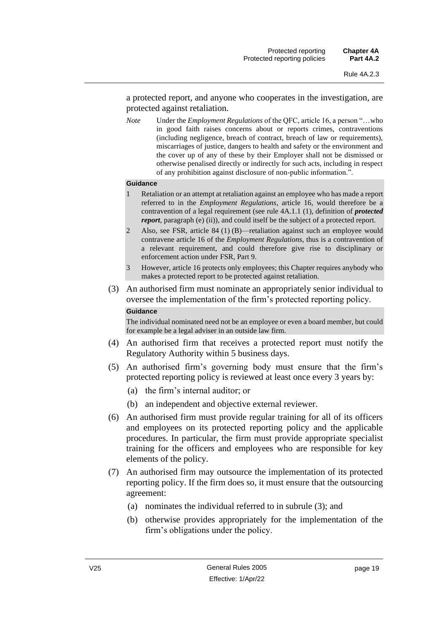a protected report, and anyone who cooperates in the investigation, are protected against retaliation.

*Note* Under the *Employment Regulations* of the QFC, article 16, a person "…who in good faith raises concerns about or reports crimes, contraventions (including negligence, breach of contract, breach of law or requirements), miscarriages of justice, dangers to health and safety or the environment and the cover up of any of these by their Employer shall not be dismissed or otherwise penalised directly or indirectly for such acts, including in respect of any prohibition against disclosure of non-public information.".

#### **Guidance**

- 1 Retaliation or an attempt at retaliation against an employee who has made a report referred to in the *Employment Regulations*, article 16, would therefore be a contravention of a legal requirement (see rule 4A.1.1 (1), definition of *protected report*, paragraph (e) (ii)), and could itself be the subject of a protected report.
- 2 Also, see FSR, article 84 (1) (B)—retaliation against such an employee would contravene article 16 of the *Employment Regulations*, thus is a contravention of a relevant requirement, and could therefore give rise to disciplinary or enforcement action under FSR, Part 9.
- 3 However, article 16 protects only employees; this Chapter requires anybody who makes a protected report to be protected against retaliation.
- (3) An authorised firm must nominate an appropriately senior individual to oversee the implementation of the firm's protected reporting policy.

#### **Guidance**

The individual nominated need not be an employee or even a board member, but could for example be a legal adviser in an outside law firm.

- (4) An authorised firm that receives a protected report must notify the Regulatory Authority within 5 business days.
- (5) An authorised firm's governing body must ensure that the firm's protected reporting policy is reviewed at least once every 3 years by:
	- (a) the firm's internal auditor; or
	- (b) an independent and objective external reviewer.
- (6) An authorised firm must provide regular training for all of its officers and employees on its protected reporting policy and the applicable procedures. In particular, the firm must provide appropriate specialist training for the officers and employees who are responsible for key elements of the policy.
- (7) An authorised firm may outsource the implementation of its protected reporting policy. If the firm does so, it must ensure that the outsourcing agreement:
	- (a) nominates the individual referred to in subrule (3); and
	- (b) otherwise provides appropriately for the implementation of the firm's obligations under the policy.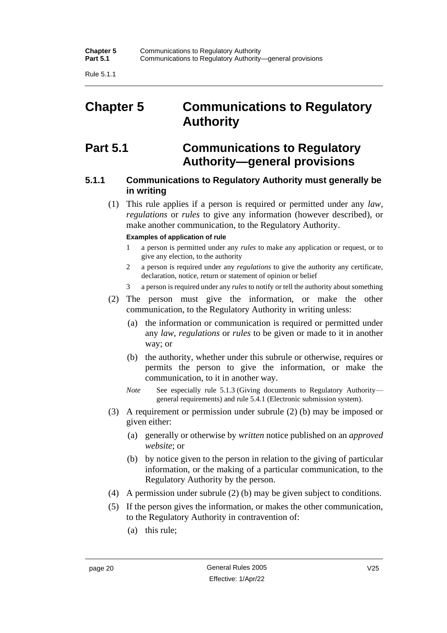Rule 5.1.1

# <span id="page-29-0"></span>**Chapter 5 Communications to Regulatory Authority**

# <span id="page-29-1"></span>**Part 5.1 Communications to Regulatory Authority—general provisions**

### <span id="page-29-2"></span>**5.1.1 Communications to Regulatory Authority must generally be in writing**

(1) This rule applies if a person is required or permitted under any *law*, *regulations* or *rules* to give any information (however described), or make another communication, to the Regulatory Authority.

#### **Examples of application of rule**

- 1 a person is permitted under any *rules* to make any application or request, or to give any election, to the authority
- 2 a person is required under any *regulations* to give the authority any certificate, declaration, notice, return or statement of opinion or belief
- 3 a person is required under any *rules* to notify or tell the authority about something
- (2) The person must give the information, or make the other communication, to the Regulatory Authority in writing unless:
	- (a) the information or communication is required or permitted under any *law*, *regulations* or *rules* to be given or made to it in another way; or
	- (b) the authority, whether under this subrule or otherwise, requires or permits the person to give the information, or make the communication, to it in another way.
	- *Note* See especially rule 5.1.3 (Giving documents to Regulatory Authority general requirements) and rule 5.4.1 (Electronic submission system).
- (3) A requirement or permission under subrule (2) (b) may be imposed or given either:
	- (a) generally or otherwise by *written* notice published on an *approved website*; or
	- (b) by notice given to the person in relation to the giving of particular information, or the making of a particular communication, to the Regulatory Authority by the person.
- (4) A permission under subrule (2) (b) may be given subject to conditions.
- (5) If the person gives the information, or makes the other communication, to the Regulatory Authority in contravention of:
	- (a) this rule;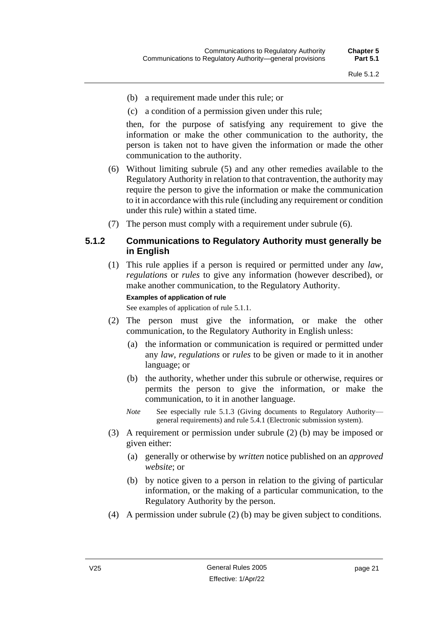- (b) a requirement made under this rule; or
- (c) a condition of a permission given under this rule;

then, for the purpose of satisfying any requirement to give the information or make the other communication to the authority, the person is taken not to have given the information or made the other communication to the authority.

- (6) Without limiting subrule (5) and any other remedies available to the Regulatory Authority in relation to that contravention, the authority may require the person to give the information or make the communication to it in accordance with this rule (including any requirement or condition under this rule) within a stated time.
- (7) The person must comply with a requirement under subrule (6).

#### <span id="page-30-0"></span>**5.1.2 Communications to Regulatory Authority must generally be in English**

(1) This rule applies if a person is required or permitted under any *law*, *regulations* or *rules* to give any information (however described), or make another communication, to the Regulatory Authority.

#### **Examples of application of rule**

See examples of application of rule 5.1.1.

- (2) The person must give the information, or make the other communication, to the Regulatory Authority in English unless:
	- (a) the information or communication is required or permitted under any *law*, *regulations* or *rules* to be given or made to it in another language; or
	- (b) the authority, whether under this subrule or otherwise, requires or permits the person to give the information, or make the communication, to it in another language.
	- *Note* See especially rule 5.1.3 (Giving documents to Regulatory Authority general requirements) and rule 5.4.1 (Electronic submission system).
- (3) A requirement or permission under subrule (2) (b) may be imposed or given either:
	- (a) generally or otherwise by *written* notice published on an *approved website*; or
	- (b) by notice given to a person in relation to the giving of particular information, or the making of a particular communication, to the Regulatory Authority by the person.
- (4) A permission under subrule (2) (b) may be given subject to conditions.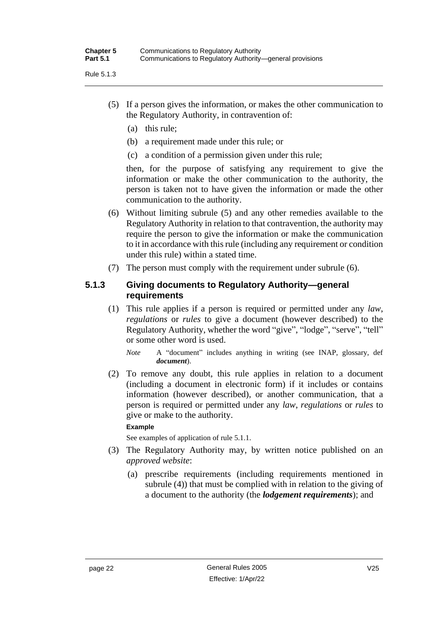- (5) If a person gives the information, or makes the other communication to the Regulatory Authority, in contravention of:
	- (a) this rule;
	- (b) a requirement made under this rule; or
	- (c) a condition of a permission given under this rule;

then, for the purpose of satisfying any requirement to give the information or make the other communication to the authority, the person is taken not to have given the information or made the other communication to the authority.

- (6) Without limiting subrule (5) and any other remedies available to the Regulatory Authority in relation to that contravention, the authority may require the person to give the information or make the communication to it in accordance with this rule (including any requirement or condition under this rule) within a stated time.
- (7) The person must comply with the requirement under subrule (6).

#### <span id="page-31-0"></span>**5.1.3 Giving documents to Regulatory Authority—general requirements**

(1) This rule applies if a person is required or permitted under any *law*, *regulations* or *rules* to give a document (however described) to the Regulatory Authority, whether the word "give", "lodge", "serve", "tell" or some other word is used.

*Note* A "document" includes anything in writing (see INAP, glossary, def *document*).

(2) To remove any doubt, this rule applies in relation to a document (including a document in electronic form) if it includes or contains information (however described), or another communication, that a person is required or permitted under any *law*, *regulations* or *rules* to give or make to the authority.

#### **Example**

See examples of application of rule 5.1.1.

- (3) The Regulatory Authority may, by written notice published on an *approved website*:
	- (a) prescribe requirements (including requirements mentioned in subrule (4)) that must be complied with in relation to the giving of a document to the authority (the *lodgement requirements*); and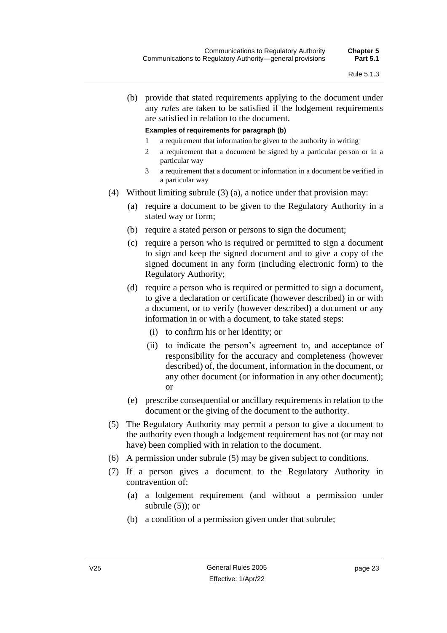(b) provide that stated requirements applying to the document under any *rules* are taken to be satisfied if the lodgement requirements are satisfied in relation to the document.

#### **Examples of requirements for paragraph (b)**

- 1 a requirement that information be given to the authority in writing
- 2 a requirement that a document be signed by a particular person or in a particular way
- 3 a requirement that a document or information in a document be verified in a particular way
- (4) Without limiting subrule (3) (a), a notice under that provision may:
	- (a) require a document to be given to the Regulatory Authority in a stated way or form;
	- (b) require a stated person or persons to sign the document;
	- (c) require a person who is required or permitted to sign a document to sign and keep the signed document and to give a copy of the signed document in any form (including electronic form) to the Regulatory Authority;
	- (d) require a person who is required or permitted to sign a document, to give a declaration or certificate (however described) in or with a document, or to verify (however described) a document or any information in or with a document, to take stated steps:
		- (i) to confirm his or her identity; or
		- (ii) to indicate the person's agreement to, and acceptance of responsibility for the accuracy and completeness (however described) of, the document, information in the document, or any other document (or information in any other document); or
	- (e) prescribe consequential or ancillary requirements in relation to the document or the giving of the document to the authority.
- (5) The Regulatory Authority may permit a person to give a document to the authority even though a lodgement requirement has not (or may not have) been complied with in relation to the document.
- (6) A permission under subrule (5) may be given subject to conditions.
- (7) If a person gives a document to the Regulatory Authority in contravention of:
	- (a) a lodgement requirement (and without a permission under subrule  $(5)$ ; or
	- (b) a condition of a permission given under that subrule;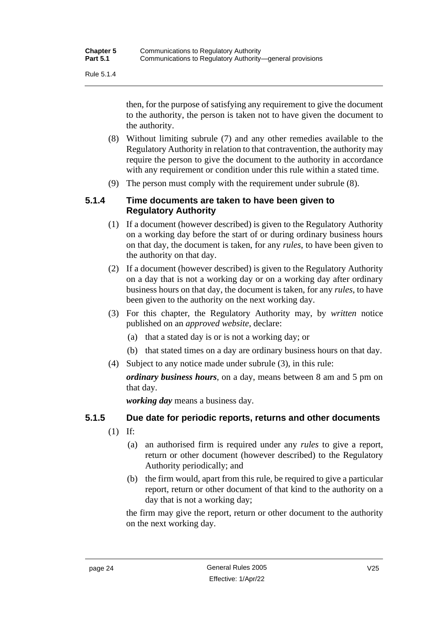Rule 5.1.4

then, for the purpose of satisfying any requirement to give the document to the authority, the person is taken not to have given the document to the authority.

- (8) Without limiting subrule (7) and any other remedies available to the Regulatory Authority in relation to that contravention, the authority may require the person to give the document to the authority in accordance with any requirement or condition under this rule within a stated time.
- (9) The person must comply with the requirement under subrule (8).

### <span id="page-33-0"></span>**5.1.4 Time documents are taken to have been given to Regulatory Authority**

- (1) If a document (however described) is given to the Regulatory Authority on a working day before the start of or during ordinary business hours on that day, the document is taken, for any *rules*, to have been given to the authority on that day.
- (2) If a document (however described) is given to the Regulatory Authority on a day that is not a working day or on a working day after ordinary business hours on that day, the document is taken, for any *rules*, to have been given to the authority on the next working day.
- (3) For this chapter, the Regulatory Authority may, by *written* notice published on an *approved website*, declare:
	- (a) that a stated day is or is not a working day; or
	- (b) that stated times on a day are ordinary business hours on that day.
- (4) Subject to any notice made under subrule (3), in this rule:

*ordinary business hours*, on a day, means between 8 am and 5 pm on that day.

*working day* means a business day.

#### <span id="page-33-1"></span>**5.1.5 Due date for periodic reports, returns and other documents**

- (1) If:
	- (a) an authorised firm is required under any *rules* to give a report, return or other document (however described) to the Regulatory Authority periodically; and
	- (b) the firm would, apart from this rule, be required to give a particular report, return or other document of that kind to the authority on a day that is not a working day;

the firm may give the report, return or other document to the authority on the next working day.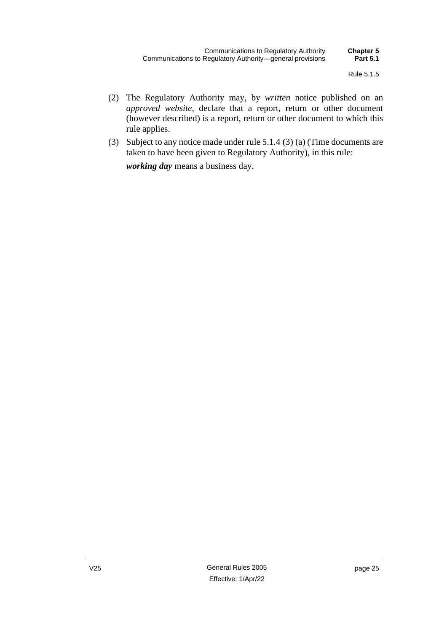- (2) The Regulatory Authority may, by *written* notice published on an *approved website*, declare that a report, return or other document (however described) is a report, return or other document to which this rule applies.
- (3) Subject to any notice made under rule 5.1.4 (3) (a) (Time documents are taken to have been given to Regulatory Authority), in this rule:

*working day* means a business day.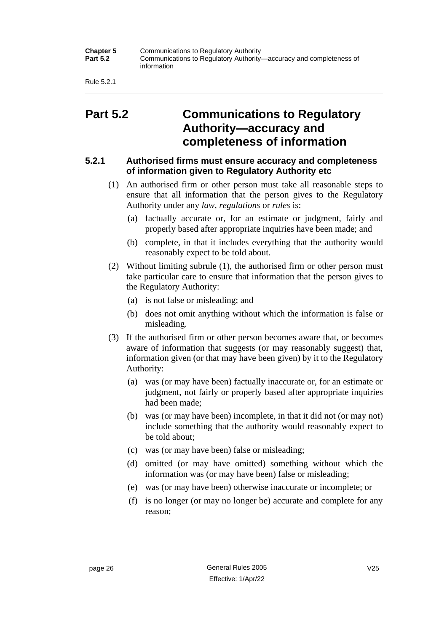| <b>Chapter 5</b><br><b>Part 5.2</b> | Communications to Regulatory Authority<br>Communications to Regulatory Authority—accuracy and completeness of<br>information |
|-------------------------------------|------------------------------------------------------------------------------------------------------------------------------|
|-------------------------------------|------------------------------------------------------------------------------------------------------------------------------|

Rule 5.2.1

# <span id="page-35-0"></span>**Part 5.2 Communications to Regulatory Authority—accuracy and completeness of information**

#### <span id="page-35-1"></span>**5.2.1 Authorised firms must ensure accuracy and completeness of information given to Regulatory Authority etc**

- (1) An authorised firm or other person must take all reasonable steps to ensure that all information that the person gives to the Regulatory Authority under any *law*, *regulations* or *rules* is:
	- (a) factually accurate or, for an estimate or judgment, fairly and properly based after appropriate inquiries have been made; and
	- (b) complete, in that it includes everything that the authority would reasonably expect to be told about.
- (2) Without limiting subrule (1), the authorised firm or other person must take particular care to ensure that information that the person gives to the Regulatory Authority:
	- (a) is not false or misleading; and
	- (b) does not omit anything without which the information is false or misleading.
- (3) If the authorised firm or other person becomes aware that, or becomes aware of information that suggests (or may reasonably suggest) that, information given (or that may have been given) by it to the Regulatory Authority:
	- (a) was (or may have been) factually inaccurate or, for an estimate or judgment, not fairly or properly based after appropriate inquiries had been made;
	- (b) was (or may have been) incomplete, in that it did not (or may not) include something that the authority would reasonably expect to be told about;
	- (c) was (or may have been) false or misleading;
	- (d) omitted (or may have omitted) something without which the information was (or may have been) false or misleading;
	- (e) was (or may have been) otherwise inaccurate or incomplete; or
	- (f) is no longer (or may no longer be) accurate and complete for any reason;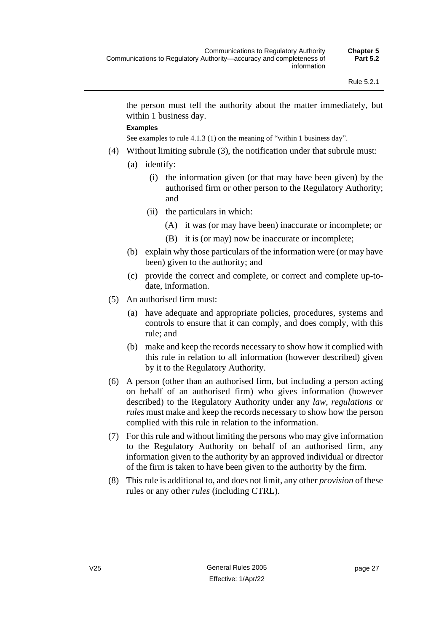the person must tell the authority about the matter immediately, but within 1 business day.

#### **Examples**

See examples to rule 4.1.3 (1) on the meaning of "within 1 business day".

- (4) Without limiting subrule (3), the notification under that subrule must:
	- (a) identify:
		- (i) the information given (or that may have been given) by the authorised firm or other person to the Regulatory Authority; and
		- (ii) the particulars in which:
			- (A) it was (or may have been) inaccurate or incomplete; or
			- (B) it is (or may) now be inaccurate or incomplete;
	- (b) explain why those particulars of the information were (or may have been) given to the authority; and
	- (c) provide the correct and complete, or correct and complete up-todate, information.
- (5) An authorised firm must:
	- (a) have adequate and appropriate policies, procedures, systems and controls to ensure that it can comply, and does comply, with this rule; and
	- (b) make and keep the records necessary to show how it complied with this rule in relation to all information (however described) given by it to the Regulatory Authority.
- (6) A person (other than an authorised firm, but including a person acting on behalf of an authorised firm) who gives information (however described) to the Regulatory Authority under any *law*, *regulations* or *rules* must make and keep the records necessary to show how the person complied with this rule in relation to the information.
- (7) For this rule and without limiting the persons who may give information to the Regulatory Authority on behalf of an authorised firm, any information given to the authority by an approved individual or director of the firm is taken to have been given to the authority by the firm.
- (8) This rule is additional to, and does not limit, any other *provision* of these rules or any other *rules* (including CTRL).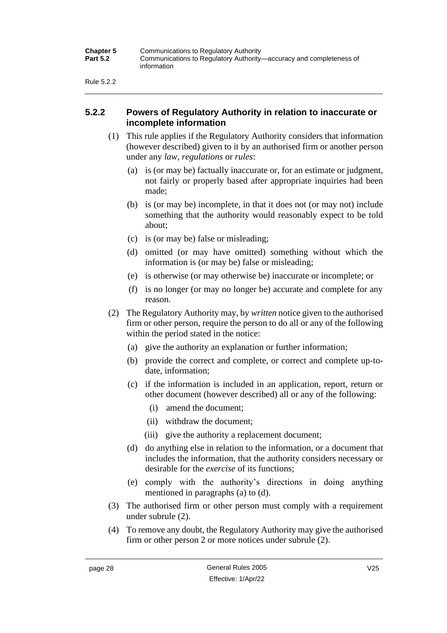Rule 5.2.2

#### **5.2.2 Powers of Regulatory Authority in relation to inaccurate or incomplete information**

- (1) This rule applies if the Regulatory Authority considers that information (however described) given to it by an authorised firm or another person under any *law*, *regulations* or *rules*:
	- (a) is (or may be) factually inaccurate or, for an estimate or judgment, not fairly or properly based after appropriate inquiries had been made;
	- (b) is (or may be) incomplete, in that it does not (or may not) include something that the authority would reasonably expect to be told about;
	- (c) is (or may be) false or misleading;
	- (d) omitted (or may have omitted) something without which the information is (or may be) false or misleading;
	- (e) is otherwise (or may otherwise be) inaccurate or incomplete; or
	- (f) is no longer (or may no longer be) accurate and complete for any reason.
- (2) The Regulatory Authority may, by *written* notice given to the authorised firm or other person, require the person to do all or any of the following within the period stated in the notice:
	- (a) give the authority an explanation or further information;
	- (b) provide the correct and complete, or correct and complete up-todate, information;
	- (c) if the information is included in an application, report, return or other document (however described) all or any of the following:
		- (i) amend the document;
		- (ii) withdraw the document;
		- (iii) give the authority a replacement document;
	- (d) do anything else in relation to the information, or a document that includes the information, that the authority considers necessary or desirable for the *exercise* of its functions;
	- (e) comply with the authority's directions in doing anything mentioned in paragraphs (a) to (d).
- (3) The authorised firm or other person must comply with a requirement under subrule (2).
- (4) To remove any doubt, the Regulatory Authority may give the authorised firm or other person 2 or more notices under subrule (2).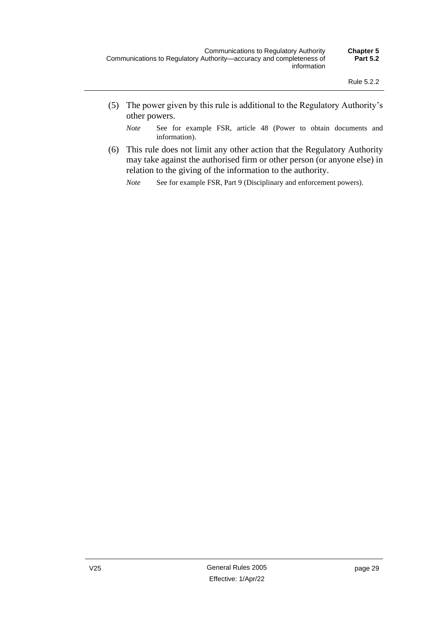(5) The power given by this rule is additional to the Regulatory Authority's other powers.

*Note* See for example FSR, article 48 (Power to obtain documents and information).

(6) This rule does not limit any other action that the Regulatory Authority may take against the authorised firm or other person (or anyone else) in relation to the giving of the information to the authority.

*Note* See for example FSR, Part 9 (Disciplinary and enforcement powers).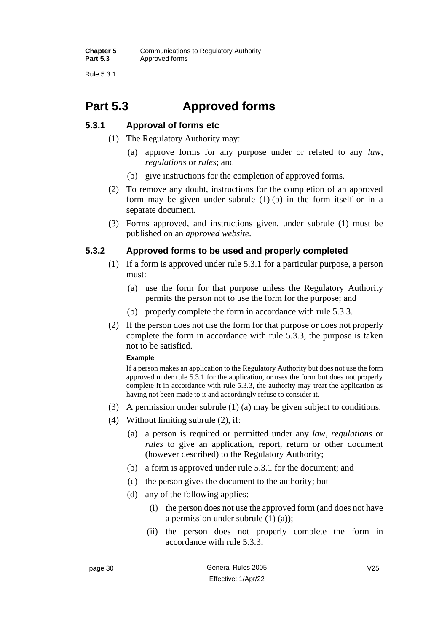Rule 5.3.1

## **Part 5.3 Approved forms**

### **5.3.1 Approval of forms etc**

- (1) The Regulatory Authority may:
	- (a) approve forms for any purpose under or related to any *law*, *regulations* or *rules*; and
	- (b) give instructions for the completion of approved forms.
- (2) To remove any doubt, instructions for the completion of an approved form may be given under subrule  $(1)$  (b) in the form itself or in a separate document.
- (3) Forms approved, and instructions given, under subrule (1) must be published on an *approved website*.

### **5.3.2 Approved forms to be used and properly completed**

- (1) If a form is approved under rule 5.3.1 for a particular purpose, a person must:
	- (a) use the form for that purpose unless the Regulatory Authority permits the person not to use the form for the purpose; and
	- (b) properly complete the form in accordance with rule 5.3.3.
- (2) If the person does not use the form for that purpose or does not properly complete the form in accordance with rule 5.3.3, the purpose is taken not to be satisfied.

#### **Example**

If a person makes an application to the Regulatory Authority but does not use the form approved under rule 5.3.1 for the application, or uses the form but does not properly complete it in accordance with rule 5.3.3, the authority may treat the application as having not been made to it and accordingly refuse to consider it.

- (3) A permission under subrule (1) (a) may be given subject to conditions.
- (4) Without limiting subrule (2), if:
	- (a) a person is required or permitted under any *law*, *regulations* or *rules* to give an application, report, return or other document (however described) to the Regulatory Authority;
	- (b) a form is approved under rule 5.3.1 for the document; and
	- (c) the person gives the document to the authority; but
	- (d) any of the following applies:
		- (i) the person does not use the approved form (and does not have a permission under subrule (1) (a));
		- (ii) the person does not properly complete the form in accordance with rule 5.3.3;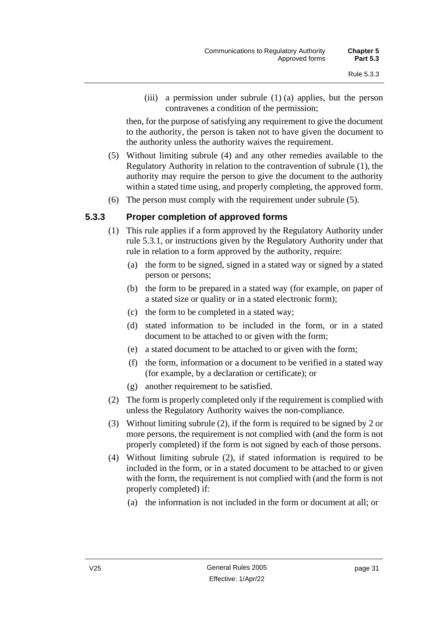(iii) a permission under subrule (1) (a) applies, but the person contravenes a condition of the permission;

then, for the purpose of satisfying any requirement to give the document to the authority, the person is taken not to have given the document to the authority unless the authority waives the requirement.

- (5) Without limiting subrule (4) and any other remedies available to the Regulatory Authority in relation to the contravention of subrule (1), the authority may require the person to give the document to the authority within a stated time using, and properly completing, the approved form.
- (6) The person must comply with the requirement under subrule (5).

#### **5.3.3 Proper completion of approved forms**

- (1) This rule applies if a form approved by the Regulatory Authority under rule 5.3.1, or instructions given by the Regulatory Authority under that rule in relation to a form approved by the authority, require:
	- (a) the form to be signed, signed in a stated way or signed by a stated person or persons;
	- (b) the form to be prepared in a stated way (for example, on paper of a stated size or quality or in a stated electronic form);
	- (c) the form to be completed in a stated way;
	- (d) stated information to be included in the form, or in a stated document to be attached to or given with the form;
	- (e) a stated document to be attached to or given with the form;
	- (f) the form, information or a document to be verified in a stated way (for example, by a declaration or certificate); or
	- (g) another requirement to be satisfied.
- (2) The form is properly completed only if the requirement is complied with unless the Regulatory Authority waives the non-compliance.
- (3) Without limiting subrule (2), if the form is required to be signed by 2 or more persons, the requirement is not complied with (and the form is not properly completed) if the form is not signed by each of those persons.
- (4) Without limiting subrule (2), if stated information is required to be included in the form, or in a stated document to be attached to or given with the form, the requirement is not complied with (and the form is not properly completed) if:
	- (a) the information is not included in the form or document at all; or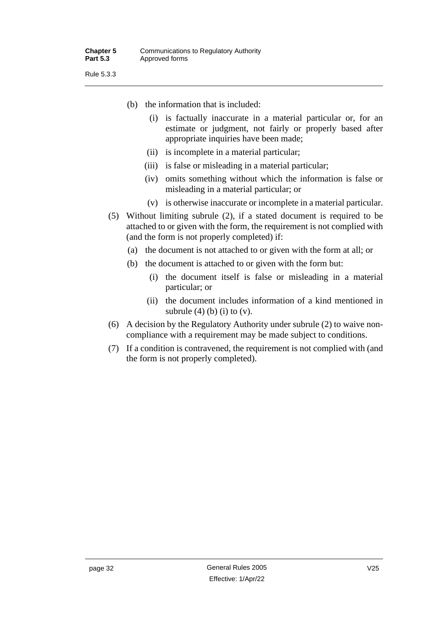Rule 5.3.3

- (b) the information that is included:
	- (i) is factually inaccurate in a material particular or, for an estimate or judgment, not fairly or properly based after appropriate inquiries have been made;
	- (ii) is incomplete in a material particular;
	- (iii) is false or misleading in a material particular;
	- (iv) omits something without which the information is false or misleading in a material particular; or
	- (v) is otherwise inaccurate or incomplete in a material particular.
- (5) Without limiting subrule (2), if a stated document is required to be attached to or given with the form, the requirement is not complied with (and the form is not properly completed) if:
	- (a) the document is not attached to or given with the form at all; or
	- (b) the document is attached to or given with the form but:
		- (i) the document itself is false or misleading in a material particular; or
		- (ii) the document includes information of a kind mentioned in subrule  $(4)$   $(b)$   $(i)$  to  $(v)$ .
- (6) A decision by the Regulatory Authority under subrule (2) to waive noncompliance with a requirement may be made subject to conditions.
- (7) If a condition is contravened, the requirement is not complied with (and the form is not properly completed).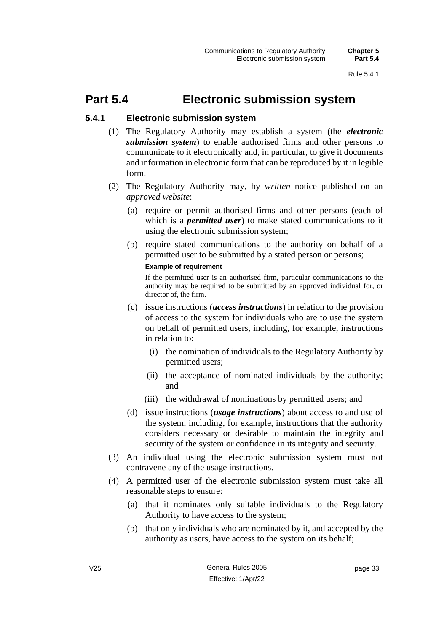## **Part 5.4 Electronic submission system**

### **5.4.1 Electronic submission system**

- (1) The Regulatory Authority may establish a system (the *electronic submission system*) to enable authorised firms and other persons to communicate to it electronically and, in particular, to give it documents and information in electronic form that can be reproduced by it in legible form.
- (2) The Regulatory Authority may, by *written* notice published on an *approved website*:
	- (a) require or permit authorised firms and other persons (each of which is a *permitted user*) to make stated communications to it using the electronic submission system;
	- (b) require stated communications to the authority on behalf of a permitted user to be submitted by a stated person or persons;

#### **Example of requirement**

If the permitted user is an authorised firm, particular communications to the authority may be required to be submitted by an approved individual for, or director of, the firm.

- (c) issue instructions (*access instructions*) in relation to the provision of access to the system for individuals who are to use the system on behalf of permitted users, including, for example, instructions in relation to:
	- (i) the nomination of individuals to the Regulatory Authority by permitted users;
	- (ii) the acceptance of nominated individuals by the authority; and
	- (iii) the withdrawal of nominations by permitted users; and
- (d) issue instructions (*usage instructions*) about access to and use of the system, including, for example, instructions that the authority considers necessary or desirable to maintain the integrity and security of the system or confidence in its integrity and security.
- (3) An individual using the electronic submission system must not contravene any of the usage instructions.
- (4) A permitted user of the electronic submission system must take all reasonable steps to ensure:
	- (a) that it nominates only suitable individuals to the Regulatory Authority to have access to the system;
	- (b) that only individuals who are nominated by it, and accepted by the authority as users, have access to the system on its behalf;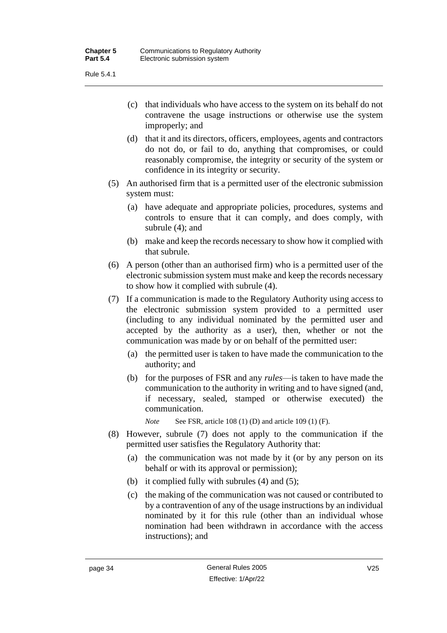- (c) that individuals who have access to the system on its behalf do not contravene the usage instructions or otherwise use the system improperly; and
- (d) that it and its directors, officers, employees, agents and contractors do not do, or fail to do, anything that compromises, or could reasonably compromise, the integrity or security of the system or confidence in its integrity or security.
- (5) An authorised firm that is a permitted user of the electronic submission system must:
	- (a) have adequate and appropriate policies, procedures, systems and controls to ensure that it can comply, and does comply, with subrule (4); and
	- (b) make and keep the records necessary to show how it complied with that subrule.
- (6) A person (other than an authorised firm) who is a permitted user of the electronic submission system must make and keep the records necessary to show how it complied with subrule (4).
- (7) If a communication is made to the Regulatory Authority using access to the electronic submission system provided to a permitted user (including to any individual nominated by the permitted user and accepted by the authority as a user), then, whether or not the communication was made by or on behalf of the permitted user:
	- (a) the permitted user is taken to have made the communication to the authority; and
	- (b) for the purposes of FSR and any *rules*—is taken to have made the communication to the authority in writing and to have signed (and, if necessary, sealed, stamped or otherwise executed) the communication.

*Note* See FSR, article 108 (1) (D) and article 109 (1) (F).

- (8) However, subrule (7) does not apply to the communication if the permitted user satisfies the Regulatory Authority that:
	- (a) the communication was not made by it (or by any person on its behalf or with its approval or permission);
	- (b) it complied fully with subrules (4) and (5);
	- (c) the making of the communication was not caused or contributed to by a contravention of any of the usage instructions by an individual nominated by it for this rule (other than an individual whose nomination had been withdrawn in accordance with the access instructions); and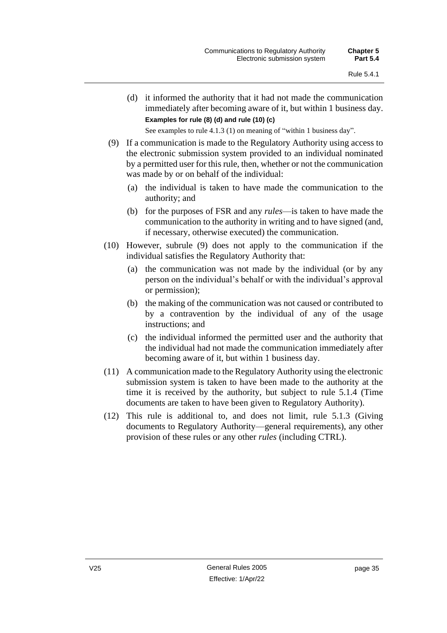(d) it informed the authority that it had not made the communication immediately after becoming aware of it, but within 1 business day. **Examples for rule (8) (d) and rule (10) (c)**

See examples to rule 4.1.3 (1) on meaning of "within 1 business day".

- (9) If a communication is made to the Regulatory Authority using access to the electronic submission system provided to an individual nominated by a permitted user for this rule, then, whether or not the communication was made by or on behalf of the individual:
	- (a) the individual is taken to have made the communication to the authority; and
	- (b) for the purposes of FSR and any *rules*—is taken to have made the communication to the authority in writing and to have signed (and, if necessary, otherwise executed) the communication.
- (10) However, subrule (9) does not apply to the communication if the individual satisfies the Regulatory Authority that:
	- (a) the communication was not made by the individual (or by any person on the individual's behalf or with the individual's approval or permission);
	- (b) the making of the communication was not caused or contributed to by a contravention by the individual of any of the usage instructions; and
	- (c) the individual informed the permitted user and the authority that the individual had not made the communication immediately after becoming aware of it, but within 1 business day.
- (11) A communication made to the Regulatory Authority using the electronic submission system is taken to have been made to the authority at the time it is received by the authority, but subject to rule 5.1.4 (Time documents are taken to have been given to Regulatory Authority).
- (12) This rule is additional to, and does not limit, rule 5.1.3 (Giving documents to Regulatory Authority—general requirements), any other provision of these rules or any other *rules* (including CTRL).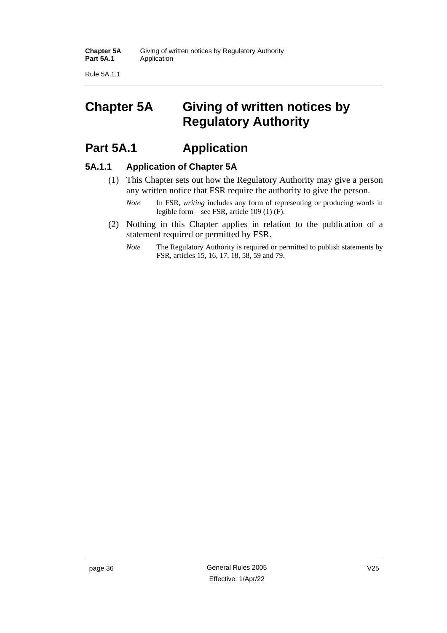Rule 5A.1.1

# **Chapter 5A Giving of written notices by Regulatory Authority**

## **Part 5A.1 Application**

#### **5A.1.1 Application of Chapter 5A**

- (1) This Chapter sets out how the Regulatory Authority may give a person any written notice that FSR require the authority to give the person.
	- *Note* In FSR, *writing* includes any form of representing or producing words in legible form—see FSR, article 109 (1) (F).
- (2) Nothing in this Chapter applies in relation to the publication of a statement required or permitted by FSR.
	- *Note* The Regulatory Authority is required or permitted to publish statements by FSR, articles 15, 16, 17, 18, 58, 59 and 79.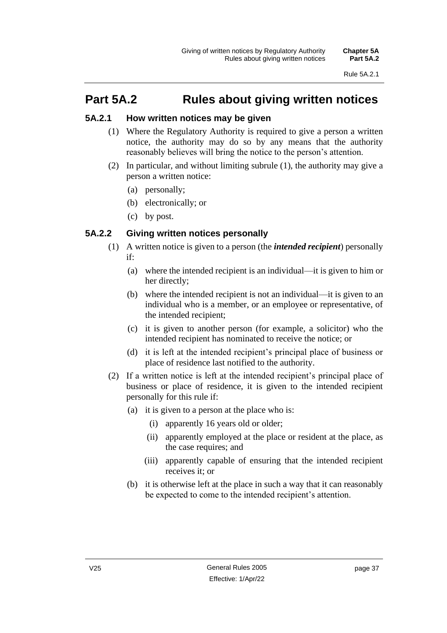# **Part 5A.2 Rules about giving written notices**

#### **5A.2.1 How written notices may be given**

- (1) Where the Regulatory Authority is required to give a person a written notice, the authority may do so by any means that the authority reasonably believes will bring the notice to the person's attention.
- (2) In particular, and without limiting subrule (1), the authority may give a person a written notice:
	- (a) personally;
	- (b) electronically; or
	- (c) by post.

### **5A.2.2 Giving written notices personally**

- (1) A written notice is given to a person (the *intended recipient*) personally if:
	- (a) where the intended recipient is an individual—it is given to him or her directly;
	- (b) where the intended recipient is not an individual—it is given to an individual who is a member, or an employee or representative, of the intended recipient;
	- (c) it is given to another person (for example, a solicitor) who the intended recipient has nominated to receive the notice; or
	- (d) it is left at the intended recipient's principal place of business or place of residence last notified to the authority.
- (2) If a written notice is left at the intended recipient's principal place of business or place of residence, it is given to the intended recipient personally for this rule if:
	- (a) it is given to a person at the place who is:
		- (i) apparently 16 years old or older;
		- (ii) apparently employed at the place or resident at the place, as the case requires; and
		- (iii) apparently capable of ensuring that the intended recipient receives it; or
	- (b) it is otherwise left at the place in such a way that it can reasonably be expected to come to the intended recipient's attention.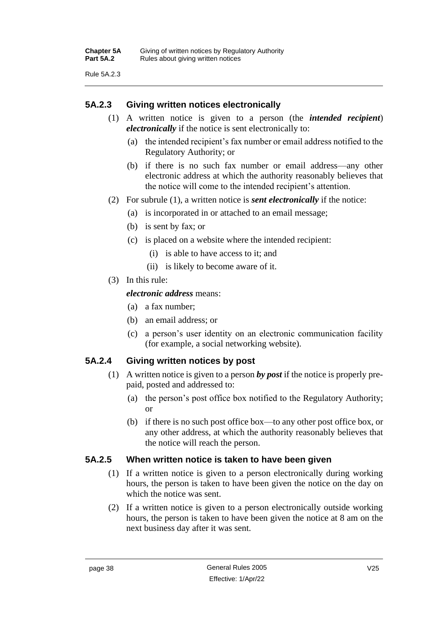Rule 5A.2.3

#### **5A.2.3 Giving written notices electronically**

- (1) A written notice is given to a person (the *intended recipient*) *electronically* if the notice is sent electronically to:
	- (a) the intended recipient's fax number or email address notified to the Regulatory Authority; or
	- (b) if there is no such fax number or email address—any other electronic address at which the authority reasonably believes that the notice will come to the intended recipient's attention.
- (2) For subrule (1), a written notice is *sent electronically* if the notice:
	- (a) is incorporated in or attached to an email message;
	- (b) is sent by fax; or
	- (c) is placed on a website where the intended recipient:
		- (i) is able to have access to it; and
		- (ii) is likely to become aware of it.
- (3) In this rule:

#### *electronic address* means:

- (a) a fax number;
- (b) an email address; or
- (c) a person's user identity on an electronic communication facility (for example, a social networking website).

#### **5A.2.4 Giving written notices by post**

- (1) A written notice is given to a person *by post* if the notice is properly prepaid, posted and addressed to:
	- (a) the person's post office box notified to the Regulatory Authority; or
	- (b) if there is no such post office box—to any other post office box, or any other address, at which the authority reasonably believes that the notice will reach the person.

#### **5A.2.5 When written notice is taken to have been given**

- (1) If a written notice is given to a person electronically during working hours, the person is taken to have been given the notice on the day on which the notice was sent.
- (2) If a written notice is given to a person electronically outside working hours, the person is taken to have been given the notice at 8 am on the next business day after it was sent.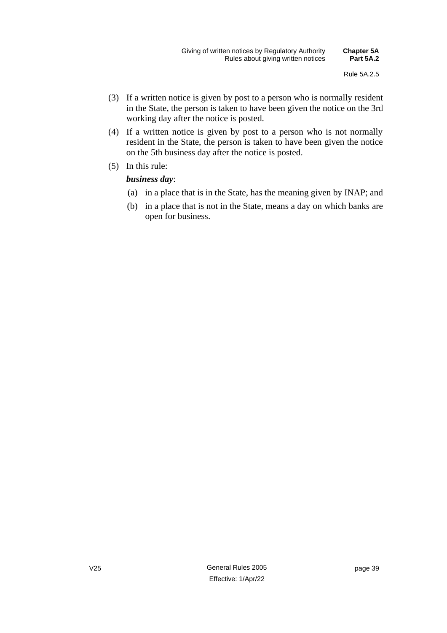- (3) If a written notice is given by post to a person who is normally resident in the State, the person is taken to have been given the notice on the 3rd working day after the notice is posted.
- (4) If a written notice is given by post to a person who is not normally resident in the State, the person is taken to have been given the notice on the 5th business day after the notice is posted.
- (5) In this rule:

#### *business day*:

- (a) in a place that is in the State, has the meaning given by INAP; and
- (b) in a place that is not in the State, means a day on which banks are open for business.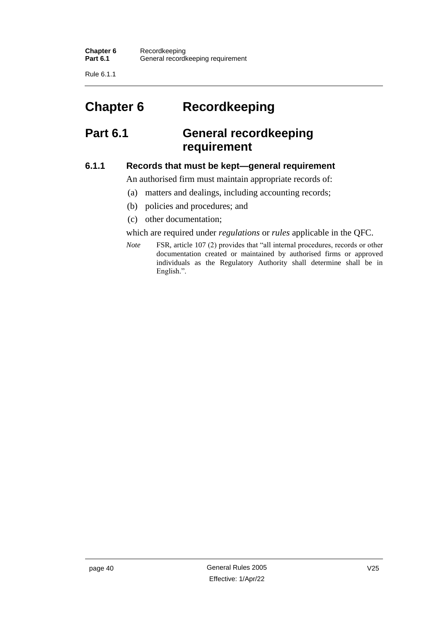Rule 6.1.1

# **Chapter 6 Recordkeeping**

## **Part 6.1 General recordkeeping requirement**

#### **6.1.1 Records that must be kept—general requirement**

An authorised firm must maintain appropriate records of:

- (a) matters and dealings, including accounting records;
- (b) policies and procedures; and
- (c) other documentation;

which are required under *regulations* or *rules* applicable in the QFC.

*Note* FSR, article 107 (2) provides that "all internal procedures, records or other documentation created or maintained by authorised firms or approved individuals as the Regulatory Authority shall determine shall be in English.".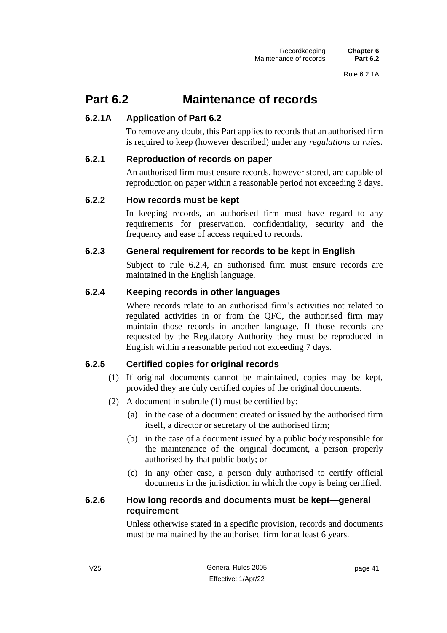## **Part 6.2 Maintenance of records**

### **6.2.1A Application of Part 6.2**

To remove any doubt, this Part applies to records that an authorised firm is required to keep (however described) under any *regulations* or *rules*.

#### **6.2.1 Reproduction of records on paper**

An authorised firm must ensure records, however stored, are capable of reproduction on paper within a reasonable period not exceeding 3 days.

#### **6.2.2 How records must be kept**

In keeping records, an authorised firm must have regard to any requirements for preservation, confidentiality, security and the frequency and ease of access required to records.

### **6.2.3 General requirement for records to be kept in English**

Subject to rule 6.2.4, an authorised firm must ensure records are maintained in the English language.

### **6.2.4 Keeping records in other languages**

Where records relate to an authorised firm's activities not related to regulated activities in or from the QFC, the authorised firm may maintain those records in another language. If those records are requested by the Regulatory Authority they must be reproduced in English within a reasonable period not exceeding 7 days.

### **6.2.5 Certified copies for original records**

- (1) If original documents cannot be maintained, copies may be kept, provided they are duly certified copies of the original documents.
- (2) A document in subrule (1) must be certified by:
	- (a) in the case of a document created or issued by the authorised firm itself, a director or secretary of the authorised firm;
	- (b) in the case of a document issued by a public body responsible for the maintenance of the original document, a person properly authorised by that public body; or
	- (c) in any other case, a person duly authorised to certify official documents in the jurisdiction in which the copy is being certified.

#### **6.2.6 How long records and documents must be kept—general requirement**

Unless otherwise stated in a specific provision, records and documents must be maintained by the authorised firm for at least 6 years.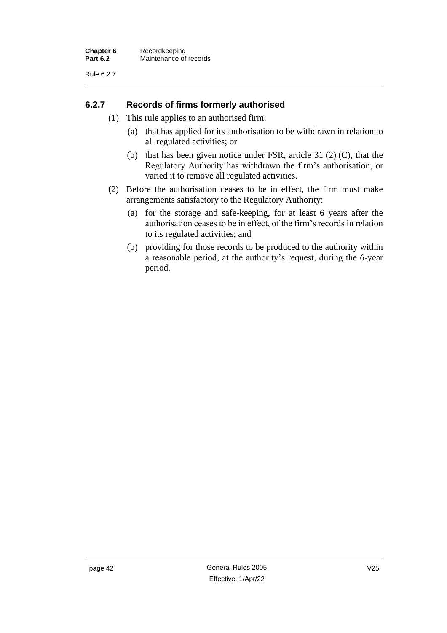#### **6.2.7 Records of firms formerly authorised**

- (1) This rule applies to an authorised firm:
	- (a) that has applied for its authorisation to be withdrawn in relation to all regulated activities; or
	- (b) that has been given notice under FSR, article 31 (2) (C), that the Regulatory Authority has withdrawn the firm's authorisation, or varied it to remove all regulated activities.
- (2) Before the authorisation ceases to be in effect, the firm must make arrangements satisfactory to the Regulatory Authority:
	- (a) for the storage and safe-keeping, for at least 6 years after the authorisation ceases to be in effect, of the firm's records in relation to its regulated activities; and
	- (b) providing for those records to be produced to the authority within a reasonable period, at the authority's request, during the 6-year period.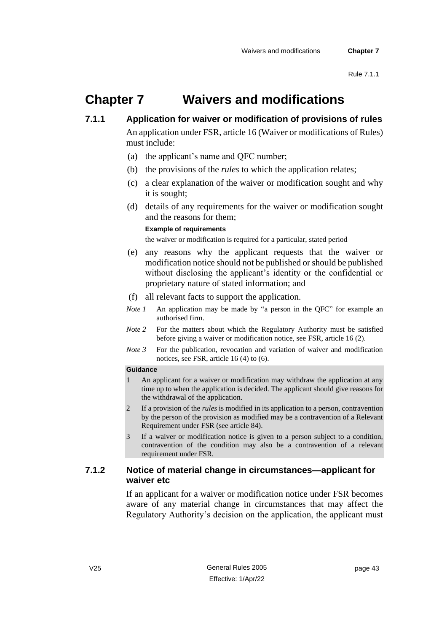# **Chapter 7 Waivers and modifications**

**7.1.1 Application for waiver or modification of provisions of rules**

An application under FSR, article 16 (Waiver or modifications of Rules) must include:

- (a) the applicant's name and QFC number;
- (b) the provisions of the *rules* to which the application relates;
- (c) a clear explanation of the waiver or modification sought and why it is sought;
- (d) details of any requirements for the waiver or modification sought and the reasons for them;

#### **Example of requirements**

the waiver or modification is required for a particular, stated period

- (e) any reasons why the applicant requests that the waiver or modification notice should not be published or should be published without disclosing the applicant's identity or the confidential or proprietary nature of stated information; and
- (f) all relevant facts to support the application.
- *Note 1* An application may be made by "a person in the QFC" for example an authorised firm.
- *Note 2* For the matters about which the Regulatory Authority must be satisfied before giving a waiver or modification notice, see FSR, article 16 (2).
- *Note 3* For the publication, revocation and variation of waiver and modification notices, see FSR, article 16 (4) to (6).

#### **Guidance**

- 1 An applicant for a waiver or modification may withdraw the application at any time up to when the application is decided. The applicant should give reasons for the withdrawal of the application.
- 2 If a provision of the *rules* is modified in its application to a person, contravention by the person of the provision as modified may be a contravention of a Relevant Requirement under FSR (see article 84).
- 3 If a waiver or modification notice is given to a person subject to a condition, contravention of the condition may also be a contravention of a relevant requirement under FSR.

#### **7.1.2 Notice of material change in circumstances—applicant for waiver etc**

If an applicant for a waiver or modification notice under FSR becomes aware of any material change in circumstances that may affect the Regulatory Authority's decision on the application, the applicant must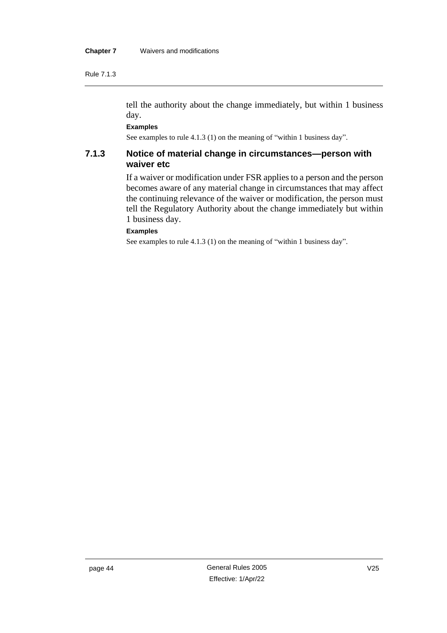Rule 7.1.3

tell the authority about the change immediately, but within 1 business day.

**Examples**

See examples to rule 4.1.3 (1) on the meaning of "within 1 business day".

#### **7.1.3 Notice of material change in circumstances—person with waiver etc**

If a waiver or modification under FSR applies to a person and the person becomes aware of any material change in circumstances that may affect the continuing relevance of the waiver or modification, the person must tell the Regulatory Authority about the change immediately but within 1 business day.

#### **Examples**

See examples to rule 4.1.3 (1) on the meaning of "within 1 business day".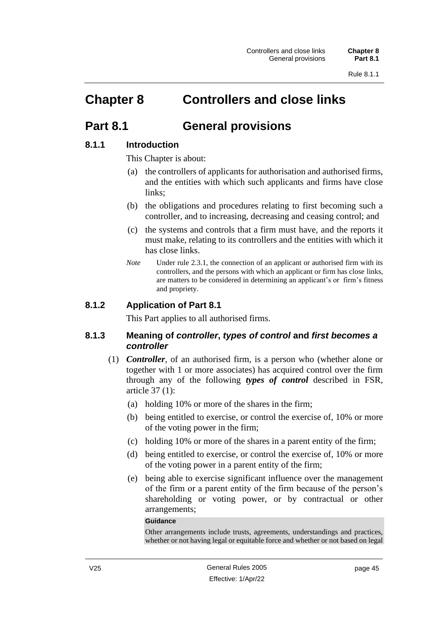# **Chapter 8 Controllers and close links**

### **Part 8.1 General provisions**

### **8.1.1 Introduction**

This Chapter is about:

- (a) the controllers of applicants for authorisation and authorised firms, and the entities with which such applicants and firms have close links;
- (b) the obligations and procedures relating to first becoming such a controller, and to increasing, decreasing and ceasing control; and
- (c) the systems and controls that a firm must have, and the reports it must make, relating to its controllers and the entities with which it has close links.
- *Note* Under rule 2.3.1, the connection of an applicant or authorised firm with its controllers, and the persons with which an applicant or firm has close links, are matters to be considered in determining an applicant's or firm's fitness and propriety.

#### **8.1.2 Application of Part 8.1**

This Part applies to all authorised firms.

#### **8.1.3 Meaning of** *controller***,** *types of control* **and** *first becomes a controller*

- (1) *Controller*, of an authorised firm, is a person who (whether alone or together with 1 or more associates) has acquired control over the firm through any of the following *types of control* described in FSR, article 37 (1):
	- (a) holding 10% or more of the shares in the firm;
	- (b) being entitled to exercise, or control the exercise of, 10% or more of the voting power in the firm;
	- (c) holding 10% or more of the shares in a parent entity of the firm;
	- (d) being entitled to exercise, or control the exercise of, 10% or more of the voting power in a parent entity of the firm;
	- (e) being able to exercise significant influence over the management of the firm or a parent entity of the firm because of the person's shareholding or voting power, or by contractual or other arrangements;

**Guidance**

Other arrangements include trusts, agreements, understandings and practices, whether or not having legal or equitable force and whether or not based on legal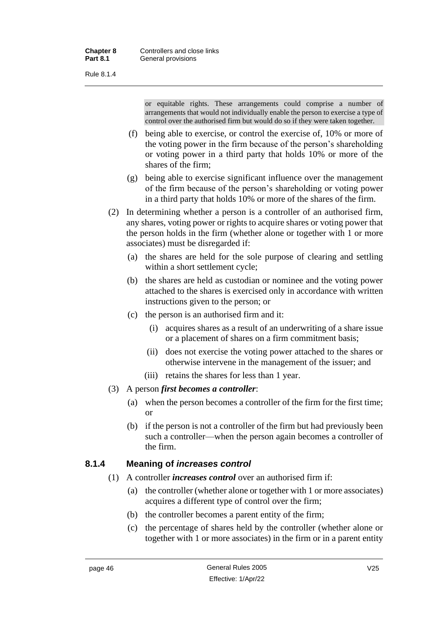Rule 8.1.4

or equitable rights. These arrangements could comprise a number of arrangements that would not individually enable the person to exercise a type of control over the authorised firm but would do so if they were taken together.

- (f) being able to exercise, or control the exercise of, 10% or more of the voting power in the firm because of the person's shareholding or voting power in a third party that holds 10% or more of the shares of the firm;
- (g) being able to exercise significant influence over the management of the firm because of the person's shareholding or voting power in a third party that holds 10% or more of the shares of the firm.
- (2) In determining whether a person is a controller of an authorised firm, any shares, voting power or rights to acquire shares or voting power that the person holds in the firm (whether alone or together with 1 or more associates) must be disregarded if:
	- (a) the shares are held for the sole purpose of clearing and settling within a short settlement cycle;
	- (b) the shares are held as custodian or nominee and the voting power attached to the shares is exercised only in accordance with written instructions given to the person; or
	- (c) the person is an authorised firm and it:
		- (i) acquires shares as a result of an underwriting of a share issue or a placement of shares on a firm commitment basis;
		- (ii) does not exercise the voting power attached to the shares or otherwise intervene in the management of the issuer; and
		- (iii) retains the shares for less than 1 year.
- (3) A person *first becomes a controller*:
	- (a) when the person becomes a controller of the firm for the first time; or
	- (b) if the person is not a controller of the firm but had previously been such a controller—when the person again becomes a controller of the firm.

### **8.1.4 Meaning of** *increases control*

- (1) A controller *increases control* over an authorised firm if:
	- (a) the controller (whether alone or together with 1 or more associates) acquires a different type of control over the firm;
	- (b) the controller becomes a parent entity of the firm;
	- (c) the percentage of shares held by the controller (whether alone or together with 1 or more associates) in the firm or in a parent entity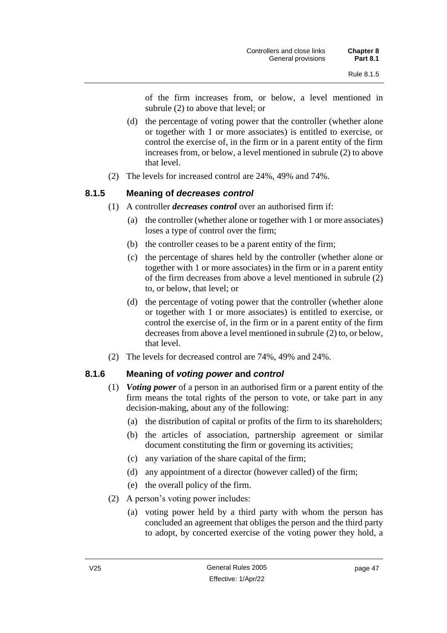of the firm increases from, or below, a level mentioned in subrule (2) to above that level; or

- (d) the percentage of voting power that the controller (whether alone or together with 1 or more associates) is entitled to exercise, or control the exercise of, in the firm or in a parent entity of the firm increases from, or below, a level mentioned in subrule (2) to above that level.
- (2) The levels for increased control are 24%, 49% and 74%.

### **8.1.5 Meaning of** *decreases control*

- (1) A controller *decreases control* over an authorised firm if:
	- (a) the controller (whether alone or together with 1 or more associates) loses a type of control over the firm;
	- (b) the controller ceases to be a parent entity of the firm;
	- (c) the percentage of shares held by the controller (whether alone or together with 1 or more associates) in the firm or in a parent entity of the firm decreases from above a level mentioned in subrule (2) to, or below, that level; or
	- (d) the percentage of voting power that the controller (whether alone or together with 1 or more associates) is entitled to exercise, or control the exercise of, in the firm or in a parent entity of the firm decreases from above a level mentioned in subrule (2) to, or below, that level.
- (2) The levels for decreased control are 74%, 49% and 24%.

### **8.1.6 Meaning of** *voting power* **and** *control*

- (1) *Voting power* of a person in an authorised firm or a parent entity of the firm means the total rights of the person to vote, or take part in any decision-making, about any of the following:
	- (a) the distribution of capital or profits of the firm to its shareholders;
	- (b) the articles of association, partnership agreement or similar document constituting the firm or governing its activities;
	- (c) any variation of the share capital of the firm;
	- (d) any appointment of a director (however called) of the firm;
	- (e) the overall policy of the firm.
- (2) A person's voting power includes:
	- (a) voting power held by a third party with whom the person has concluded an agreement that obliges the person and the third party to adopt, by concerted exercise of the voting power they hold, a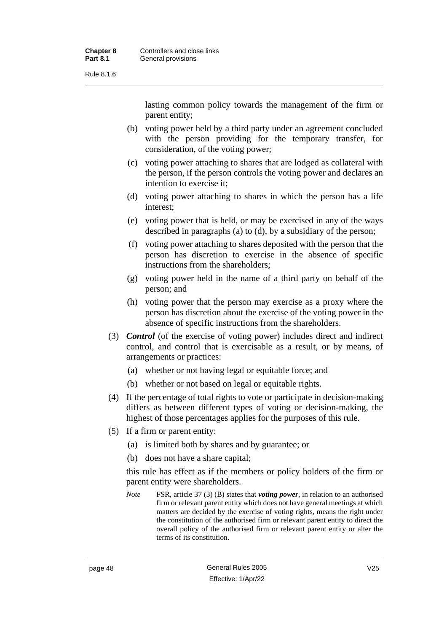Rule 8.1.6

lasting common policy towards the management of the firm or parent entity;

- (b) voting power held by a third party under an agreement concluded with the person providing for the temporary transfer, for consideration, of the voting power;
- (c) voting power attaching to shares that are lodged as collateral with the person, if the person controls the voting power and declares an intention to exercise it;
- (d) voting power attaching to shares in which the person has a life interest;
- (e) voting power that is held, or may be exercised in any of the ways described in paragraphs (a) to (d), by a subsidiary of the person;
- (f) voting power attaching to shares deposited with the person that the person has discretion to exercise in the absence of specific instructions from the shareholders;
- (g) voting power held in the name of a third party on behalf of the person; and
- (h) voting power that the person may exercise as a proxy where the person has discretion about the exercise of the voting power in the absence of specific instructions from the shareholders.
- (3) *Control* (of the exercise of voting power) includes direct and indirect control, and control that is exercisable as a result, or by means, of arrangements or practices:
	- (a) whether or not having legal or equitable force; and
	- (b) whether or not based on legal or equitable rights.
- (4) If the percentage of total rights to vote or participate in decision-making differs as between different types of voting or decision-making, the highest of those percentages applies for the purposes of this rule.
- (5) If a firm or parent entity:
	- (a) is limited both by shares and by guarantee; or
	- (b) does not have a share capital;

this rule has effect as if the members or policy holders of the firm or parent entity were shareholders.

*Note* FSR, article 37 (3) (B) states that *voting power*, in relation to an authorised firm or relevant parent entity which does not have general meetings at which matters are decided by the exercise of voting rights, means the right under the constitution of the authorised firm or relevant parent entity to direct the overall policy of the authorised firm or relevant parent entity or alter the terms of its constitution.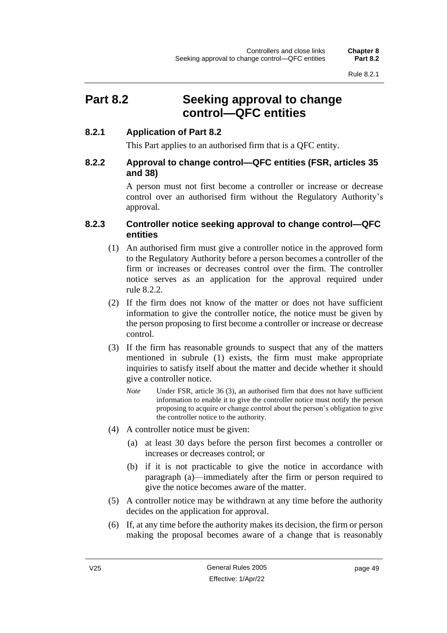## **Part 8.2 Seeking approval to change control—QFC entities**

#### **8.2.1 Application of Part 8.2**

This Part applies to an authorised firm that is a QFC entity.

#### **8.2.2 Approval to change control—QFC entities (FSR, articles 35 and 38)**

A person must not first become a controller or increase or decrease control over an authorised firm without the Regulatory Authority's approval.

#### **8.2.3 Controller notice seeking approval to change control—QFC entities**

- (1) An authorised firm must give a controller notice in the approved form to the Regulatory Authority before a person becomes a controller of the firm or increases or decreases control over the firm. The controller notice serves as an application for the approval required under rule 8.2.2.
- (2) If the firm does not know of the matter or does not have sufficient information to give the controller notice, the notice must be given by the person proposing to first become a controller or increase or decrease control.
- (3) If the firm has reasonable grounds to suspect that any of the matters mentioned in subrule (1) exists, the firm must make appropriate inquiries to satisfy itself about the matter and decide whether it should give a controller notice.
	- *Note* Under FSR, article 36 (3), an authorised firm that does not have sufficient information to enable it to give the controller notice must notify the person proposing to acquire or change control about the person's obligation to give the controller notice to the authority.
- (4) A controller notice must be given:
	- (a) at least 30 days before the person first becomes a controller or increases or decreases control; or
	- (b) if it is not practicable to give the notice in accordance with paragraph (a)—immediately after the firm or person required to give the notice becomes aware of the matter.
- (5) A controller notice may be withdrawn at any time before the authority decides on the application for approval.
- (6) If, at any time before the authority makes its decision, the firm or person making the proposal becomes aware of a change that is reasonably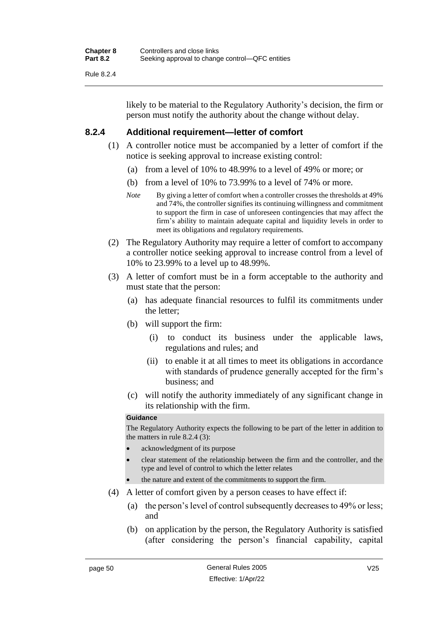Rule 8.2.4

likely to be material to the Regulatory Authority's decision, the firm or person must notify the authority about the change without delay.

#### **8.2.4 Additional requirement—letter of comfort**

- (1) A controller notice must be accompanied by a letter of comfort if the notice is seeking approval to increase existing control:
	- (a) from a level of 10% to 48.99% to a level of 49% or more; or
	- (b) from a level of 10% to 73.99% to a level of 74% or more.
	- *Note* By giving a letter of comfort when a controller crosses the thresholds at 49% and 74%, the controller signifies its continuing willingness and commitment to support the firm in case of unforeseen contingencies that may affect the firm's ability to maintain adequate capital and liquidity levels in order to meet its obligations and regulatory requirements.
- (2) The Regulatory Authority may require a letter of comfort to accompany a controller notice seeking approval to increase control from a level of 10% to 23.99% to a level up to 48.99%.
- (3) A letter of comfort must be in a form acceptable to the authority and must state that the person:
	- (a) has adequate financial resources to fulfil its commitments under the letter;
	- (b) will support the firm:
		- (i) to conduct its business under the applicable laws, regulations and rules; and
		- (ii) to enable it at all times to meet its obligations in accordance with standards of prudence generally accepted for the firm's business; and
	- (c) will notify the authority immediately of any significant change in its relationship with the firm.

#### **Guidance**

The Regulatory Authority expects the following to be part of the letter in addition to the matters in rule 8.2.4 (3):

- acknowledgment of its purpose
- clear statement of the relationship between the firm and the controller, and the type and level of control to which the letter relates
- the nature and extent of the commitments to support the firm.
- (4) A letter of comfort given by a person ceases to have effect if:
	- (a) the person's level of control subsequently decreases to 49% or less; and
	- (b) on application by the person, the Regulatory Authority is satisfied (after considering the person's financial capability, capital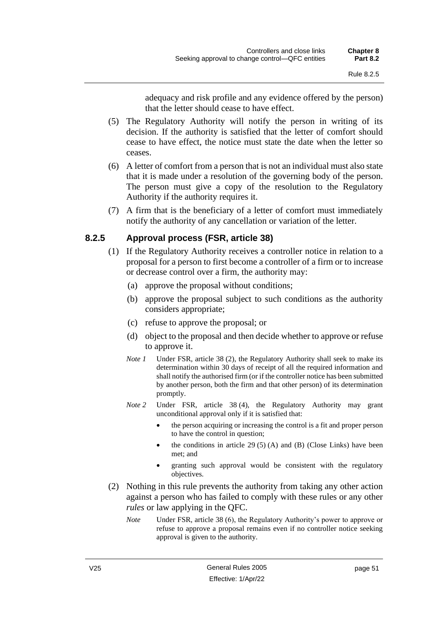adequacy and risk profile and any evidence offered by the person) that the letter should cease to have effect.

- (5) The Regulatory Authority will notify the person in writing of its decision. If the authority is satisfied that the letter of comfort should cease to have effect, the notice must state the date when the letter so ceases.
- (6) A letter of comfort from a person that is not an individual must also state that it is made under a resolution of the governing body of the person. The person must give a copy of the resolution to the Regulatory Authority if the authority requires it.
- (7) A firm that is the beneficiary of a letter of comfort must immediately notify the authority of any cancellation or variation of the letter.

### **8.2.5 Approval process (FSR, article 38)**

- (1) If the Regulatory Authority receives a controller notice in relation to a proposal for a person to first become a controller of a firm or to increase or decrease control over a firm, the authority may:
	- (a) approve the proposal without conditions;
	- (b) approve the proposal subject to such conditions as the authority considers appropriate;
	- (c) refuse to approve the proposal; or
	- (d) object to the proposal and then decide whether to approve or refuse to approve it.
	- *Note 1* Under FSR, article 38 (2), the Regulatory Authority shall seek to make its determination within 30 days of receipt of all the required information and shall notify the authorised firm (or if the controller notice has been submitted by another person, both the firm and that other person) of its determination promptly.
	- *Note 2* Under FSR, article 38 (4), the Regulatory Authority may grant unconditional approval only if it is satisfied that:
		- the person acquiring or increasing the control is a fit and proper person to have the control in question;
		- the conditions in article 29 (5) (A) and (B) (Close Links) have been met; and
		- granting such approval would be consistent with the regulatory objectives.
- (2) Nothing in this rule prevents the authority from taking any other action against a person who has failed to comply with these rules or any other *rules* or law applying in the OFC.
	- *Note* Under FSR, article 38 (6), the Regulatory Authority's power to approve or refuse to approve a proposal remains even if no controller notice seeking approval is given to the authority.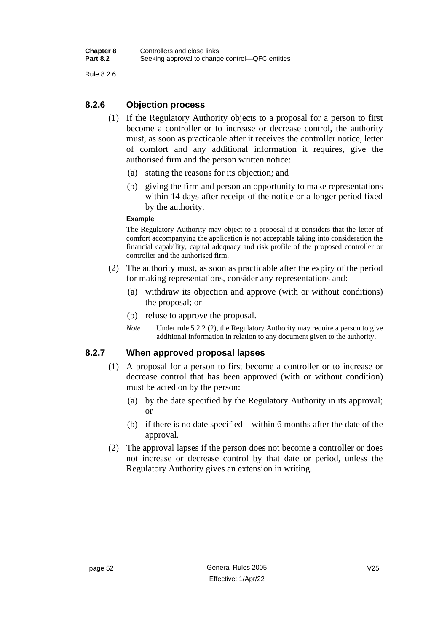Rule 8.2.6

### **8.2.6 Objection process**

- (1) If the Regulatory Authority objects to a proposal for a person to first become a controller or to increase or decrease control, the authority must, as soon as practicable after it receives the controller notice, letter of comfort and any additional information it requires, give the authorised firm and the person written notice:
	- (a) stating the reasons for its objection; and
	- (b) giving the firm and person an opportunity to make representations within 14 days after receipt of the notice or a longer period fixed by the authority.

#### **Example**

The Regulatory Authority may object to a proposal if it considers that the letter of comfort accompanying the application is not acceptable taking into consideration the financial capability, capital adequacy and risk profile of the proposed controller or controller and the authorised firm.

- (2) The authority must, as soon as practicable after the expiry of the period for making representations, consider any representations and:
	- (a) withdraw its objection and approve (with or without conditions) the proposal; or
	- (b) refuse to approve the proposal.
	- *Note* Under rule 5.2.2 (2), the Regulatory Authority may require a person to give additional information in relation to any document given to the authority.

#### **8.2.7 When approved proposal lapses**

- (1) A proposal for a person to first become a controller or to increase or decrease control that has been approved (with or without condition) must be acted on by the person:
	- (a) by the date specified by the Regulatory Authority in its approval; or
	- (b) if there is no date specified—within 6 months after the date of the approval.
- (2) The approval lapses if the person does not become a controller or does not increase or decrease control by that date or period, unless the Regulatory Authority gives an extension in writing.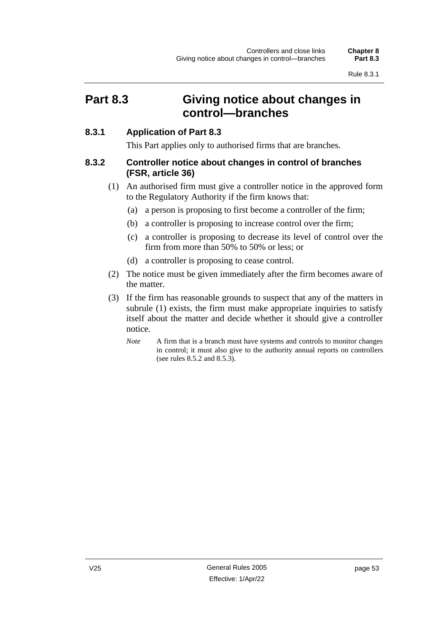## **Part 8.3 Giving notice about changes in control—branches**

#### **8.3.1 Application of Part 8.3**

This Part applies only to authorised firms that are branches.

#### **8.3.2 Controller notice about changes in control of branches (FSR, article 36)**

- (1) An authorised firm must give a controller notice in the approved form to the Regulatory Authority if the firm knows that:
	- (a) a person is proposing to first become a controller of the firm;
	- (b) a controller is proposing to increase control over the firm;
	- (c) a controller is proposing to decrease its level of control over the firm from more than 50% to 50% or less; or
	- (d) a controller is proposing to cease control.
- (2) The notice must be given immediately after the firm becomes aware of the matter.
- (3) If the firm has reasonable grounds to suspect that any of the matters in subrule (1) exists, the firm must make appropriate inquiries to satisfy itself about the matter and decide whether it should give a controller notice.
	- *Note* A firm that is a branch must have systems and controls to monitor changes in control; it must also give to the authority annual reports on controllers (see rules 8.5.2 and 8.5.3).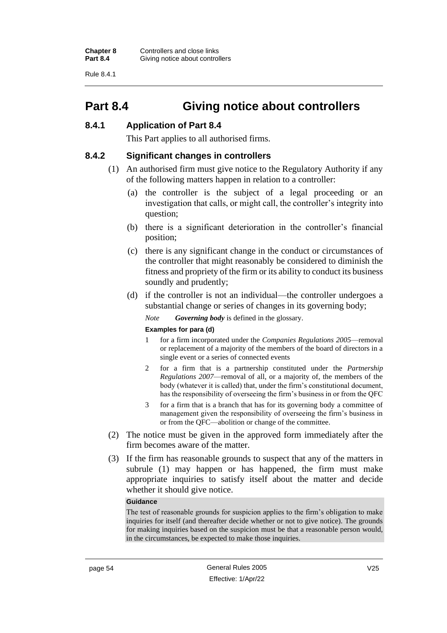Rule 8.4.1

## **Part 8.4 Giving notice about controllers**

#### **8.4.1 Application of Part 8.4**

This Part applies to all authorised firms.

#### **8.4.2 Significant changes in controllers**

- (1) An authorised firm must give notice to the Regulatory Authority if any of the following matters happen in relation to a controller:
	- (a) the controller is the subject of a legal proceeding or an investigation that calls, or might call, the controller's integrity into question;
	- (b) there is a significant deterioration in the controller's financial position;
	- (c) there is any significant change in the conduct or circumstances of the controller that might reasonably be considered to diminish the fitness and propriety of the firm or its ability to conduct its business soundly and prudently;
	- (d) if the controller is not an individual—the controller undergoes a substantial change or series of changes in its governing body;

*Note Governing body* is defined in the glossary.

#### **Examples for para (d)**

- 1 for a firm incorporated under the *Companies Regulations 2005*—removal or replacement of a majority of the members of the board of directors in a single event or a series of connected events
- 2 for a firm that is a partnership constituted under the *Partnership Regulations 2007*—removal of all, or a majority of, the members of the body (whatever it is called) that, under the firm's constitutional document, has the responsibility of overseeing the firm's business in or from the QFC
- 3 for a firm that is a branch that has for its governing body a committee of management given the responsibility of overseeing the firm's business in or from the QFC—abolition or change of the committee.
- (2) The notice must be given in the approved form immediately after the firm becomes aware of the matter.
- (3) If the firm has reasonable grounds to suspect that any of the matters in subrule (1) may happen or has happened, the firm must make appropriate inquiries to satisfy itself about the matter and decide whether it should give notice.

#### **Guidance**

The test of reasonable grounds for suspicion applies to the firm's obligation to make inquiries for itself (and thereafter decide whether or not to give notice). The grounds for making inquiries based on the suspicion must be that a reasonable person would, in the circumstances, be expected to make those inquiries.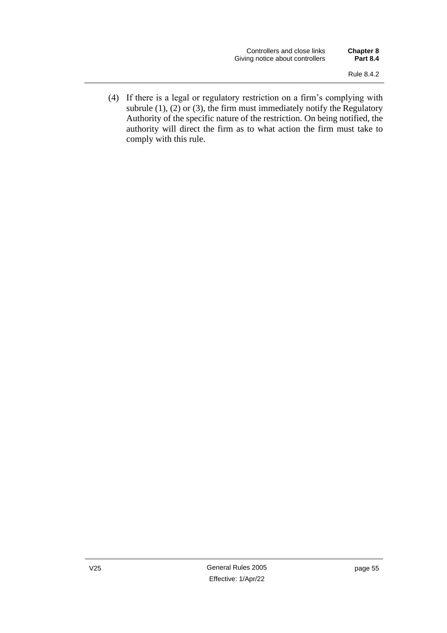(4) If there is a legal or regulatory restriction on a firm's complying with subrule  $(1)$ ,  $(2)$  or  $(3)$ , the firm must immediately notify the Regulatory Authority of the specific nature of the restriction. On being notified, the authority will direct the firm as to what action the firm must take to comply with this rule.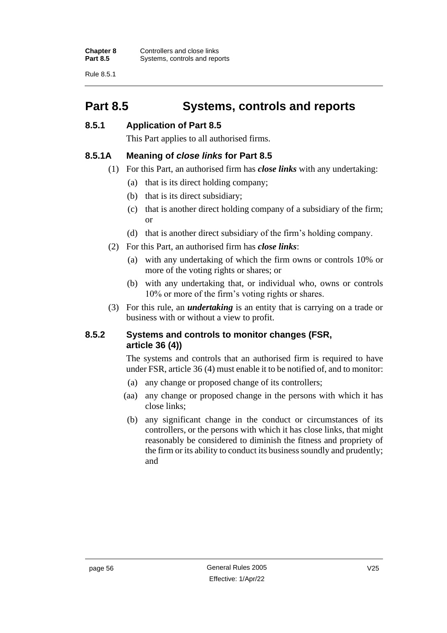Rule 8.5.1

# **Part 8.5 Systems, controls and reports**

#### **8.5.1 Application of Part 8.5**

This Part applies to all authorised firms.

#### **8.5.1A Meaning of** *close links* **for Part 8.5**

- (1) For this Part, an authorised firm has *close links* with any undertaking:
	- (a) that is its direct holding company;
	- (b) that is its direct subsidiary;
	- (c) that is another direct holding company of a subsidiary of the firm; or
	- (d) that is another direct subsidiary of the firm's holding company.
- (2) For this Part, an authorised firm has *close links*:
	- (a) with any undertaking of which the firm owns or controls 10% or more of the voting rights or shares; or
	- (b) with any undertaking that, or individual who, owns or controls 10% or more of the firm's voting rights or shares.
- (3) For this rule, an *undertaking* is an entity that is carrying on a trade or business with or without a view to profit.

#### **8.5.2 Systems and controls to monitor changes (FSR, article 36 (4))**

The systems and controls that an authorised firm is required to have under FSR, article 36 (4) must enable it to be notified of, and to monitor:

- (a) any change or proposed change of its controllers;
- (aa) any change or proposed change in the persons with which it has close links;
- (b) any significant change in the conduct or circumstances of its controllers, or the persons with which it has close links, that might reasonably be considered to diminish the fitness and propriety of the firm or its ability to conduct its business soundly and prudently; and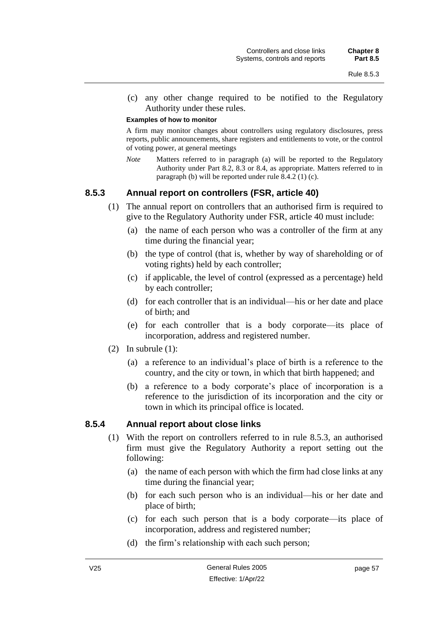(c) any other change required to be notified to the Regulatory Authority under these rules.

#### **Examples of how to monitor**

A firm may monitor changes about controllers using regulatory disclosures, press reports, public announcements, share registers and entitlements to vote, or the control of voting power, at general meetings

*Note* Matters referred to in paragraph (a) will be reported to the Regulatory Authority under Part 8.2, 8.3 or 8.4, as appropriate. Matters referred to in paragraph (b) will be reported under rule 8.4.2 (1) (c).

#### **8.5.3 Annual report on controllers (FSR, article 40)**

- (1) The annual report on controllers that an authorised firm is required to give to the Regulatory Authority under FSR, article 40 must include:
	- (a) the name of each person who was a controller of the firm at any time during the financial year;
	- (b) the type of control (that is, whether by way of shareholding or of voting rights) held by each controller;
	- (c) if applicable, the level of control (expressed as a percentage) held by each controller;
	- (d) for each controller that is an individual—his or her date and place of birth; and
	- (e) for each controller that is a body corporate—its place of incorporation, address and registered number.
- (2) In subrule  $(1)$ :
	- (a) a reference to an individual's place of birth is a reference to the country, and the city or town, in which that birth happened; and
	- (b) a reference to a body corporate's place of incorporation is a reference to the jurisdiction of its incorporation and the city or town in which its principal office is located.

#### **8.5.4 Annual report about close links**

- (1) With the report on controllers referred to in rule 8.5.3, an authorised firm must give the Regulatory Authority a report setting out the following:
	- (a) the name of each person with which the firm had close links at any time during the financial year;
	- (b) for each such person who is an individual—his or her date and place of birth;
	- (c) for each such person that is a body corporate—its place of incorporation, address and registered number;
	- (d) the firm's relationship with each such person;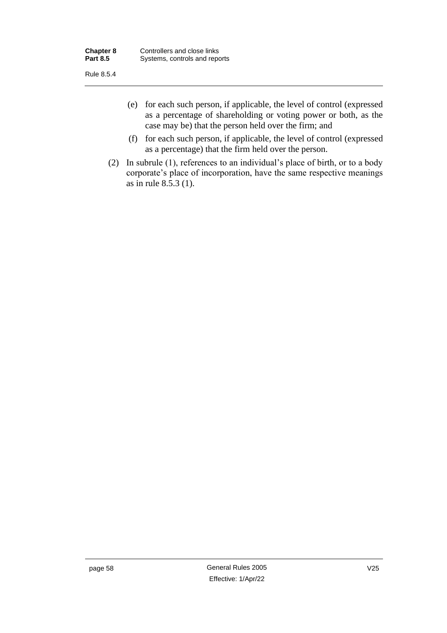Rule 8.5.4

- (e) for each such person, if applicable, the level of control (expressed as a percentage of shareholding or voting power or both, as the case may be) that the person held over the firm; and
- (f) for each such person, if applicable, the level of control (expressed as a percentage) that the firm held over the person.
- (2) In subrule (1), references to an individual's place of birth, or to a body corporate's place of incorporation, have the same respective meanings as in rule 8.5.3 (1).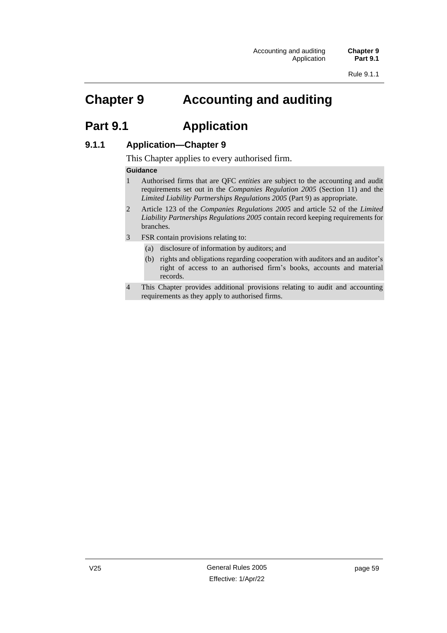# **Chapter 9 Accounting and auditing**

## **Part 9.1 Application**

#### **9.1.1 Application—Chapter 9**

This Chapter applies to every authorised firm.

#### **Guidance**

- 1 Authorised firms that are QFC *entities* are subject to the accounting and audit requirements set out in the *Companies Regulation 2005* (Section 11) and the *Limited Liability Partnerships Regulations 2005* (Part 9) as appropriate.
- 2 Article 123 of the *Companies Regulations 2005* and article 52 of the *Limited Liability Partnerships Regulations 2005* contain record keeping requirements for branches.
- 3 FSR contain provisions relating to:
	- (a) disclosure of information by auditors; and
	- (b) rights and obligations regarding cooperation with auditors and an auditor's right of access to an authorised firm's books, accounts and material records.
- 4 This Chapter provides additional provisions relating to audit and accounting requirements as they apply to authorised firms.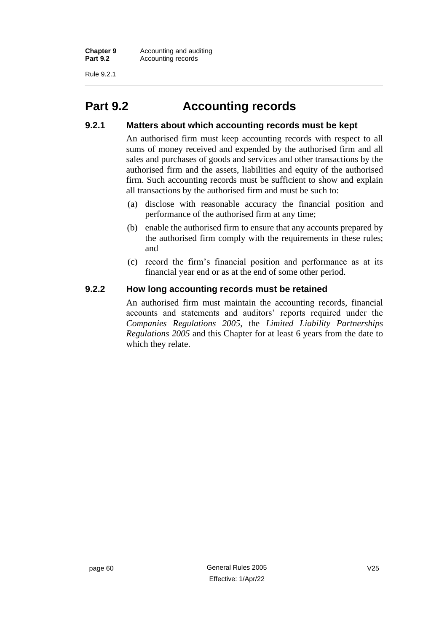Rule 9.2.1

# **Part 9.2 Accounting records**

#### **9.2.1 Matters about which accounting records must be kept**

An authorised firm must keep accounting records with respect to all sums of money received and expended by the authorised firm and all sales and purchases of goods and services and other transactions by the authorised firm and the assets, liabilities and equity of the authorised firm. Such accounting records must be sufficient to show and explain all transactions by the authorised firm and must be such to:

- (a) disclose with reasonable accuracy the financial position and performance of the authorised firm at any time;
- (b) enable the authorised firm to ensure that any accounts prepared by the authorised firm comply with the requirements in these rules; and
- (c) record the firm's financial position and performance as at its financial year end or as at the end of some other period.

#### **9.2.2 How long accounting records must be retained**

An authorised firm must maintain the accounting records, financial accounts and statements and auditors' reports required under the *Companies Regulations 2005*, the *Limited Liability Partnerships Regulations 2005* and this Chapter for at least 6 years from the date to which they relate.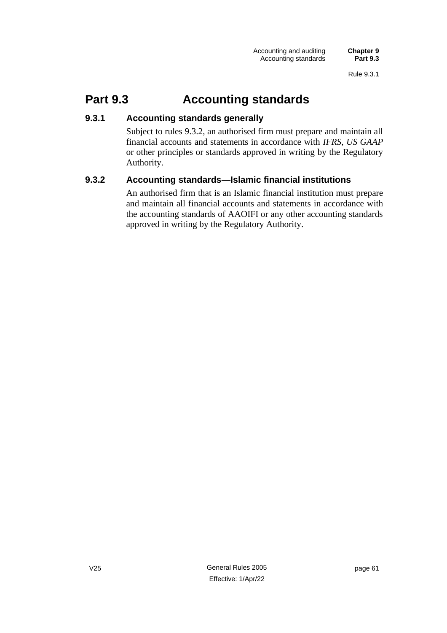# **Part 9.3 Accounting standards**

#### **9.3.1 Accounting standards generally**

Subject to rules 9.3.2, an authorised firm must prepare and maintain all financial accounts and statements in accordance with *IFRS*, *US GAAP* or other principles or standards approved in writing by the Regulatory Authority.

#### **9.3.2 Accounting standards—Islamic financial institutions**

An authorised firm that is an Islamic financial institution must prepare and maintain all financial accounts and statements in accordance with the accounting standards of AAOIFI or any other accounting standards approved in writing by the Regulatory Authority.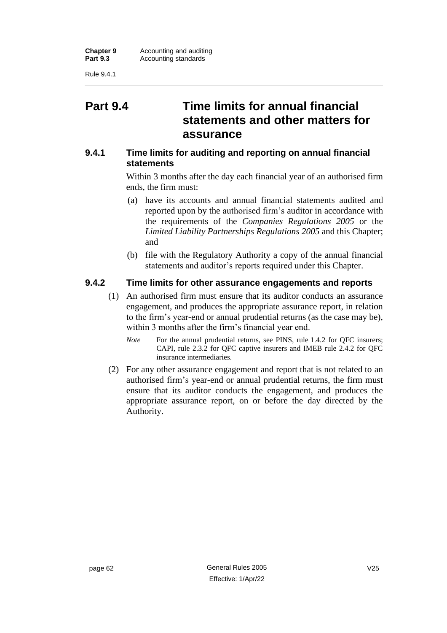Rule 9.4.1

## **Part 9.4 Time limits for annual financial statements and other matters for assurance**

#### **9.4.1 Time limits for auditing and reporting on annual financial statements**

Within 3 months after the day each financial year of an authorised firm ends, the firm must:

- (a) have its accounts and annual financial statements audited and reported upon by the authorised firm's auditor in accordance with the requirements of the *Companies Regulations 2005* or the *Limited Liability Partnerships Regulations 2005* and this Chapter; and
- (b) file with the Regulatory Authority a copy of the annual financial statements and auditor's reports required under this Chapter.

#### **9.4.2 Time limits for other assurance engagements and reports**

(1) An authorised firm must ensure that its auditor conducts an assurance engagement, and produces the appropriate assurance report, in relation to the firm's year-end or annual prudential returns (as the case may be), within 3 months after the firm's financial year end.

*Note* For the annual prudential returns, see PINS, rule 1.4.2 for OFC insurers; CAPI, rule 2.3.2 for QFC captive insurers and IMEB rule 2.4.2 for QFC insurance intermediaries.

(2) For any other assurance engagement and report that is not related to an authorised firm's year-end or annual prudential returns, the firm must ensure that its auditor conducts the engagement, and produces the appropriate assurance report, on or before the day directed by the Authority.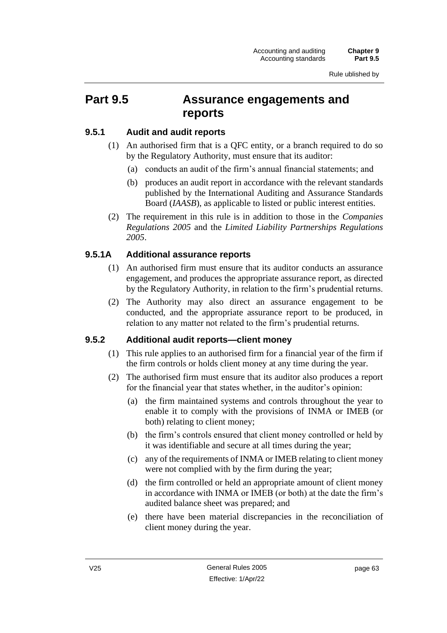# **Part 9.5 Assurance engagements and reports**

## **9.5.1 Audit and audit reports**

- (1) An authorised firm that is a QFC entity, or a branch required to do so by the Regulatory Authority, must ensure that its auditor:
	- (a) conducts an audit of the firm's annual financial statements; and
	- (b) produces an audit report in accordance with the relevant standards published by the International Auditing and Assurance Standards Board (*IAASB*), as applicable to listed or public interest entities.
- (2) The requirement in this rule is in addition to those in the *Companies Regulations 2005* and the *Limited Liability Partnerships Regulations 2005*.

# **9.5.1A Additional assurance reports**

- (1) An authorised firm must ensure that its auditor conducts an assurance engagement, and produces the appropriate assurance report, as directed by the Regulatory Authority, in relation to the firm's prudential returns.
- (2) The Authority may also direct an assurance engagement to be conducted, and the appropriate assurance report to be produced, in relation to any matter not related to the firm's prudential returns.

# **9.5.2 Additional audit reports—client money**

- (1) This rule applies to an authorised firm for a financial year of the firm if the firm controls or holds client money at any time during the year.
- (2) The authorised firm must ensure that its auditor also produces a report for the financial year that states whether, in the auditor's opinion:
	- (a) the firm maintained systems and controls throughout the year to enable it to comply with the provisions of INMA or IMEB (or both) relating to client money;
	- (b) the firm's controls ensured that client money controlled or held by it was identifiable and secure at all times during the year;
	- (c) any of the requirements of INMA or IMEB relating to client money were not complied with by the firm during the year;
	- (d) the firm controlled or held an appropriate amount of client money in accordance with INMA or IMEB (or both) at the date the firm's audited balance sheet was prepared; and
	- (e) there have been material discrepancies in the reconciliation of client money during the year.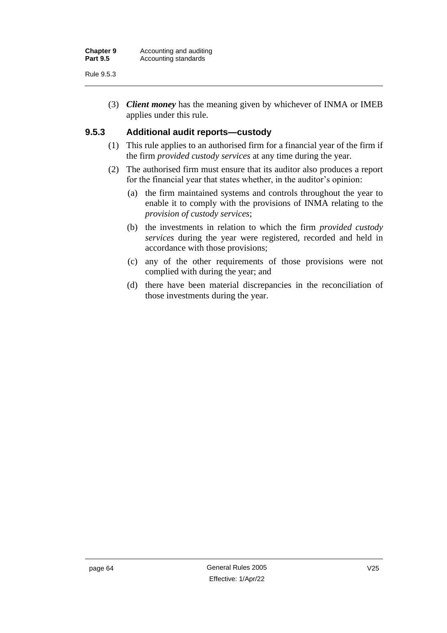(3) *Client money* has the meaning given by whichever of INMA or IMEB applies under this rule.

## **9.5.3 Additional audit reports—custody**

- (1) This rule applies to an authorised firm for a financial year of the firm if the firm *provided custody services* at any time during the year.
- (2) The authorised firm must ensure that its auditor also produces a report for the financial year that states whether, in the auditor's opinion:
	- (a) the firm maintained systems and controls throughout the year to enable it to comply with the provisions of INMA relating to the *provision of custody services*;
	- (b) the investments in relation to which the firm *provided custody services* during the year were registered, recorded and held in accordance with those provisions;
	- (c) any of the other requirements of those provisions were not complied with during the year; and
	- (d) there have been material discrepancies in the reconciliation of those investments during the year.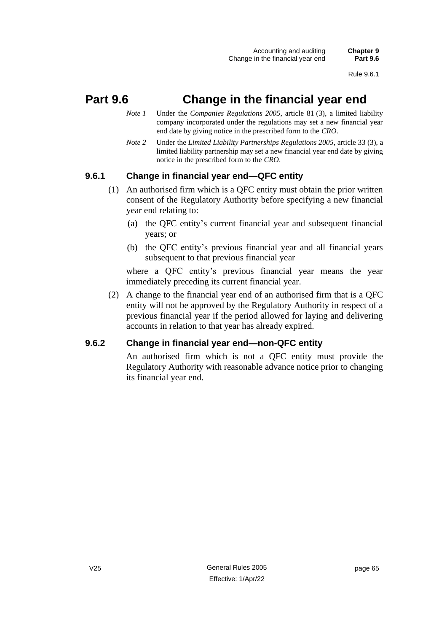# **Part 9.6 Change in the financial year end**

- *Note 1* Under the *Companies Regulations 2005*, article 81 (3), a limited liability company incorporated under the regulations may set a new financial year end date by giving notice in the prescribed form to the *CRO*.
- *Note 2* Under the *Limited Liability Partnerships Regulations 2005*, article 33 (3), a limited liability partnership may set a new financial year end date by giving notice in the prescribed form to the *CRO*.

## **9.6.1 Change in financial year end—QFC entity**

- (1) An authorised firm which is a QFC entity must obtain the prior written consent of the Regulatory Authority before specifying a new financial year end relating to:
	- (a) the QFC entity's current financial year and subsequent financial years; or
	- (b) the QFC entity's previous financial year and all financial years subsequent to that previous financial year

where a QFC entity's previous financial year means the year immediately preceding its current financial year.

(2) A change to the financial year end of an authorised firm that is a QFC entity will not be approved by the Regulatory Authority in respect of a previous financial year if the period allowed for laying and delivering accounts in relation to that year has already expired.

## **9.6.2 Change in financial year end—non-QFC entity**

An authorised firm which is not a QFC entity must provide the Regulatory Authority with reasonable advance notice prior to changing its financial year end.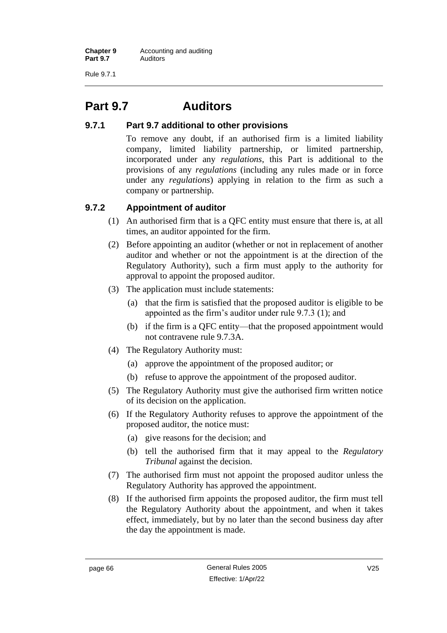Rule 9.7.1

# **Part 9.7 Auditors**

## **9.7.1 Part 9.7 additional to other provisions**

To remove any doubt, if an authorised firm is a limited liability company, limited liability partnership, or limited partnership, incorporated under any *regulations*, this Part is additional to the provisions of any *regulations* (including any rules made or in force under any *regulations*) applying in relation to the firm as such a company or partnership.

## **9.7.2 Appointment of auditor**

- (1) An authorised firm that is a QFC entity must ensure that there is, at all times, an auditor appointed for the firm.
- (2) Before appointing an auditor (whether or not in replacement of another auditor and whether or not the appointment is at the direction of the Regulatory Authority), such a firm must apply to the authority for approval to appoint the proposed auditor.
- (3) The application must include statements:
	- (a) that the firm is satisfied that the proposed auditor is eligible to be appointed as the firm's auditor under rule 9.7.3 (1); and
	- (b) if the firm is a QFC entity—that the proposed appointment would not contravene rule 9.7.3A.
- (4) The Regulatory Authority must:
	- (a) approve the appointment of the proposed auditor; or
	- (b) refuse to approve the appointment of the proposed auditor.
- (5) The Regulatory Authority must give the authorised firm written notice of its decision on the application.
- (6) If the Regulatory Authority refuses to approve the appointment of the proposed auditor, the notice must:
	- (a) give reasons for the decision; and
	- (b) tell the authorised firm that it may appeal to the *Regulatory Tribunal* against the decision.
- (7) The authorised firm must not appoint the proposed auditor unless the Regulatory Authority has approved the appointment.
- (8) If the authorised firm appoints the proposed auditor, the firm must tell the Regulatory Authority about the appointment, and when it takes effect, immediately, but by no later than the second business day after the day the appointment is made.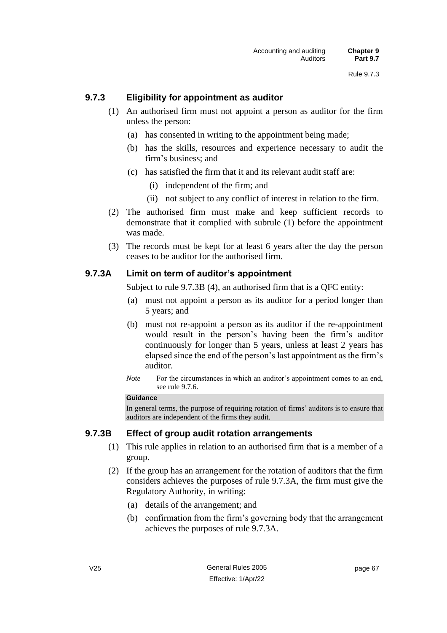## **9.7.3 Eligibility for appointment as auditor**

- (1) An authorised firm must not appoint a person as auditor for the firm unless the person:
	- (a) has consented in writing to the appointment being made;
	- (b) has the skills, resources and experience necessary to audit the firm's business; and
	- (c) has satisfied the firm that it and its relevant audit staff are:
		- (i) independent of the firm; and
		- (ii) not subject to any conflict of interest in relation to the firm.
- (2) The authorised firm must make and keep sufficient records to demonstrate that it complied with subrule (1) before the appointment was made.
- (3) The records must be kept for at least 6 years after the day the person ceases to be auditor for the authorised firm.

## **9.7.3A Limit on term of auditor's appointment**

Subject to rule 9.7.3B (4), an authorised firm that is a QFC entity:

- (a) must not appoint a person as its auditor for a period longer than 5 years; and
- (b) must not re-appoint a person as its auditor if the re-appointment would result in the person's having been the firm's auditor continuously for longer than 5 years, unless at least 2 years has elapsed since the end of the person's last appointment as the firm's auditor.
- *Note* For the circumstances in which an auditor's appointment comes to an end, see rule 9.7.6.

### **Guidance**

In general terms, the purpose of requiring rotation of firms' auditors is to ensure that auditors are independent of the firms they audit.

## **9.7.3B Effect of group audit rotation arrangements**

- (1) This rule applies in relation to an authorised firm that is a member of a group.
- (2) If the group has an arrangement for the rotation of auditors that the firm considers achieves the purposes of rule 9.7.3A, the firm must give the Regulatory Authority, in writing:
	- (a) details of the arrangement; and
	- (b) confirmation from the firm's governing body that the arrangement achieves the purposes of rule 9.7.3A.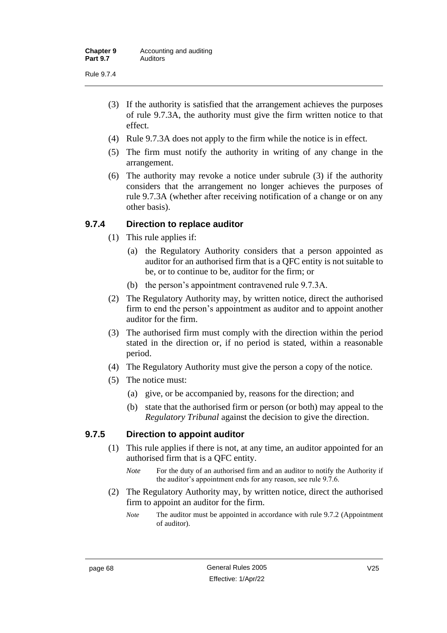- (3) If the authority is satisfied that the arrangement achieves the purposes of rule 9.7.3A, the authority must give the firm written notice to that effect.
- (4) Rule 9.7.3A does not apply to the firm while the notice is in effect.
- (5) The firm must notify the authority in writing of any change in the arrangement.
- (6) The authority may revoke a notice under subrule (3) if the authority considers that the arrangement no longer achieves the purposes of rule 9.7.3A (whether after receiving notification of a change or on any other basis).

## **9.7.4 Direction to replace auditor**

- (1) This rule applies if:
	- (a) the Regulatory Authority considers that a person appointed as auditor for an authorised firm that is a QFC entity is not suitable to be, or to continue to be, auditor for the firm; or
	- (b) the person's appointment contravened rule 9.7.3A.
- (2) The Regulatory Authority may, by written notice, direct the authorised firm to end the person's appointment as auditor and to appoint another auditor for the firm.
- (3) The authorised firm must comply with the direction within the period stated in the direction or, if no period is stated, within a reasonable period.
- (4) The Regulatory Authority must give the person a copy of the notice.
- (5) The notice must:
	- (a) give, or be accompanied by, reasons for the direction; and
	- (b) state that the authorised firm or person (or both) may appeal to the *Regulatory Tribunal* against the decision to give the direction.

## **9.7.5 Direction to appoint auditor**

- (1) This rule applies if there is not, at any time, an auditor appointed for an authorised firm that is a QFC entity.
	- *Note* For the duty of an authorised firm and an auditor to notify the Authority if the auditor's appointment ends for any reason, see rule 9.7.6.
- (2) The Regulatory Authority may, by written notice, direct the authorised firm to appoint an auditor for the firm.

*Note* The auditor must be appointed in accordance with rule 9.7.2 (Appointment of auditor).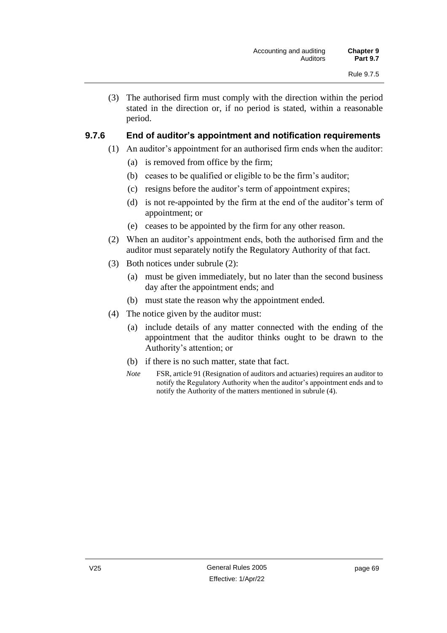(3) The authorised firm must comply with the direction within the period stated in the direction or, if no period is stated, within a reasonable period.

## **9.7.6 End of auditor's appointment and notification requirements**

- (1) An auditor's appointment for an authorised firm ends when the auditor:
	- (a) is removed from office by the firm;
	- (b) ceases to be qualified or eligible to be the firm's auditor;
	- (c) resigns before the auditor's term of appointment expires;
	- (d) is not re-appointed by the firm at the end of the auditor's term of appointment; or
	- (e) ceases to be appointed by the firm for any other reason.
- (2) When an auditor's appointment ends, both the authorised firm and the auditor must separately notify the Regulatory Authority of that fact.
- (3) Both notices under subrule (2):
	- (a) must be given immediately, but no later than the second business day after the appointment ends; and
	- (b) must state the reason why the appointment ended.
- (4) The notice given by the auditor must:
	- (a) include details of any matter connected with the ending of the appointment that the auditor thinks ought to be drawn to the Authority's attention; or
	- (b) if there is no such matter, state that fact.
	- *Note* FSR, article 91 (Resignation of auditors and actuaries) requires an auditor to notify the Regulatory Authority when the auditor's appointment ends and to notify the Authority of the matters mentioned in subrule (4).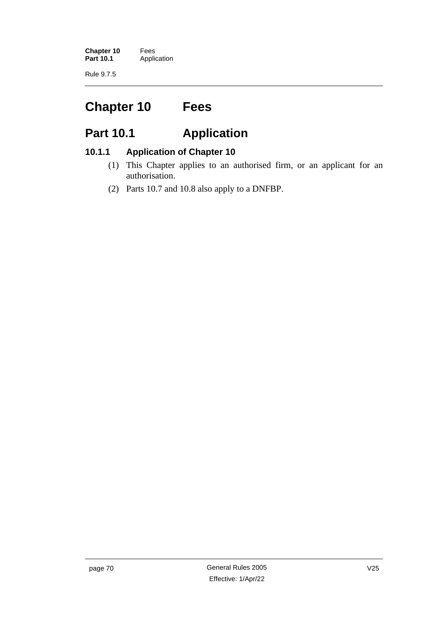**Chapter 10** Fees<br>**Part 10.1** Applic **Application** 

Rule 9.7.5

# **Chapter 10 Fees**

# **Part 10.1 Application**

## **10.1.1 Application of Chapter 10**

- (1) This Chapter applies to an authorised firm, or an applicant for an authorisation.
- (2) Parts 10.7 and 10.8 also apply to a DNFBP.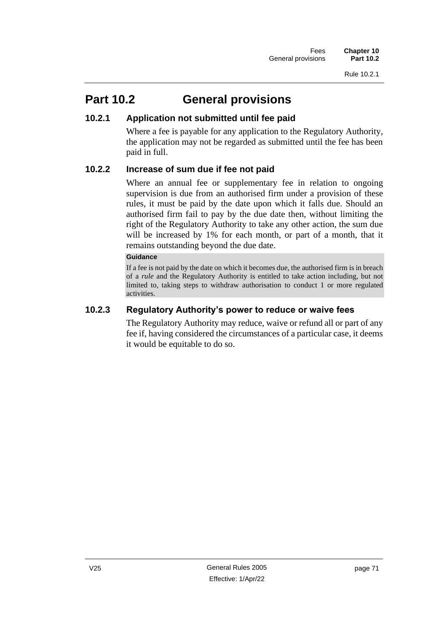# **Part 10.2 General provisions**

## **10.2.1 Application not submitted until fee paid**

Where a fee is payable for any application to the Regulatory Authority, the application may not be regarded as submitted until the fee has been paid in full.

## **10.2.2 Increase of sum due if fee not paid**

Where an annual fee or supplementary fee in relation to ongoing supervision is due from an authorised firm under a provision of these rules, it must be paid by the date upon which it falls due. Should an authorised firm fail to pay by the due date then, without limiting the right of the Regulatory Authority to take any other action, the sum due will be increased by 1% for each month, or part of a month, that it remains outstanding beyond the due date.

### **Guidance**

If a fee is not paid by the date on which it becomes due, the authorised firm is in breach of a *rule* and the Regulatory Authority is entitled to take action including, but not limited to, taking steps to withdraw authorisation to conduct 1 or more regulated activities.

## **10.2.3 Regulatory Authority's power to reduce or waive fees**

The Regulatory Authority may reduce, waive or refund all or part of any fee if, having considered the circumstances of a particular case, it deems it would be equitable to do so.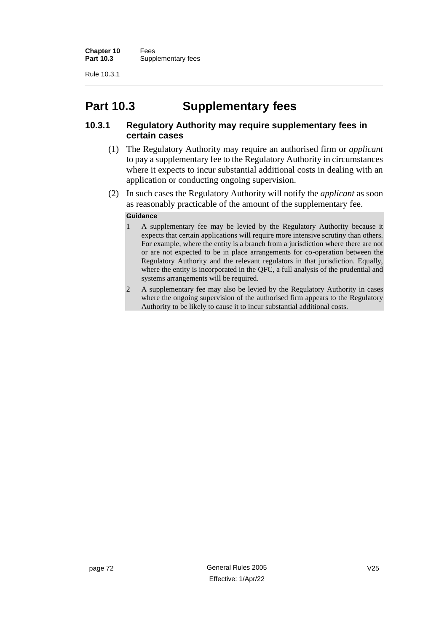# **Part 10.3 Supplementary fees**

## **10.3.1 Regulatory Authority may require supplementary fees in certain cases**

- (1) The Regulatory Authority may require an authorised firm or *applicant* to pay a supplementary fee to the Regulatory Authority in circumstances where it expects to incur substantial additional costs in dealing with an application or conducting ongoing supervision.
- (2) In such cases the Regulatory Authority will notify the *applicant* as soon as reasonably practicable of the amount of the supplementary fee.

#### **Guidance**

- 1 A supplementary fee may be levied by the Regulatory Authority because it expects that certain applications will require more intensive scrutiny than others. For example, where the entity is a branch from a jurisdiction where there are not or are not expected to be in place arrangements for co-operation between the Regulatory Authority and the relevant regulators in that jurisdiction. Equally, where the entity is incorporated in the QFC, a full analysis of the prudential and systems arrangements will be required.
- 2 A supplementary fee may also be levied by the Regulatory Authority in cases where the ongoing supervision of the authorised firm appears to the Regulatory Authority to be likely to cause it to incur substantial additional costs.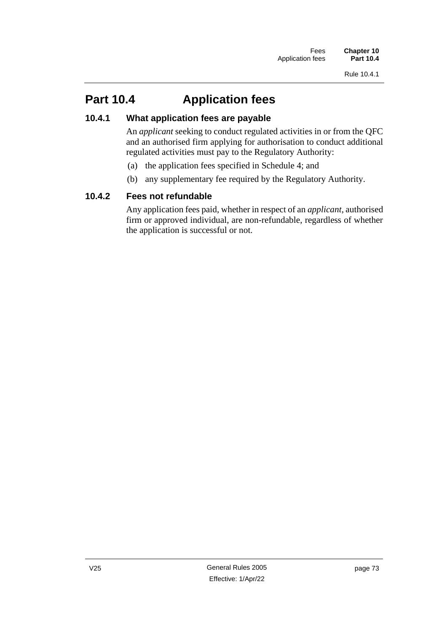# **Part 10.4 Application fees**

## **10.4.1 What application fees are payable**

An *applicant* seeking to conduct regulated activities in or from the QFC and an authorised firm applying for authorisation to conduct additional regulated activities must pay to the Regulatory Authority:

- (a) the application fees specified in Schedule 4; and
- (b) any supplementary fee required by the Regulatory Authority.

## **10.4.2 Fees not refundable**

Any application fees paid, whether in respect of an *applicant*, authorised firm or approved individual, are non-refundable, regardless of whether the application is successful or not.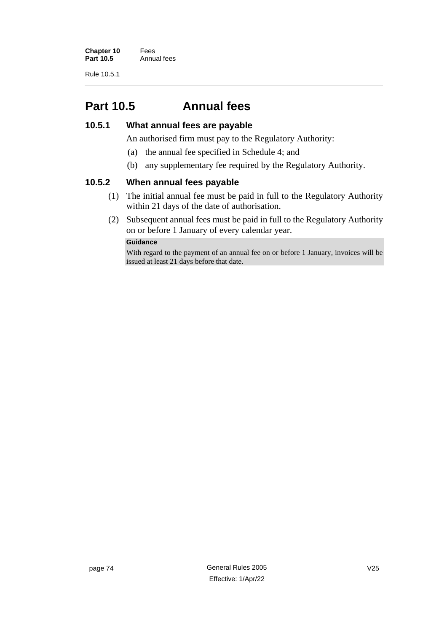# **Part 10.5 Annual fees**

## **10.5.1 What annual fees are payable**

An authorised firm must pay to the Regulatory Authority:

- (a) the annual fee specified in Schedule 4; and
- (b) any supplementary fee required by the Regulatory Authority.

### **10.5.2 When annual fees payable**

- (1) The initial annual fee must be paid in full to the Regulatory Authority within 21 days of the date of authorisation.
- (2) Subsequent annual fees must be paid in full to the Regulatory Authority on or before 1 January of every calendar year.

### **Guidance**

With regard to the payment of an annual fee on or before 1 January, invoices will be issued at least 21 days before that date.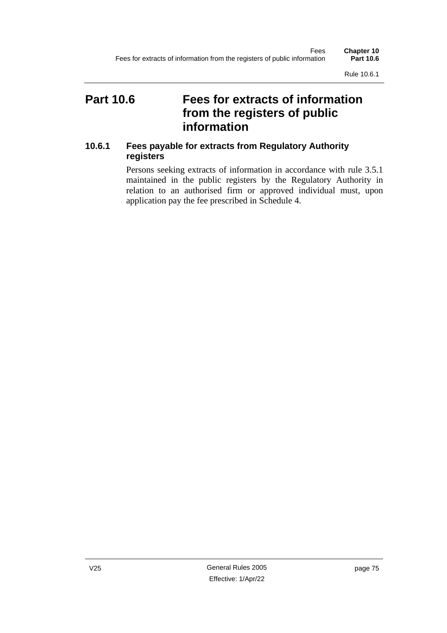Rule 10.6.1

# **Part 10.6 Fees for extracts of information from the registers of public information**

## **10.6.1 Fees payable for extracts from Regulatory Authority registers**

Persons seeking extracts of information in accordance with rule 3.5.1 maintained in the public registers by the Regulatory Authority in relation to an authorised firm or approved individual must, upon application pay the fee prescribed in Schedule 4.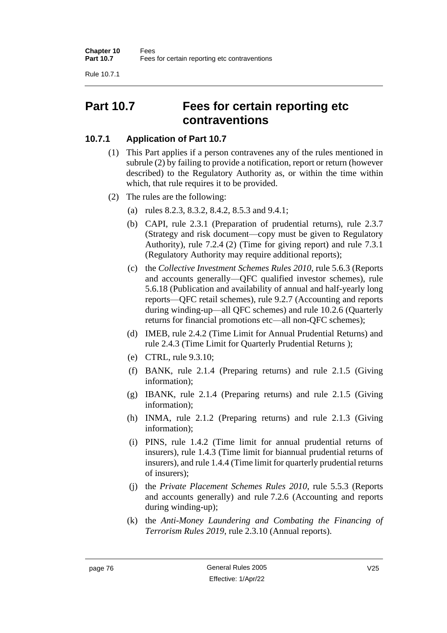Rule 10.7.1

# **Part 10.7 Fees for certain reporting etc contraventions**

## **10.7.1 Application of Part 10.7**

- (1) This Part applies if a person contravenes any of the rules mentioned in subrule (2) by failing to provide a notification, report or return (however described) to the Regulatory Authority as, or within the time within which, that rule requires it to be provided.
- (2) The rules are the following:
	- (a) rules 8.2.3, 8.3.2, 8.4.2, 8.5.3 and 9.4.1;
	- (b) CAPI, rule 2.3.1 (Preparation of prudential returns), rule 2.3.7 (Strategy and risk document—copy must be given to Regulatory Authority), rule 7.2.4 (2) (Time for giving report) and rule 7.3.1 (Regulatory Authority may require additional reports);
	- (c) the *Collective Investment Schemes Rules 2010*, rule 5.6.3 (Reports and accounts generally—QFC qualified investor schemes), rule 5.6.18 (Publication and availability of annual and half-yearly long reports—QFC retail schemes), rule 9.2.7 (Accounting and reports during winding-up—all QFC schemes) and rule 10.2.6 (Quarterly returns for financial promotions etc—all non-QFC schemes);
	- (d) IMEB, rule 2.4.2 (Time Limit for Annual Prudential Returns) and rule 2.4.3 (Time Limit for Quarterly Prudential Returns );
	- (e) CTRL, rule 9.3.10;
	- (f) BANK, rule 2.1.4 (Preparing returns) and rule 2.1.5 (Giving information);
	- (g) IBANK, rule 2.1.4 (Preparing returns) and rule 2.1.5 (Giving information);
	- (h) INMA, rule 2.1.2 (Preparing returns) and rule 2.1.3 (Giving information);
	- (i) PINS, rule 1.4.2 (Time limit for annual prudential returns of insurers), rule 1.4.3 (Time limit for biannual prudential returns of insurers), and rule 1.4.4 (Time limit for quarterly prudential returns of insurers);
	- (j) the *Private Placement Schemes Rules 2010*, rule 5.5.3 (Reports and accounts generally) and rule 7.2.6 (Accounting and reports during winding-up);
	- (k) the *Anti-Money Laundering and Combating the Financing of Terrorism Rules 2019*, rule 2.3.10 (Annual reports).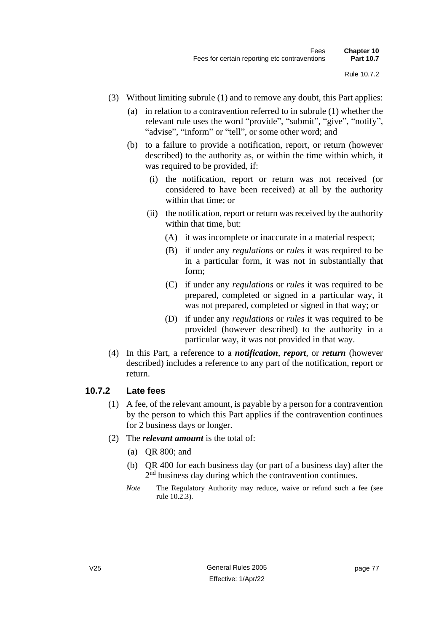- (3) Without limiting subrule (1) and to remove any doubt, this Part applies:
	- (a) in relation to a contravention referred to in subrule (1) whether the relevant rule uses the word "provide", "submit", "give", "notify", "advise", "inform" or "tell", or some other word; and
	- (b) to a failure to provide a notification, report, or return (however described) to the authority as, or within the time within which, it was required to be provided, if:
		- (i) the notification, report or return was not received (or considered to have been received) at all by the authority within that time; or
		- (ii) the notification, report or return was received by the authority within that time, but:
			- (A) it was incomplete or inaccurate in a material respect;
			- (B) if under any *regulations* or *rules* it was required to be in a particular form, it was not in substantially that form;
			- (C) if under any *regulations* or *rules* it was required to be prepared, completed or signed in a particular way, it was not prepared, completed or signed in that way; or
			- (D) if under any *regulations* or *rules* it was required to be provided (however described) to the authority in a particular way, it was not provided in that way.
- (4) In this Part, a reference to a *notification*, *report*, or *return* (however described) includes a reference to any part of the notification, report or return.

### **10.7.2 Late fees**

- (1) A fee, of the relevant amount, is payable by a person for a contravention by the person to which this Part applies if the contravention continues for 2 business days or longer.
- (2) The *relevant amount* is the total of:
	- (a) QR 800; and
	- (b) QR 400 for each business day (or part of a business day) after the 2<sup>nd</sup> business day during which the contravention continues.
	- *Note* The Regulatory Authority may reduce, waive or refund such a fee (see rule 10.2.3).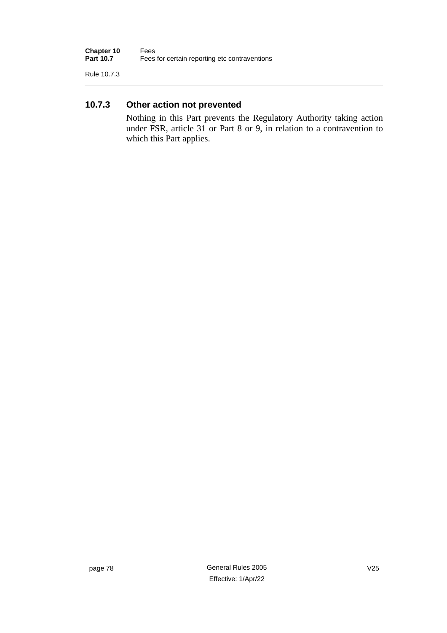Rule 10.7.3

## **10.7.3 Other action not prevented**

Nothing in this Part prevents the Regulatory Authority taking action under FSR, article 31 or Part 8 or 9, in relation to a contravention to which this Part applies.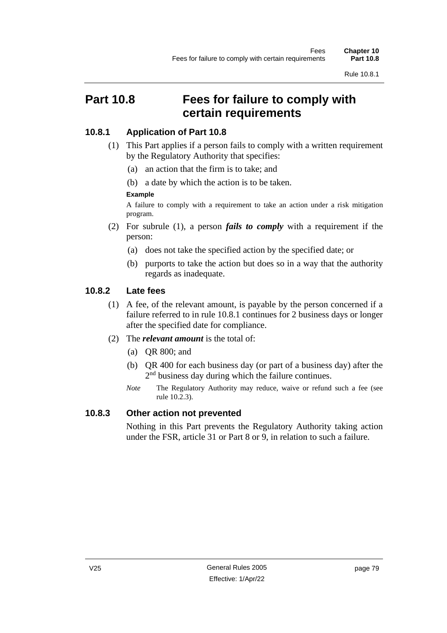# **Part 10.8 Fees for failure to comply with certain requirements**

## **10.8.1 Application of Part 10.8**

- (1) This Part applies if a person fails to comply with a written requirement by the Regulatory Authority that specifies:
	- (a) an action that the firm is to take; and
	- (b) a date by which the action is to be taken.

## **Example**

A failure to comply with a requirement to take an action under a risk mitigation program.

- (2) For subrule (1), a person *fails to comply* with a requirement if the person:
	- (a) does not take the specified action by the specified date; or
	- (b) purports to take the action but does so in a way that the authority regards as inadequate.

## **10.8.2 Late fees**

- (1) A fee, of the relevant amount, is payable by the person concerned if a failure referred to in rule 10.8.1 continues for 2 business days or longer after the specified date for compliance.
- (2) The *relevant amount* is the total of:
	- (a) QR 800; and
	- (b) QR 400 for each business day (or part of a business day) after the 2<sup>nd</sup> business day during which the failure continues.
	- *Note* The Regulatory Authority may reduce, waive or refund such a fee (see rule 10.2.3).

## **10.8.3 Other action not prevented**

Nothing in this Part prevents the Regulatory Authority taking action under the FSR, article 31 or Part 8 or 9, in relation to such a failure.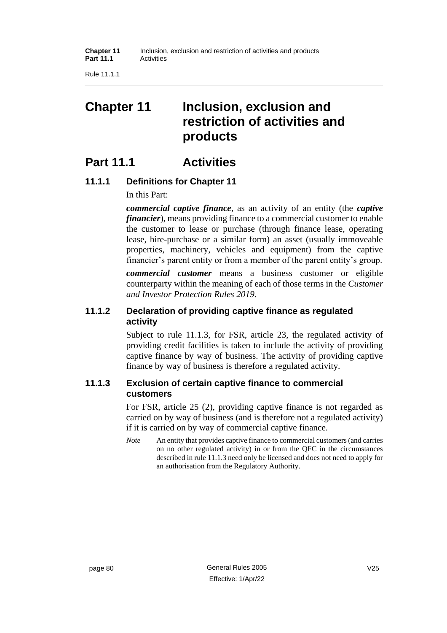Rule 11.1.1

# **Chapter 11 Inclusion, exclusion and restriction of activities and products**

# **Part 11.1 Activities**

## **11.1.1 Definitions for Chapter 11**

In this Part:

*commercial captive finance*, as an activity of an entity (the *captive financier*), means providing finance to a commercial customer to enable the customer to lease or purchase (through finance lease, operating lease, hire-purchase or a similar form) an asset (usually immoveable properties, machinery, vehicles and equipment) from the captive financier's parent entity or from a member of the parent entity's group.

*commercial customer* means a business customer or eligible counterparty within the meaning of each of those terms in the *Customer and Investor Protection Rules 2019*.

## **11.1.2 Declaration of providing captive finance as regulated activity**

Subject to rule 11.1.3, for FSR, article 23, the regulated activity of providing credit facilities is taken to include the activity of providing captive finance by way of business. The activity of providing captive finance by way of business is therefore a regulated activity.

## **11.1.3 Exclusion of certain captive finance to commercial customers**

For FSR, article 25 (2), providing captive finance is not regarded as carried on by way of business (and is therefore not a regulated activity) if it is carried on by way of commercial captive finance.

*Note* An entity that provides captive finance to commercial customers (and carries on no other regulated activity) in or from the QFC in the circumstances described in rule 11.1.3 need only be licensed and does not need to apply for an authorisation from the Regulatory Authority.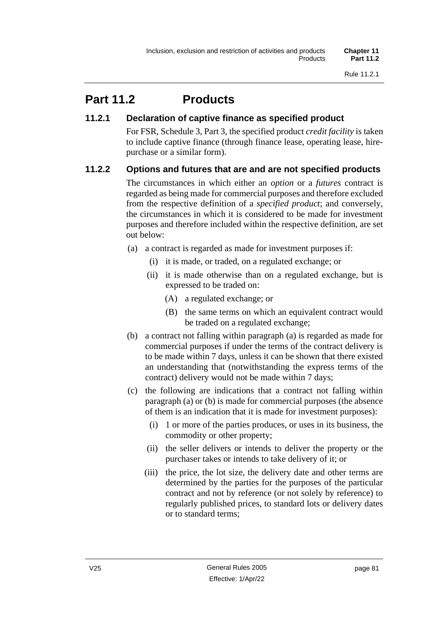# **Part 11.2 Products**

## **11.2.1 Declaration of captive finance as specified product**

For FSR, Schedule 3, Part 3, the specified product *credit facility* is taken to include captive finance (through finance lease, operating lease, hirepurchase or a similar form).

## **11.2.2 Options and futures that are and are not specified products**

The circumstances in which either an *option* or a *futures* contract is regarded as being made for commercial purposes and therefore excluded from the respective definition of a *specified product*; and conversely, the circumstances in which it is considered to be made for investment purposes and therefore included within the respective definition, are set out below:

- (a) a contract is regarded as made for investment purposes if:
	- (i) it is made, or traded, on a regulated exchange; or
	- (ii) it is made otherwise than on a regulated exchange, but is expressed to be traded on:
		- (A) a regulated exchange; or
		- (B) the same terms on which an equivalent contract would be traded on a regulated exchange;
- (b) a contract not falling within paragraph (a) is regarded as made for commercial purposes if under the terms of the contract delivery is to be made within 7 days, unless it can be shown that there existed an understanding that (notwithstanding the express terms of the contract) delivery would not be made within 7 days;
- (c) the following are indications that a contract not falling within paragraph (a) or (b) is made for commercial purposes (the absence of them is an indication that it is made for investment purposes):
	- (i) 1 or more of the parties produces, or uses in its business, the commodity or other property;
	- (ii) the seller delivers or intends to deliver the property or the purchaser takes or intends to take delivery of it; or
	- (iii) the price, the lot size, the delivery date and other terms are determined by the parties for the purposes of the particular contract and not by reference (or not solely by reference) to regularly published prices, to standard lots or delivery dates or to standard terms;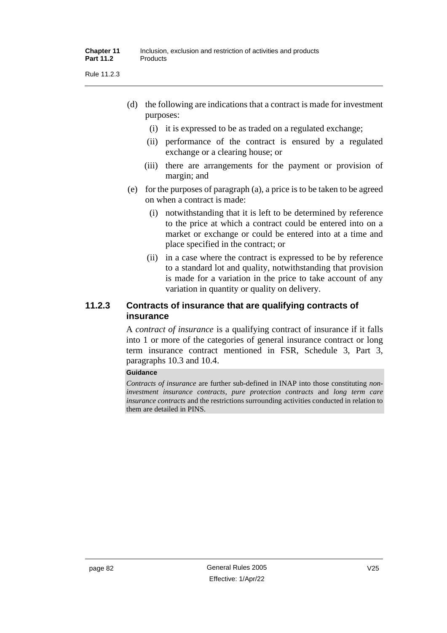Rule 11.2.3

- (d) the following are indications that a contract is made for investment purposes:
	- (i) it is expressed to be as traded on a regulated exchange;
	- (ii) performance of the contract is ensured by a regulated exchange or a clearing house; or
	- (iii) there are arrangements for the payment or provision of margin; and
- (e) for the purposes of paragraph (a), a price is to be taken to be agreed on when a contract is made:
	- (i) notwithstanding that it is left to be determined by reference to the price at which a contract could be entered into on a market or exchange or could be entered into at a time and place specified in the contract; or
	- (ii) in a case where the contract is expressed to be by reference to a standard lot and quality, notwithstanding that provision is made for a variation in the price to take account of any variation in quantity or quality on delivery.

## **11.2.3 Contracts of insurance that are qualifying contracts of insurance**

A *contract of insurance* is a qualifying contract of insurance if it falls into 1 or more of the categories of general insurance contract or long term insurance contract mentioned in FSR, Schedule 3, Part 3, paragraphs 10.3 and 10.4.

### **Guidance**

*Contracts of insurance* are further sub-defined in INAP into those constituting *noninvestment insurance contracts*, *pure protection contracts* and *long term care insurance contracts* and the restrictions surrounding activities conducted in relation to them are detailed in PINS.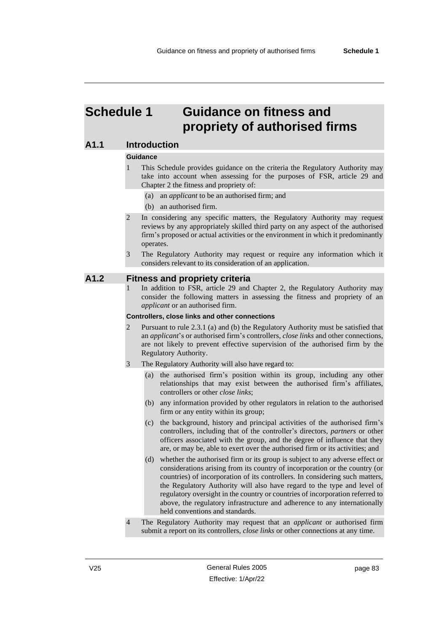# **Schedule 1 Guidance on fitness and propriety of authorised firms**

### **A1.1 Introduction**

#### **Guidance**

- 1 This Schedule provides guidance on the criteria the Regulatory Authority may take into account when assessing for the purposes of FSR, article 29 and Chapter 2 the fitness and propriety of:
	- (a) an *applicant* to be an authorised firm; and
	- (b) an authorised firm.
- 2 In considering any specific matters, the Regulatory Authority may request reviews by any appropriately skilled third party on any aspect of the authorised firm's proposed or actual activities or the environment in which it predominantly operates.
- 3 The Regulatory Authority may request or require any information which it considers relevant to its consideration of an application.

### **A1.2 Fitness and propriety criteria**

1 In addition to FSR, article 29 and Chapter 2, the Regulatory Authority may consider the following matters in assessing the fitness and propriety of an *applicant* or an authorised firm.

#### **Controllers, close links and other connections**

- 2 Pursuant to rule 2.3.1 (a) and (b) the Regulatory Authority must be satisfied that an *applicant*'s or authorised firm's controllers, *close links* and other connections, are not likely to prevent effective supervision of the authorised firm by the Regulatory Authority.
- 3 The Regulatory Authority will also have regard to:
	- (a) the authorised firm's position within its group, including any other relationships that may exist between the authorised firm's affiliates, controllers or other *close links*;
	- (b) any information provided by other regulators in relation to the authorised firm or any entity within its group;
	- (c) the background, history and principal activities of the authorised firm's controllers, including that of the controller's directors*, partners* or other officers associated with the group, and the degree of influence that they are, or may be, able to exert over the authorised firm or its activities; and
	- (d) whether the authorised firm or its group is subject to any adverse effect or considerations arising from its country of incorporation or the country (or countries) of incorporation of its controllers. In considering such matters, the Regulatory Authority will also have regard to the type and level of regulatory oversight in the country or countries of incorporation referred to above, the regulatory infrastructure and adherence to any internationally held conventions and standards.
- 4 The Regulatory Authority may request that an *applicant* or authorised firm submit a report on its controllers, *close links* or other connections at any time.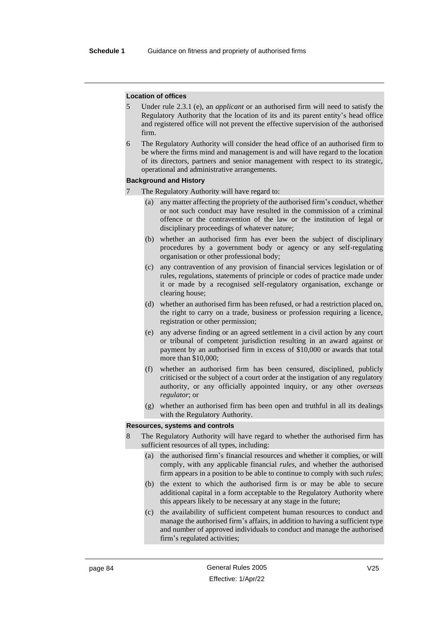#### **Location of offices**

- 5 Under rule 2.3.1 (e), an *applicant* or an authorised firm will need to satisfy the Regulatory Authority that the location of its and its parent entity's head office and registered office will not prevent the effective supervision of the authorised firm.
- 6 The Regulatory Authority will consider the head office of an authorised firm to be where the firms mind and management is and will have regard to the location of its directors, partners and senior management with respect to its strategic, operational and administrative arrangements.

#### **Background and History**

- The Regulatory Authority will have regard to:
	- (a) any matter affecting the propriety of the authorised firm's conduct, whether or not such conduct may have resulted in the commission of a criminal offence or the contravention of the law or the institution of legal or disciplinary proceedings of whatever nature;
	- (b) whether an authorised firm has ever been the subject of disciplinary procedures by a government body or agency or any self-regulating organisation or other professional body;
	- (c) any contravention of any provision of financial services legislation or of rules, regulations, statements of principle or codes of practice made under it or made by a recognised self-regulatory organisation, exchange or clearing house;
	- (d) whether an authorised firm has been refused, or had a restriction placed on, the right to carry on a trade, business or profession requiring a licence, registration or other permission;
	- (e) any adverse finding or an agreed settlement in a civil action by any court or tribunal of competent jurisdiction resulting in an award against or payment by an authorised firm in excess of \$10,000 or awards that total more than \$10,000;
	- (f) whether an authorised firm has been censured, disciplined, publicly criticised or the subject of a court order at the instigation of any regulatory authority, or any officially appointed inquiry, or any other *overseas regulator*; or
	- (g) whether an authorised firm has been open and truthful in all its dealings with the Regulatory Authority.

#### **Resources, systems and controls**

- The Regulatory Authority will have regard to whether the authorised firm has sufficient resources of all types, including:
	- (a) the authorised firm's financial resources and whether it complies, or will comply, with any applicable financial *rules*, and whether the authorised firm appears in a position to be able to continue to comply with such *rules*;
	- (b) the extent to which the authorised firm is or may be able to secure additional capital in a form acceptable to the Regulatory Authority where this appears likely to be necessary at any stage in the future;
	- (c) the availability of sufficient competent human resources to conduct and manage the authorised firm's affairs, in addition to having a sufficient type and number of approved individuals to conduct and manage the authorised firm's regulated activities;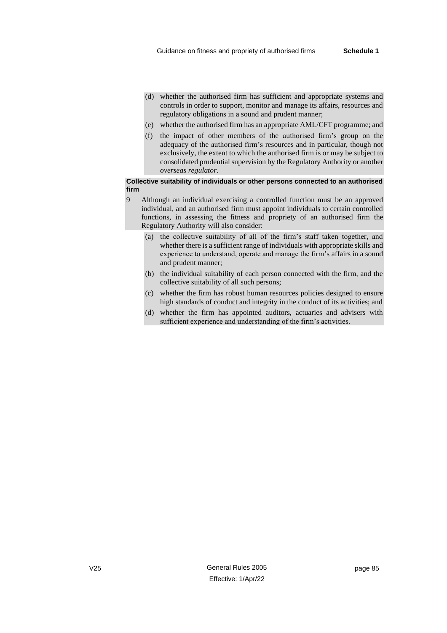- (d) whether the authorised firm has sufficient and appropriate systems and controls in order to support, monitor and manage its affairs, resources and regulatory obligations in a sound and prudent manner;
- (e) whether the authorised firm has an appropriate AML/CFT programme; and
- (f) the impact of other members of the authorised firm's group on the adequacy of the authorised firm's resources and in particular, though not exclusively, the extent to which the authorised firm is or may be subject to consolidated prudential supervision by the Regulatory Authority or another *overseas regulator*.

#### **Collective suitability of individuals or other persons connected to an authorised firm**

- 9 Although an individual exercising a controlled function must be an approved individual, and an authorised firm must appoint individuals to certain controlled functions, in assessing the fitness and propriety of an authorised firm the Regulatory Authority will also consider:
	- (a) the collective suitability of all of the firm's staff taken together, and whether there is a sufficient range of individuals with appropriate skills and experience to understand, operate and manage the firm's affairs in a sound and prudent manner;
	- (b) the individual suitability of each person connected with the firm, and the collective suitability of all such persons;
	- (c) whether the firm has robust human resources policies designed to ensure high standards of conduct and integrity in the conduct of its activities; and
	- (d) whether the firm has appointed auditors, actuaries and advisers with sufficient experience and understanding of the firm's activities.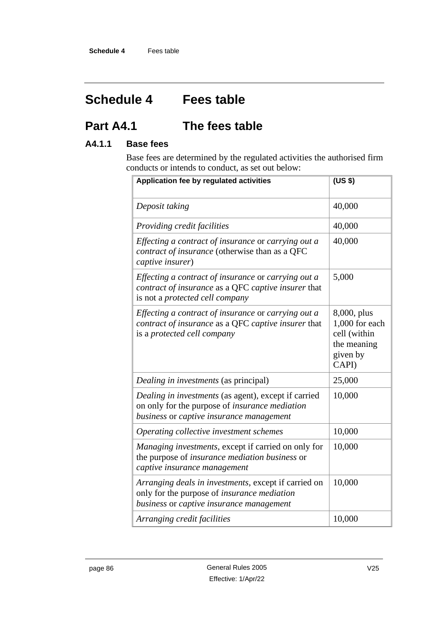# **Schedule 4 Fees table**

# **Part A4.1 The fees table**

## **A4.1.1 Base fees**

Base fees are determined by the regulated activities the authorised firm conducts or intends to conduct, as set out below:

| Application fee by regulated activities                                                                                                                   | (US \$)                                                                           |  |
|-----------------------------------------------------------------------------------------------------------------------------------------------------------|-----------------------------------------------------------------------------------|--|
| Deposit taking                                                                                                                                            | 40,000                                                                            |  |
| Providing credit facilities                                                                                                                               | 40,000                                                                            |  |
| Effecting a contract of insurance or carrying out a<br>contract of insurance (otherwise than as a QFC<br>captive insurer)                                 | 40,000                                                                            |  |
| Effecting a contract of insurance or carrying out a<br>contract of insurance as a QFC captive insurer that<br>is not a protected cell company             | 5,000                                                                             |  |
| Effecting a contract of insurance or carrying out a<br>contract of insurance as a QFC captive insurer that<br>is a protected cell company                 | 8,000, plus<br>1,000 for each<br>cell (within<br>the meaning<br>given by<br>CAPI) |  |
| Dealing in investments (as principal)                                                                                                                     | 25,000                                                                            |  |
| Dealing in investments (as agent), except if carried<br>on only for the purpose of <i>insurance mediation</i><br>business or captive insurance management | 10,000                                                                            |  |
| Operating collective investment schemes                                                                                                                   | 10,000                                                                            |  |
| Managing investments, except if carried on only for<br>the purpose of <i>insurance mediation business</i> or<br>captive insurance management              | 10,000                                                                            |  |
| Arranging deals in investments, except if carried on<br>only for the purpose of <i>insurance mediation</i><br>business or captive insurance management    | 10,000                                                                            |  |
| Arranging credit facilities                                                                                                                               | 10,000                                                                            |  |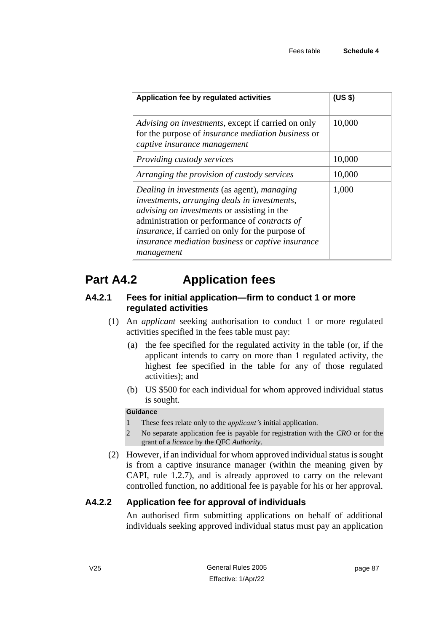| Application fee by regulated activities                                                                                                                                                                                                                                                                                                  | (US <sub>3</sub> ) |  |  |
|------------------------------------------------------------------------------------------------------------------------------------------------------------------------------------------------------------------------------------------------------------------------------------------------------------------------------------------|--------------------|--|--|
| Advising on investments, except if carried on only<br>for the purpose of <i>insurance mediation business</i> or<br>captive insurance management                                                                                                                                                                                          | 10,000             |  |  |
| Providing custody services                                                                                                                                                                                                                                                                                                               | 10,000             |  |  |
| Arranging the provision of custody services                                                                                                                                                                                                                                                                                              | 10,000             |  |  |
| Dealing in investments (as agent), managing<br>investments, arranging deals in investments,<br><i>advising on investments</i> or assisting in the<br>administration or performance of <i>contracts of</i><br><i>insurance</i> , if carried on only for the purpose of<br>insurance mediation business or captive insurance<br>management | 1,000              |  |  |

# **Part A4.2 Application fees**

## **A4.2.1 Fees for initial application—firm to conduct 1 or more regulated activities**

- (1) An *applicant* seeking authorisation to conduct 1 or more regulated activities specified in the fees table must pay:
	- (a) the fee specified for the regulated activity in the table (or, if the applicant intends to carry on more than 1 regulated activity, the highest fee specified in the table for any of those regulated activities); and
	- (b) US \$500 for each individual for whom approved individual status is sought.

## **Guidance**

- 1 These fees relate only to the *applicant'*s initial application.
- 2 No separate application fee is payable for registration with the *CRO* or for the grant of a *licence* by the QFC *Authority*.
- (2) However, if an individual for whom approved individual status is sought is from a captive insurance manager (within the meaning given by CAPI, rule 1.2.7), and is already approved to carry on the relevant controlled function, no additional fee is payable for his or her approval.

# **A4.2.2 Application fee for approval of individuals**

An authorised firm submitting applications on behalf of additional individuals seeking approved individual status must pay an application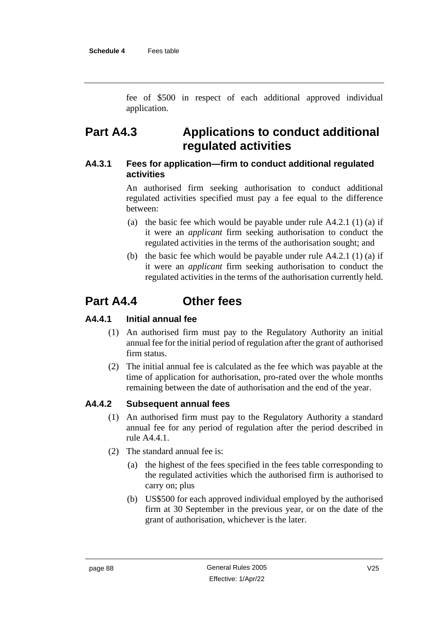fee of \$500 in respect of each additional approved individual application.

# **Part A4.3 Applications to conduct additional regulated activities**

## **A4.3.1 Fees for application—firm to conduct additional regulated activities**

An authorised firm seeking authorisation to conduct additional regulated activities specified must pay a fee equal to the difference between:

- (a) the basic fee which would be payable under rule  $A4.2.1$  (1) (a) if it were an *applicant* firm seeking authorisation to conduct the regulated activities in the terms of the authorisation sought; and
- (b) the basic fee which would be payable under rule  $A4.2.1$  (1) (a) if it were an *applicant* firm seeking authorisation to conduct the regulated activities in the terms of the authorisation currently held.

# **Part A4.4 Other fees**

## **A4.4.1 Initial annual fee**

- (1) An authorised firm must pay to the Regulatory Authority an initial annual fee for the initial period of regulation after the grant of authorised firm status.
- (2) The initial annual fee is calculated as the fee which was payable at the time of application for authorisation, pro-rated over the whole months remaining between the date of authorisation and the end of the year.

## **A4.4.2 Subsequent annual fees**

- (1) An authorised firm must pay to the Regulatory Authority a standard annual fee for any period of regulation after the period described in rule A4.4.1.
- (2) The standard annual fee is:
	- (a) the highest of the fees specified in the fees table corresponding to the regulated activities which the authorised firm is authorised to carry on; plus
	- (b) US\$500 for each approved individual employed by the authorised firm at 30 September in the previous year, or on the date of the grant of authorisation, whichever is the later.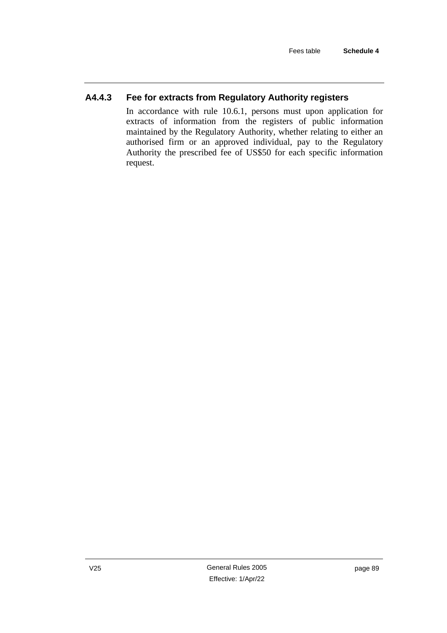# **A4.4.3 Fee for extracts from Regulatory Authority registers**

In accordance with rule 10.6.1, persons must upon application for extracts of information from the registers of public information maintained by the Regulatory Authority, whether relating to either an authorised firm or an approved individual, pay to the Regulatory Authority the prescribed fee of US\$50 for each specific information request.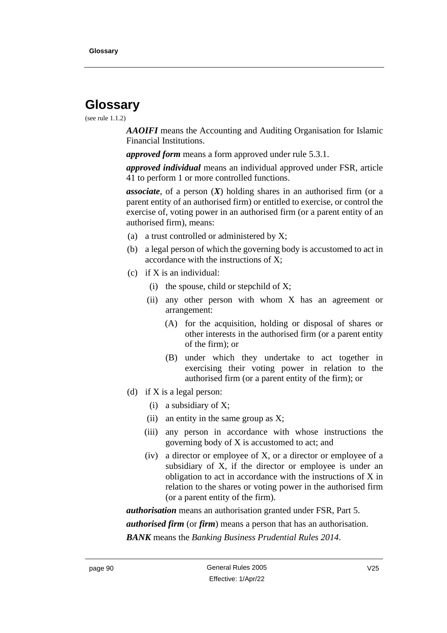# **Glossary**

### (see rule 1.1.2)

*AAOIFI* means the Accounting and Auditing Organisation for Islamic Financial Institutions.

*approved form* means a form approved under rule 5.3.1.

*approved individual* means an individual approved under FSR, article 41 to perform 1 or more controlled functions.

*associate*, of a person (*X*) holding shares in an authorised firm (or a parent entity of an authorised firm) or entitled to exercise, or control the exercise of, voting power in an authorised firm (or a parent entity of an authorised firm), means:

- (a) a trust controlled or administered by X;
- (b) a legal person of which the governing body is accustomed to act in accordance with the instructions of X;
- (c) if X is an individual:
	- (i) the spouse, child or stepchild of X;
	- (ii) any other person with whom X has an agreement or arrangement:
		- (A) for the acquisition, holding or disposal of shares or other interests in the authorised firm (or a parent entity of the firm); or
		- (B) under which they undertake to act together in exercising their voting power in relation to the authorised firm (or a parent entity of the firm); or
- (d) if X is a legal person:
	- (i) a subsidiary of X;
	- (ii) an entity in the same group as  $X$ ;
	- (iii) any person in accordance with whose instructions the governing body of X is accustomed to act; and
	- (iv) a director or employee of X, or a director or employee of a subsidiary of X, if the director or employee is under an obligation to act in accordance with the instructions of X in relation to the shares or voting power in the authorised firm (or a parent entity of the firm).

*authorisation* means an authorisation granted under FSR, Part 5.

*authorised firm* (or *firm*) means a person that has an authorisation.

*BANK* means the *Banking Business Prudential Rules 2014*.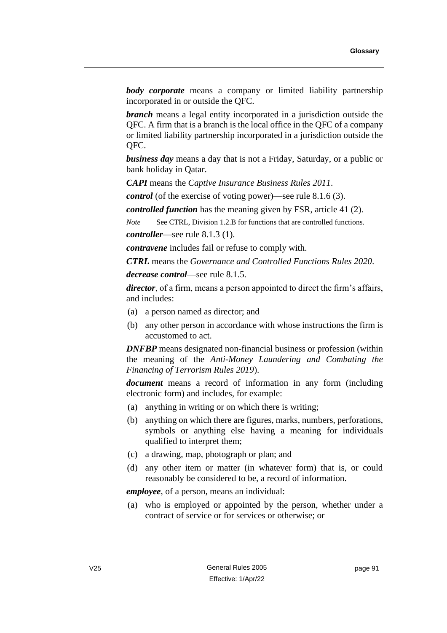*body corporate* means a company or limited liability partnership incorporated in or outside the QFC.

*branch* means a legal entity incorporated in a jurisdiction outside the QFC. A firm that is a branch is the local office in the QFC of a company or limited liability partnership incorporated in a jurisdiction outside the QFC.

*business day* means a day that is not a Friday, Saturday, or a public or bank holiday in Qatar.

*CAPI* means the *Captive Insurance Business Rules 2011*.

*control* (of the exercise of voting power)**—**see rule 8.1.6 (3).

*controlled function* has the meaning given by FSR, article 41 (2).

*Note* See CTRL, Division 1.2.B for functions that are controlled functions. *controller*—see rule 8.1.3 (1).

*contravene* includes fail or refuse to comply with.

*CTRL* means the *Governance and Controlled Functions Rules 2020*.

*decrease control*—see rule 8.1.5.

*director*, of a firm, means a person appointed to direct the firm's affairs, and includes:

- (a) a person named as director; and
- (b) any other person in accordance with whose instructions the firm is accustomed to act.

*DNFBP* means designated non-financial business or profession (within the meaning of the *Anti-Money Laundering and Combating the Financing of Terrorism Rules 2019*).

*document* means a record of information in any form (including electronic form) and includes, for example:

- (a) anything in writing or on which there is writing;
- (b) anything on which there are figures, marks, numbers, perforations, symbols or anything else having a meaning for individuals qualified to interpret them;
- (c) a drawing, map, photograph or plan; and
- (d) any other item or matter (in whatever form) that is, or could reasonably be considered to be, a record of information.

*employee*, of a person, means an individual:

(a) who is employed or appointed by the person, whether under a contract of service or for services or otherwise; or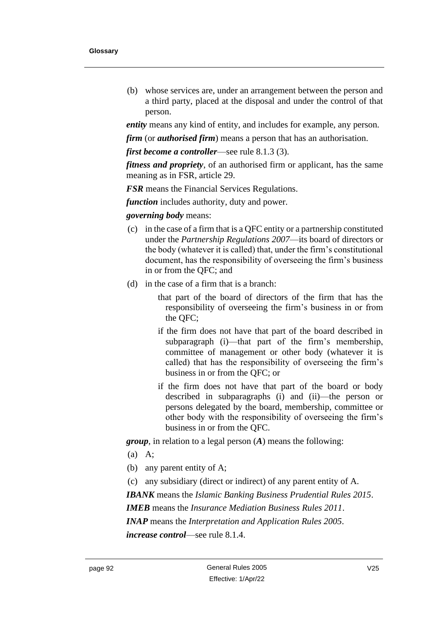(b) whose services are, under an arrangement between the person and a third party, placed at the disposal and under the control of that person.

*entity* means any kind of entity, and includes for example, any person.

*firm* (or *authorised firm*) means a person that has an authorisation.

*first become a controller*—see rule 8.1.3 (3).

*fitness and propriety*, of an authorised firm or applicant, has the same meaning as in FSR, article 29.

*FSR* means the Financial Services Regulations.

*function* includes authority, duty and power.

### *governing body* means:

- (c) in the case of a firm that is a QFC entity or a partnership constituted under the *Partnership Regulations 2007*—its board of directors or the body (whatever it is called) that, under the firm's constitutional document, has the responsibility of overseeing the firm's business in or from the QFC; and
- (d) in the case of a firm that is a branch:
	- that part of the board of directors of the firm that has the responsibility of overseeing the firm's business in or from the QFC;
	- if the firm does not have that part of the board described in subparagraph (i)—that part of the firm's membership, committee of management or other body (whatever it is called) that has the responsibility of overseeing the firm's business in or from the QFC; or
	- if the firm does not have that part of the board or body described in subparagraphs (i) and (ii)—the person or persons delegated by the board, membership, committee or other body with the responsibility of overseeing the firm's business in or from the QFC.

*group*, in relation to a legal person (*A*) means the following:

- (a) A;
- (b) any parent entity of A;
- (c) any subsidiary (direct or indirect) of any parent entity of A.

*IBANK* means the *Islamic Banking Business Prudential Rules 2015*.

*IMEB* means the *Insurance Mediation Business Rules 2011*.

*INAP* means the *Interpretation and Application Rules 2005*.

*increase control*—see rule 8.1.4.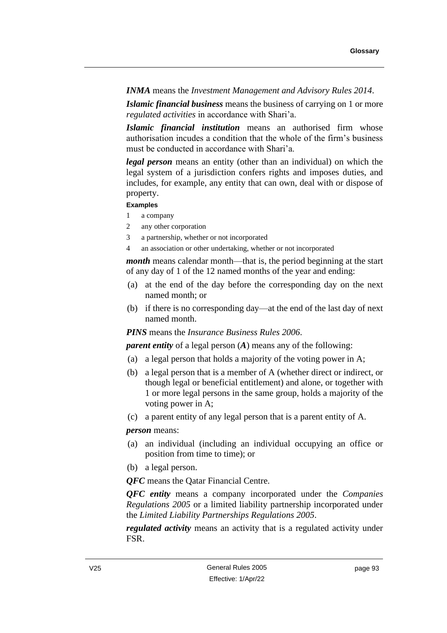*INMA* means the *Investment Management and Advisory Rules 2014*.

*Islamic financial business* means the business of carrying on 1 or more *regulated activities* in accordance with Shari'a.

*Islamic financial institution* means an authorised firm whose authorisation incudes a condition that the whole of the firm's business must be conducted in accordance with Shari'a.

*legal person* means an entity (other than an individual) on which the legal system of a jurisdiction confers rights and imposes duties, and includes, for example, any entity that can own, deal with or dispose of property.

### **Examples**

- 1 a company
- 2 any other corporation
- 3 a partnership, whether or not incorporated
- 4 an association or other undertaking, whether or not incorporated

*month* means calendar month—that is, the period beginning at the start of any day of 1 of the 12 named months of the year and ending:

- (a) at the end of the day before the corresponding day on the next named month; or
- (b) if there is no corresponding day—at the end of the last day of next named month.

*PINS* means the *Insurance Business Rules 2006*.

*parent entity* of a legal person (*A*) means any of the following:

- (a) a legal person that holds a majority of the voting power in A;
- (b) a legal person that is a member of A (whether direct or indirect, or though legal or beneficial entitlement) and alone, or together with 1 or more legal persons in the same group, holds a majority of the voting power in A;
- (c) a parent entity of any legal person that is a parent entity of A.

*person* means:

- (a) an individual (including an individual occupying an office or position from time to time); or
- (b) a legal person.

*QFC* means the Qatar Financial Centre.

*QFC entity* means a company incorporated under the *Companies Regulations 2005* or a limited liability partnership incorporated under the *Limited Liability Partnerships Regulations 2005*.

*regulated activity* means an activity that is a regulated activity under FSR.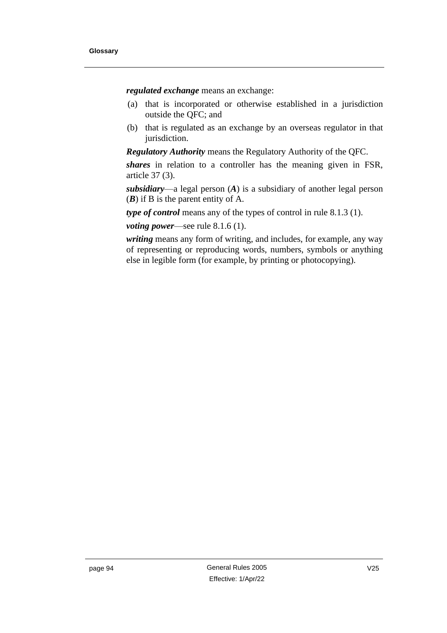*regulated exchange* means an exchange:

- (a) that is incorporated or otherwise established in a jurisdiction outside the QFC; and
- (b) that is regulated as an exchange by an overseas regulator in that jurisdiction.

*Regulatory Authority* means the Regulatory Authority of the QFC.

*shares* in relation to a controller has the meaning given in FSR, article 37 (3).

*subsidiary*—a legal person (*A*) is a subsidiary of another legal person (*B*) if B is the parent entity of A.

*type of control* means any of the types of control in rule 8.1.3 (1).

*voting power*—see rule 8.1.6 (1).

*writing* means any form of writing, and includes, for example, any way of representing or reproducing words, numbers, symbols or anything else in legible form (for example, by printing or photocopying).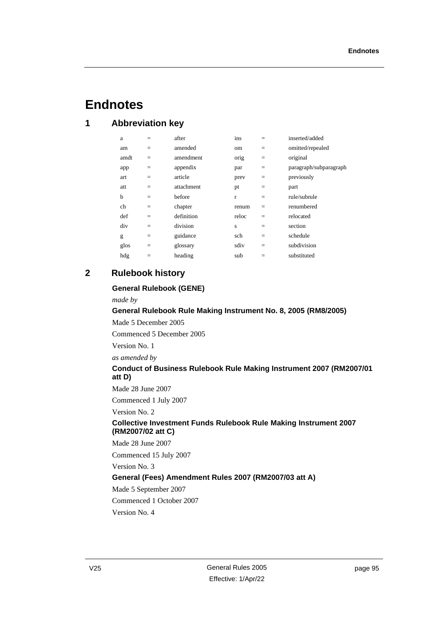# **Endnotes**

## **1 Abbreviation key**

| a    | $=$ | after      | ins          | $=$ | inserted/added         |
|------|-----|------------|--------------|-----|------------------------|
| am   | $=$ | amended    | om           | $=$ | omitted/repealed       |
| amdt | $=$ | amendment  | orig         | $=$ | original               |
| app  | $=$ | appendix   | par          | $=$ | paragraph/subparagraph |
| art  | $=$ | article    | prev         | $=$ | previously             |
| att  | $=$ | attachment | pt           | $=$ | part                   |
| b    | $=$ | before     | $\mathbf{r}$ | $=$ | rule/subrule           |
| ch   | $=$ | chapter    | renum        | $=$ | renumbered             |
| def  | $=$ | definition | reloc        | $=$ | relocated              |
| div  | $=$ | division   | S            | $=$ | section                |
| g    | $=$ | guidance   | sch          | $=$ | schedule               |
| glos | $=$ | glossary   | sdiv         | $=$ | subdivision            |
| hdg  | $=$ | heading    | sub          | $=$ | substituted            |
|      |     |            |              |     |                        |

## **2 Rulebook history**

#### **General Rulebook (GENE)**

*made by*

### **General Rulebook Rule Making Instrument No. 8, 2005 (RM8/2005)**

Made 5 December 2005

Commenced 5 December 2005

Version No. 1

*as amended by*

### **Conduct of Business Rulebook Rule Making Instrument 2007 (RM2007/01 att D)**

Made 28 June 2007

Commenced 1 July 2007

Version No. 2

#### **Collective Investment Funds Rulebook Rule Making Instrument 2007 (RM2007/02 att C)**

Made 28 June 2007

Commenced 15 July 2007

Version No. 3

### **General (Fees) Amendment Rules 2007 (RM2007/03 att A)**

Made 5 September 2007

Commenced 1 October 2007

Version No. 4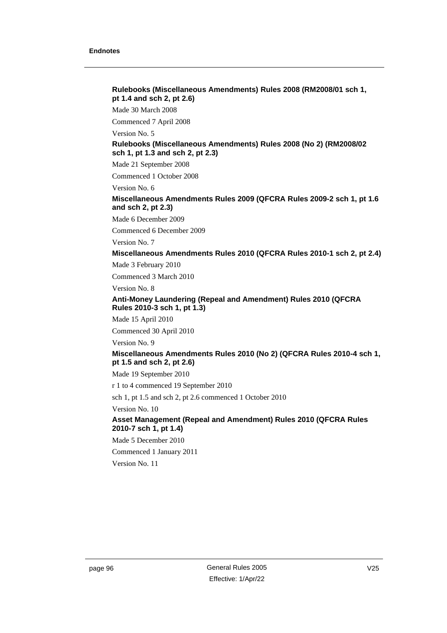#### **Rulebooks (Miscellaneous Amendments) Rules 2008 (RM2008/01 sch 1, pt 1.4 and sch 2, pt 2.6)**

Made 30 March 2008

Commenced 7 April 2008

Version No. 5

#### **Rulebooks (Miscellaneous Amendments) Rules 2008 (No 2) (RM2008/02 sch 1, pt 1.3 and sch 2, pt 2.3)**

Made 21 September 2008

Commenced 1 October 2008

Version No. 6

#### **Miscellaneous Amendments Rules 2009 (QFCRA Rules 2009-2 sch 1, pt 1.6 and sch 2, pt 2.3)**

Made 6 December 2009

Commenced 6 December 2009

Version No. 7

#### **Miscellaneous Amendments Rules 2010 (QFCRA Rules 2010-1 sch 2, pt 2.4)**

Made 3 February 2010

Commenced 3 March 2010

Version No. 8

#### **Anti-Money Laundering (Repeal and Amendment) Rules 2010 (QFCRA Rules 2010-3 sch 1, pt 1.3)**

Made 15 April 2010

Commenced 30 April 2010

Version No. 9

#### **Miscellaneous Amendments Rules 2010 (No 2) (QFCRA Rules 2010-4 sch 1, pt 1.5 and sch 2, pt 2.6)**

Made 19 September 2010

r 1 to 4 commenced 19 September 2010

sch 1, pt 1.5 and sch 2, pt 2.6 commenced 1 October 2010

Version No. 10

### **Asset Management (Repeal and Amendment) Rules 2010 (QFCRA Rules 2010-7 sch 1, pt 1.4)**

Made 5 December 2010

Commenced 1 January 2011

Version No. 11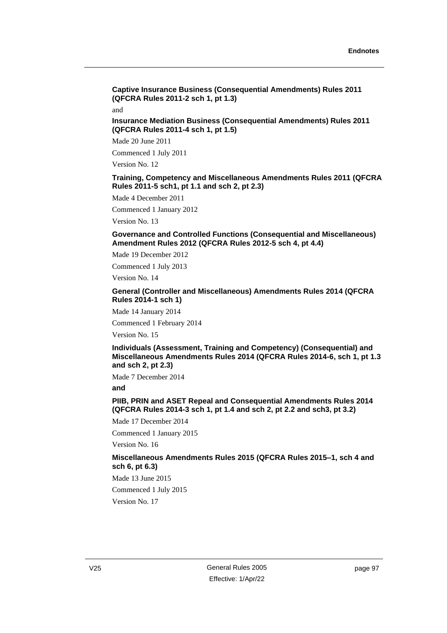**Captive Insurance Business (Consequential Amendments) Rules 2011 (QFCRA Rules 2011-2 sch 1, pt 1.3)**

and

**Insurance Mediation Business (Consequential Amendments) Rules 2011 (QFCRA Rules 2011-4 sch 1, pt 1.5)**

Made 20 June 2011

Commenced 1 July 2011

Version No. 12

#### **Training, Competency and Miscellaneous Amendments Rules 2011 (QFCRA Rules 2011-5 sch1, pt 1.1 and sch 2, pt 2.3)**

Made 4 December 2011

Commenced 1 January 2012

Version No. 13

**Governance and Controlled Functions (Consequential and Miscellaneous) Amendment Rules 2012 (QFCRA Rules 2012-5 sch 4, pt 4.4)**

Made 19 December 2012

Commenced 1 July 2013

Version No. 14

**General (Controller and Miscellaneous) Amendments Rules 2014 (QFCRA Rules 2014-1 sch 1)**

Made 14 January 2014

Commenced 1 February 2014

Version No. 15

**Individuals (Assessment, Training and Competency) (Consequential) and Miscellaneous Amendments Rules 2014 (QFCRA Rules 2014-6, sch 1, pt 1.3 and sch 2, pt 2.3)**

Made 7 December 2014

**and**

**PIIB, PRIN and ASET Repeal and Consequential Amendments Rules 2014 (QFCRA Rules 2014-3 sch 1, pt 1.4 and sch 2, pt 2.2 and sch3, pt 3.2)**

Made 17 December 2014

Commenced 1 January 2015 Version No. 16

**Miscellaneous Amendments Rules 2015 (QFCRA Rules 2015–1, sch 4 and sch 6, pt 6.3)**

Made 13 June 2015 Commenced 1 July 2015 Version No. 17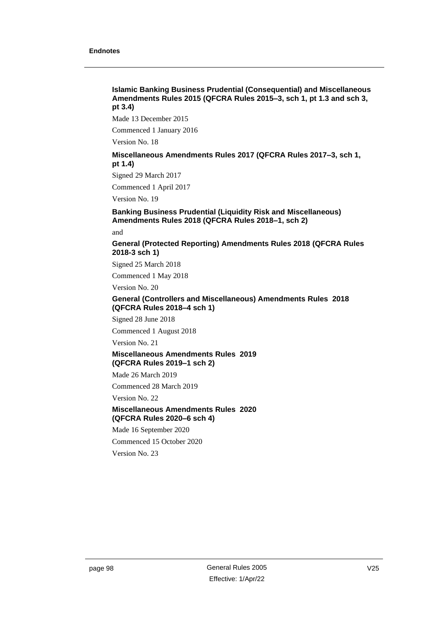#### **Islamic Banking Business Prudential (Consequential) and Miscellaneous Amendments Rules 2015 (QFCRA Rules 2015–3, sch 1, pt 1.3 and sch 3, pt 3.4)**

Made 13 December 2015

Commenced 1 January 2016

Version No. 18

#### **Miscellaneous Amendments Rules 2017 (QFCRA Rules 2017–3, sch 1, pt 1.4)**

Signed 29 March 2017

Commenced 1 April 2017

Version No. 19

#### **Banking Business Prudential (Liquidity Risk and Miscellaneous) Amendments Rules 2018 (QFCRA Rules 2018–1, sch 2)**

and

**General (Protected Reporting) Amendments Rules 2018 (QFCRA Rules 2018-3 sch 1)**

Signed 25 March 2018

Commenced 1 May 2018

Version No. 20

#### **General (Controllers and Miscellaneous) Amendments Rules 2018 (QFCRA Rules 2018–4 sch 1)**

Signed 28 June 2018

Commenced 1 August 2018

Version No. 21

#### **Miscellaneous Amendments Rules 2019 (QFCRA Rules 2019–1 sch 2)**

Made 26 March 2019

Commenced 28 March 2019

Version No. 22

### **Miscellaneous Amendments Rules 2020 (QFCRA Rules 2020–6 sch 4)**

Made 16 September 2020

Commenced 15 October 2020

Version No. 23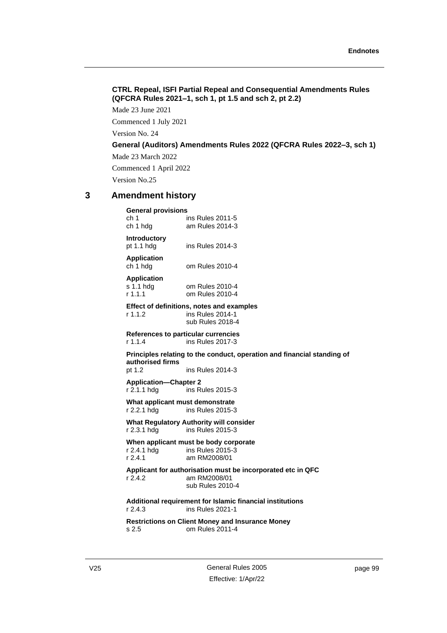# **CTRL Repeal, ISFI Partial Repeal and Consequential Amendments Rules (QFCRA Rules 2021–1, sch 1, pt 1.5 and sch 2, pt 2.2)**

Made 23 June 2021

Commenced 1 July 2021

Version No. 24

**General (Auditors) Amendments Rules 2022 (QFCRA Rules 2022–3, sch 1)** 

Made 23 March 2022

Commenced 1 April 2022

Version No.25

# **3 Amendment history**

**General provisions** ch 1 ins Rules 2011-5<br>ch 1 hdg am Rules 2014-3 am Rules 2014-3

**Introductory** pt 1.1 hdg ins Rules 2014-3

**Application**

ch 1 hdg om Rules 2010-4

**Application**

s 1.1 hdg om Rules 2010-4<br>r 1.1.1 om Rules 2010-4 om Rules 2010-4

**Effect of definitions, notes and examples**

r 1.1.2 ins Rules 2014-1 sub Rules 2018-4

**References to particular currencies** r 1.1.4 ins Rules 2017-3

**Principles relating to the conduct, operation and financial standing of authorised firms** pt 1.2 ins Rules 2014-3

**Application—Chapter 2**

r 2.1.1 hdg ins Rules 2015-3

**What applicant must demonstrate**<br>r 2.2.1 hdg ins Rules 2015-3 ins Rules 2015-3

**What Regulatory Authority will consider** r 2.3.1 hdg ins Rules 2015-3

**When applicant must be body corporate**<br>r 2.4.1 hdd ins Rules 2015-3 r 2.4.1 hdg ins Rules 2015-3<br>r 2.4.1 am RM2008/01 am RM2008/01

**Applicant for authorisation must be incorporated etc in QFC** r 2.4.2 am RM2008/01 sub Rules 2010-4

**Additional requirement for Islamic financial institutions**  r 2.4.3 ins Rules 2021-1

**Restrictions on Client Money and Insurance Money** s 2.5 om Rules 2011-4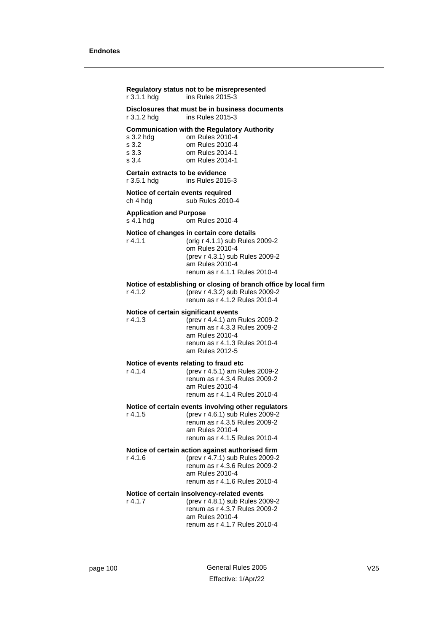| r 3.1.1 hdg                                     | Regulatory status not to be misrepresented<br>ins Rules 2015-3                                                                                                                         |
|-------------------------------------------------|----------------------------------------------------------------------------------------------------------------------------------------------------------------------------------------|
| r 3.1.2 hdg                                     | Disclosures that must be in business documents<br>ins Rules 2015-3                                                                                                                     |
| s 3.2 hdg<br>s 3.2<br>s <sub>3.3</sub><br>s 3.4 | <b>Communication with the Regulatory Authority</b><br>om Rules 2010-4<br>om Rules 2010-4<br>om Rules 2014-1<br>om Rules 2014-1                                                         |
| Certain extracts to be evidence<br>r 3.5.1 hda  | ins Rules 2015-3                                                                                                                                                                       |
| Notice of certain events required<br>ch 4 hdg   | sub Rules 2010-4                                                                                                                                                                       |
| <b>Application and Purpose</b><br>s 4.1 hdg     | om Rules 2010-4                                                                                                                                                                        |
| $r$ 4.1.1                                       | Notice of changes in certain core details<br>(orig r 4.1.1) sub Rules 2009-2<br>om Rules 2010-4<br>(prev r 4.3.1) sub Rules 2009-2<br>am Rules 2010-4<br>renum as r 4.1.1 Rules 2010-4 |
| r 4.1.2                                         | Notice of establishing or closing of branch office by local firm<br>(prev r 4.3.2) sub Rules 2009-2<br>renum as r 4.1.2 Rules 2010-4                                                   |
| Notice of certain significant events<br>r 4.1.3 | (prev r 4.4.1) am Rules 2009-2<br>renum as r 4.3.3 Rules 2009-2<br>am Rules 2010-4<br>renum as r 4.1.3 Rules 2010-4<br>am Rules 2012-5                                                 |
| r 4.1.4                                         | Notice of events relating to fraud etc<br>(prev r 4.5.1) am Rules 2009-2<br>renum as r 4.3.4 Rules 2009-2<br>am Rules 2010-4<br>renum as r 4.1.4 Rules 2010-4                          |
| r 4.1.5                                         | Notice of certain events involving other regulators<br>(prev r 4.6.1) sub Rules 2009-2<br>renum as r 4.3.5 Rules 2009-2<br>am Rules 2010-4<br>renum as r 4.1.5 Rules 2010-4            |
| r 4.1.6                                         | Notice of certain action against authorised firm<br>(prev r 4.7.1) sub Rules 2009-2<br>renum as r 4.3.6 Rules 2009-2<br>am Rules 2010-4<br>renum as r 4.1.6 Rules 2010-4               |
| r 4.1.7                                         | Notice of certain insolvency-related events<br>(prev r 4.8.1) sub Rules 2009-2<br>renum as r 4.3.7 Rules 2009-2                                                                        |

renum as r 4.1.7 Rules 2010-4

am Rules 2010-4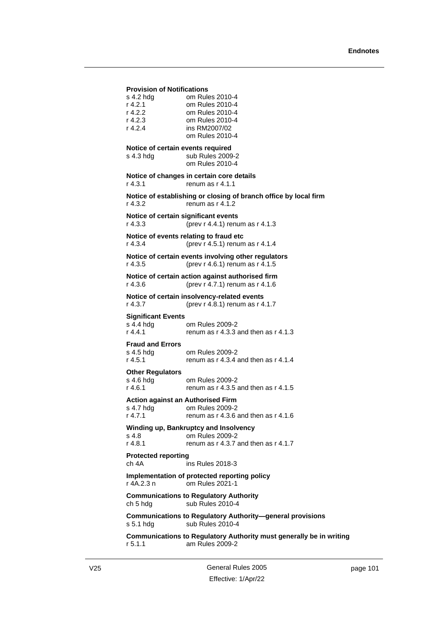## **Provision of Notifications**

| s 4.2 hdg | om Rules 2010-4 |
|-----------|-----------------|
| r 4.2.1   | om Rules 2010-4 |
| r 4.2.2   | om Rules 2010-4 |
| r 4.2.3   | om Rules 2010-4 |
| r 4.2.4   | ins RM2007/02   |
|           | om Rules 2010-4 |

#### **Notice of certain events required**

s 4.3 hdg sub Rules 2009-2 om Rules 2010-4

# **Notice of changes in certain core details**

r 4.3.1 renum as r 4.1.1

**Notice of establishing or closing of branch office by local firm** r 4.3.2 renum as r 4.1.2

#### **Notice of certain significant events** r 4.3.3 (prev r 4.4.1) renum as r 4.1.3

**Notice of events relating to fraud etc** r 4.3.4 (prev r 4.5.1) renum as r 4.1.4

# **Notice of certain events involving other regulators**

r 4.3.5 (prev r 4.6.1) renum as r 4.1.5

#### **Notice of certain action against authorised firm** r 4.3.6 (prev r 4.7.1) renum as r 4.1.6

**Notice of certain insolvency-related events** r 4.3.7 (prev r 4.8.1) renum as r 4.1.7

## **Significant Events**

s 4.4 hdg om Rules 2009-2<br>r 4.4.1 renum as r 4.3.3 renum as  $r$  4.3.3 and then as  $r$  4.1.3

## **Fraud and Errors**

s 4.5 hdg om Rules 2009-2 r 4.5.1 renum as r 4.3.4 and then as r 4.1.4

#### **Other Regulators**

s 4.6 hdg om Rules 2009-2 r 4.6.1 renum as r 4.3.5 and then as r 4.1.5

## **Action against an Authorised Firm**

s 4.7 hdg om Rules 2009-2 r 4.7.1 renum as r 4.3.6 and then as r 4.1.6

# **Winding up, Bankruptcy and Insolvency** s 4.8 **com Rules 2009-2**<br>r 4.8.1 **comments** r 4.3.7 in

renum as  $r$  4.3.7 and then as  $r$  4.1.7

# **Protected reporting**

ch 4A ins Rules 2018-3

#### **Implementation of protected reporting policy** r 4A.2.3 n om Rules 2021-1

**Communications to Regulatory Authority** ch 5 hdg sub Rules 2010-4

#### **Communications to Regulatory Authority—general provisions** s 5.1 hdg sub Rules 2010-4

**Communications to Regulatory Authority must generally be in writing** r 5.1.1 am Rules 2009-2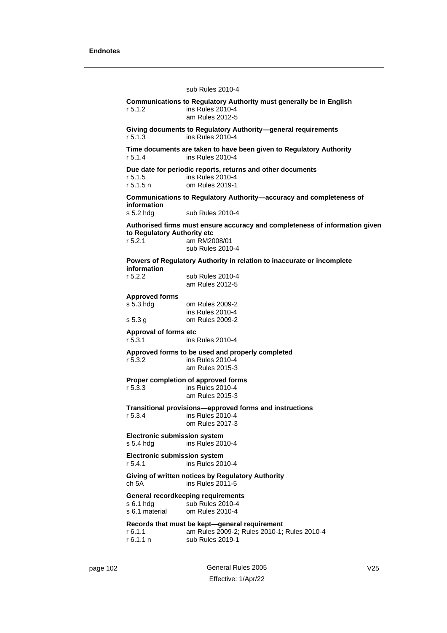# sub Rules 2010-4 **Communications to Regulatory Authority must generally be in English** r 5.1.2 ins Rules 2010-4 am Rules 2012-5 **Giving documents to Regulatory Authority—general requirements**<br>r 5.1.3 ins Rules 2010-4 ins Rules 2010-4 **Time documents are taken to have been given to Regulatory Authority** r 5.1.4 ins Rules 2010-4 **Due date for periodic reports, returns and other documents**<br>r 5.1.5 ins Rules 2010-4 r 5.1.5 ins Rules 2010-4 om Rules 2019-1 **Communications to Regulatory Authority—accuracy and completeness of information** s 5.2 hdg sub Rules 2010-4 **Authorised firms must ensure accuracy and completeness of information given to Regulatory Authority etc** r 5.2.1 am RM2008/01 sub Rules 2010-4 **Powers of Regulatory Authority in relation to inaccurate or incomplete information**<br>r 5.2.2 sub Rules 2010-4 am Rules 2012-5 **Approved forms** s 5.3 hdg om Rules 2009-2 ins Rules 2010-4 s 5.3 g om Rules 2009-2 **Approval of forms etc** r 5.3.1 ins Rules 2010-4 **Approved forms to be used and properly completed** r 5.3.2 ins Rules 2010-4 am Rules 2015-3 **Proper completion of approved forms** r 5.3.3 ins Rules 2010-4 am Rules 2015-3 **Transitional provisions—approved forms and instructions** r 5.3.4 ins Rules 2010-4 om Rules 2017-3 **Electronic submission system** s 5.4 hdg ins Rules 2010-4 **Electronic submission system** r 5.4.1 ins Rules 2010-4 **Giving of written notices by Regulatory Authority**  $ch 5A$  ins Rules 2011-5 **General recordkeeping requirements** s 6.1 hdg sub Rules 2010-4 s 6.1 material om Rules 2010-4 **Records that must be kept—general requirement**

r 6.1.1 am Rules 2009-2; Rules 2010-1; Rules 2010-4 r 6.1.1 n sub Rules 2019-1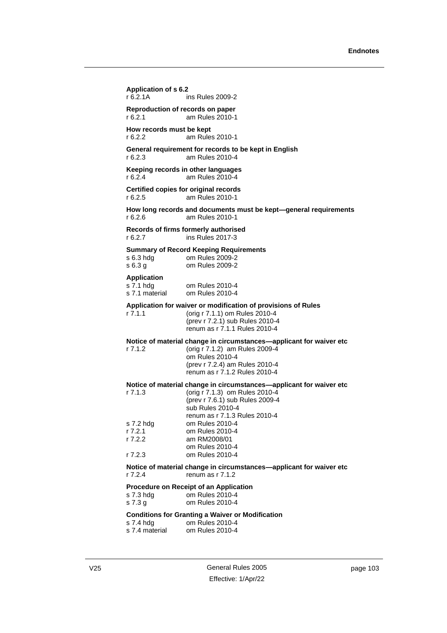# **Application of s 6.2** r 6.2.1A ins Rules 2009-2 **Reproduction of records on paper** r 6.2.1 am Rules 2010-1 **How records must be kept**<br>r 6.2.2 am Rules am Rules 2010-1 **General requirement for records to be kept in English** r 6.2.3 am Rules 2010-4 **Keeping records in other languages** r 6.2.4 am Rules 2010-4 **Certified copies for original records** r 6.2.5 am Rules 2010-1 **How long records and documents must be kept—general requirements** r 6.2.6 am Rules 2010-1 **Records of firms formerly authorised** r 6.2.7 ins Rules 2017-3 **Summary of Record Keeping Requirements** s 6.3 hdg om Rules 2009-2 s 6.3 g om Rules 2009-2 **Application** s 7.1 hdg om Rules 2010-4 s 7.1 material om Rules 2010-4 **Application for waiver or modification of provisions of Rules** r 7.1.1 (orig r 7.1.1) om Rules 2010-4 (prev r 7.2.1) sub Rules 2010-4 renum as r 7.1.1 Rules 2010-4 **Notice of material change in circumstances—applicant for waiver etc**<br>r 7.1.2 (orig r 7.1.2) am Rules 2009-4 (orig r 7.1.2) am Rules 2009-4 om Rules 2010-4 (prev r 7.2.4) am Rules 2010-4 renum as r 7.1.2 Rules 2010-4 **Notice of material change in circumstances—applicant for waiver etc** r 7.1.3 (orig r 7.1.3) om Rules 2010-4 (prev r 7.6.1) sub Rules 2009-4 sub Rules 2010-4 renum as r 7.1.3 Rules 2010-4 s 7.2 hdg om Rules 2010-4 r 7.2.1 om Rules 2010-4<br>r 7.2.2 am RM2008/01 am RM2008/01 om Rules 2010-4

r 7.2.3 om Rules 2010-4 **Notice of material change in circumstances—applicant for waiver etc**

r 7.2.4 renum as r 7.1.2

# **Procedure on Receipt of an Application**

| s 7.3 hdg | om Rules 2010-4 |
|-----------|-----------------|
| s 7.3 g   | om Rules 2010-4 |

# **Conditions for Granting a Waiver or Modification**

| s 7.4 hdg      | om Rules 2010-4 |
|----------------|-----------------|
| s 7.4 material | om Rules 2010-4 |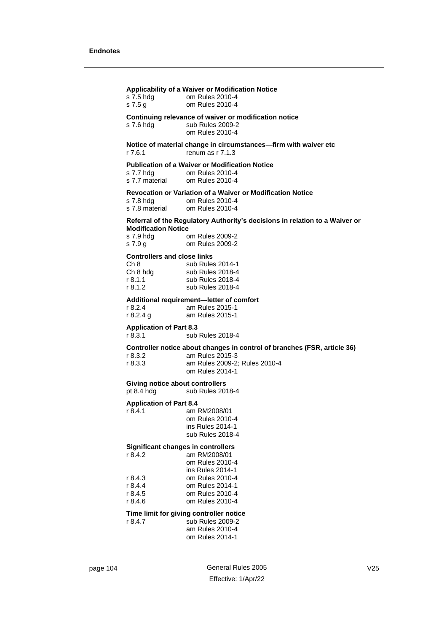| s 7.5 hdg<br>s $7.5g$                                                                    | Applicability of a Waiver or Modification Notice<br>om Rules 2010-4<br>om Rules 2010-4                                                          |
|------------------------------------------------------------------------------------------|-------------------------------------------------------------------------------------------------------------------------------------------------|
| s 7.6 hdg                                                                                | Continuing relevance of waiver or modification notice<br>sub Rules 2009-2<br>om Rules 2010-4                                                    |
| r 7.6.1                                                                                  | Notice of material change in circumstances-firm with waiver etc<br>renum as $r$ 7.1.3                                                           |
| s 7.7 hdg<br>s 7.7 material                                                              | <b>Publication of a Waiver or Modification Notice</b><br>om Rules 2010-4<br>om Rules 2010-4                                                     |
| s 7.8 hdg<br>s 7.8 material                                                              | Revocation or Variation of a Waiver or Modification Notice<br>om Rules 2010-4<br>om Rules 2010-4                                                |
| <b>Modification Notice</b><br>s 7.9 hdg<br>s 7.9 g                                       | Referral of the Regulatory Authority's decisions in relation to a Waiver or<br>om Rules 2009-2<br>om Rules 2009-2                               |
| <b>Controllers and close links</b><br>Ch <sub>8</sub><br>Ch 8 h dg<br>r 8.1.1<br>r 8.1.2 | sub Rules 2014-1<br>sub Rules 2018-4<br>sub Rules 2018-4<br>sub Rules 2018-4                                                                    |
| r 8.2.4<br>r 8.2.4 g                                                                     | Additional requirement-letter of comfort<br>am Rules 2015-1<br>am Rules 2015-1                                                                  |
| <b>Application of Part 8.3</b><br>r 8.3.1                                                | sub Rules 2018-4                                                                                                                                |
| r 8.3.2<br>r 8.3.3                                                                       | Controller notice about changes in control of branches (FSR, article 36)<br>am Rules 2015-3<br>am Rules 2009-2; Rules 2010-4<br>om Rules 2014-1 |
| Giving notice about controllers<br>pt 8.4 hdg                                            | sub Rules 2018-4                                                                                                                                |
| <b>Application of Part 8.4</b><br>r 8.4.1                                                | am RM2008/01<br>om Rules 2010-4<br>ins Rules 2014-1<br>sub Rules 2018-4                                                                         |
| <b>Significant changes in controllers</b><br>r 8.4.2                                     | am RM2008/01<br>om Rules 2010-4<br>ins Rules 2014-1                                                                                             |
| r 8.4.3<br>r 8.4.4<br>r 8.4.5<br>r 8.4.6                                                 | om Rules 2010-4<br>om Rules 2014-1<br>om Rules 2010-4<br>om Rules 2010-4                                                                        |
| r 8.4.7                                                                                  | Time limit for giving controller notice<br>sub Rules 2009-2<br>am Rules 2010-4<br>om Rules 2014-1                                               |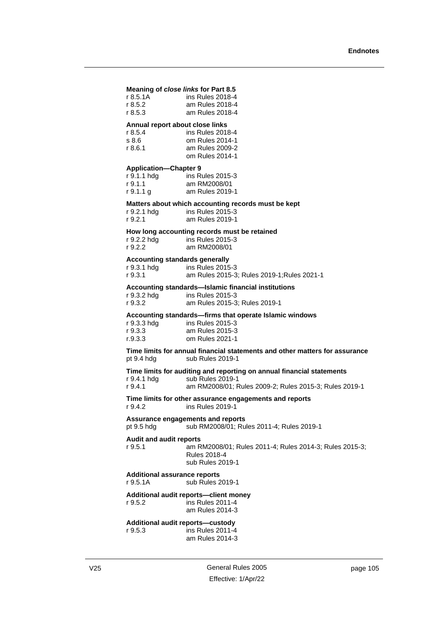## **Meaning of** *close links* **for Part 8.5**

| r 8.5.1A | ins Rules 2018-4 |
|----------|------------------|
| r 8.5.2  | am Rules 2018-4  |
| r 8.5.3  | am Rules 2018-4  |

# **Annual report about close links**

| r 8.5.4 | ins Rules 2018-4 |
|---------|------------------|
| s 8.6   | om Rules 2014-1  |
| r 8.6.1 | am Rules 2009-2  |
|         | om Rules 2014-1  |

#### **Application—Chapter 9**

| r 9.1.1 hdg | ins Rules 2015-3 |
|-------------|------------------|
| r 9.1.1     | am RM2008/01     |
| r 9.1.1 g   | am Rules 2019-1  |

#### **Matters about which accounting records must be kept**

| r 9.2.1 hdg | ins Rules 2015-3 |
|-------------|------------------|
| r 9.2.1     | am Rules 2019-1  |

#### **How long accounting records must be retained**

| r 9.2.2 hdg | ins Rules 2015-3 |
|-------------|------------------|
| r 9.2.2     | am RM2008/01     |

#### **Accounting standards generally**

| r 9.3.1 hdg | ins Rules 2015-3           |
|-------------|----------------------------|
| r 9.3.1     | am Rules 2015-3; Rules 201 |

## **Accounting standards—Islamic financial institutions**

| r 9.3.2 hdg | ins Rules 2015-3              |
|-------------|-------------------------------|
| r 9.3.2     | am Rules 2015-3; Rules 2019-1 |

# **Accounting standards—firms that operate Islamic windows**

| r 9.3.3 hdg | ins Rules 2015-3 |
|-------------|------------------|
| r 9.3.3     | am Rules 2015-3  |
| r.9.3.3     | om Rules 2021-1  |

## **Time limits for annual financial statements and other matters for assurance**<br>pt 9.4 hdg sub Rules 2019-1 sub Rules 2019-1

9-1: Rules 2021-1

#### **Time limits for auditing and reporting on annual financial statements** r 9.4.1 hdg sub Rules 2019-1

r 9.4.1 am RM2008/01; Rules 2009-2; Rules 2015-3; Rules 2019-1

## **Time limits for other assurance engagements and reports** r 9.4.2 ins Rules 2019-1

**Assurance engagements and reports** pt 9.5 hdg sub RM2008/01; Rules 2011-4; Rules 2019-1

## **Audit and audit reports**

r 9.5.1 am RM2008/01; Rules 2011-4; Rules 2014-3; Rules 2015-3;

#### Rules 2018-4 sub Rules 2019-1

#### **Additional assurance reports**

r 9.5.1A sub Rules 2019-1

# **Additional audit reports—client money**

r 9.5.2 ins Rules 2011-4 am Rules 2014-3

#### **Additional audit reports—custody**

r 9.5.3 ins Rules 2011-4 am Rules 2014-3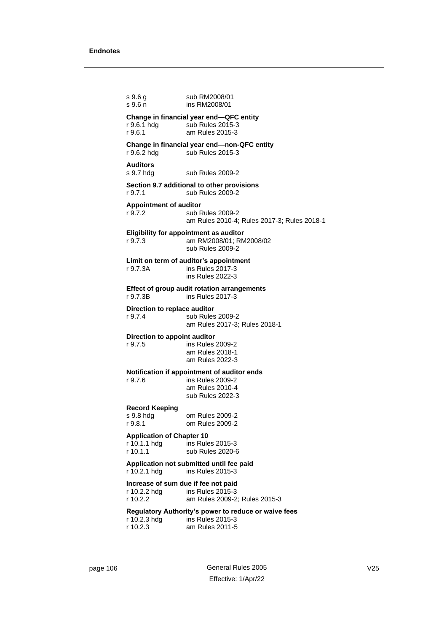s 9.6 g sub RM2008/01 s 9.6 n ins RM2008/01 **Change in financial year end—QFC entity**<br>r 9.6.1 hdg sub Rules 2015-3 sub Rules 2015-3 r 9.6.1 am Rules 2015-3 **Change in financial year end—non-QFC entity** r 9.6.2 hdg sub Rules 2015-3 **Auditors** s 9.7 hdg sub Rules 2009-2 **Section 9.7 additional to other provisions** r 9.7.1 sub Rules 2009-2 **Appointment of auditor** r 9.7.2 sub Rules 2009-2 am Rules 2010-4; Rules 2017-3; Rules 2018-1 **Eligibility for appointment as auditor** r 9.7.3 am RM2008/01; RM2008/02 sub Rules 2009-2 **Limit on term of auditor's appointment** r 9.7.3A ins Rules 2017-3 ins Rules 2022-3 **Effect of group audit rotation arrangements** r 9.7.3B ins Rules 2017-3 **Direction to replace auditor**<br>r 9.7.4 sub Rules sub Rules 2009-2 am Rules 2017-3; Rules 2018-1 **Direction to appoint auditor** r 9.7.5 ins Rules 2009-2 am Rules 2018-1 am Rules 2022-3 **Notification if appointment of auditor ends** r 9.7.6 ins Rules 2009-2 am Rules 2010-4 sub Rules 2022-3 **Record Keeping** om Rules 2009-2 r 9.8.1 om Rules 2009-2 **Application of Chapter 10**  $ins$  Rules 2015-3 r 10.1.1 sub Rules 2020-6 **Application not submitted until fee paid** r 10.2.1 hdg ins Rules 2015-3 **Increase of sum due if fee not paid** r 10.2.2 hdg ins Rules 2015-3 r 10.2.2 am Rules 2009-2; Rules 2015-3 **Regulatory Authority's power to reduce or waive fees** ins Rules 2015-3 r 10.2.3 am Rules 2011-5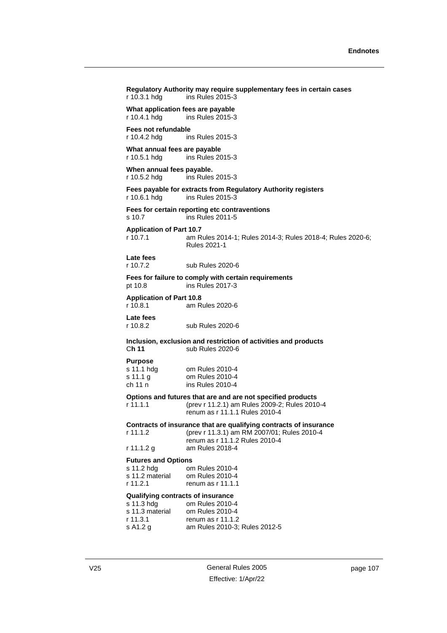| r 10.3.1 hdg                                                                               | Regulatory Authority may require supplementary fees in certain cases<br>ins Rules 2015-3                                                           |
|--------------------------------------------------------------------------------------------|----------------------------------------------------------------------------------------------------------------------------------------------------|
| What application fees are payable<br>r 10.4.1 hdg                                          | ins Rules 2015-3                                                                                                                                   |
| Fees not refundable<br>r 10.4.2 hdg                                                        | ins Rules 2015-3                                                                                                                                   |
| What annual fees are payable<br>r 10.5.1 hdg                                               | ins Rules 2015-3                                                                                                                                   |
| When annual fees payable.<br>r 10.5.2 hdg                                                  | ins Rules 2015-3                                                                                                                                   |
| r 10.6.1 hdg                                                                               | Fees payable for extracts from Regulatory Authority registers<br>ins Rules 2015-3                                                                  |
| s 10.7                                                                                     | Fees for certain reporting etc contraventions<br>ins Rules 2011-5                                                                                  |
| <b>Application of Part 10.7</b><br>r 10.7.1                                                | am Rules 2014-1; Rules 2014-3; Rules 2018-4; Rules 2020-6;<br>Rules 2021-1                                                                         |
| Late fees<br>r 10.7.2                                                                      | sub Rules 2020-6                                                                                                                                   |
| pt 10.8                                                                                    | Fees for failure to comply with certain requirements<br>ins Rules 2017-3                                                                           |
| <b>Application of Part 10.8</b><br>r 10.8.1                                                | am Rules 2020-6                                                                                                                                    |
| Late fees<br>r 10.8.2                                                                      | sub Rules 2020-6                                                                                                                                   |
| Ch 11                                                                                      | Inclusion, exclusion and restriction of activities and products<br>sub Rules 2020-6                                                                |
| <b>Purpose</b><br>s 11.1 hdg<br>s 11.1 g<br>ch 11 n                                        | om Rules 2010-4<br>om Rules 2010-4<br>ins Rules 2010-4                                                                                             |
| r 11.1.1                                                                                   | Options and futures that are and are not specified products<br>(prev r 11.2.1) am Rules 2009-2; Rules 2010-4<br>renum as r 11.1.1 Rules 2010-4     |
| r 11.1.2                                                                                   | Contracts of insurance that are qualifying contracts of insurance<br>(prev r 11.3.1) am RM 2007/01; Rules 2010-4<br>renum as r 11.1.2 Rules 2010-4 |
| r 11.1.2 g                                                                                 | am Rules 2018-4                                                                                                                                    |
| <b>Futures and Options</b><br>s 11.2 hdg<br>s 11.2 material<br>r 11.2.1                    | om Rules 2010-4<br>om Rules 2010-4<br>renum as $r$ 11.1.1                                                                                          |
| Qualifying contracts of insurance<br>s 11.3 hdg<br>s 11.3 material<br>r 11.3.1<br>s A1.2 g | om Rules 2010-4<br>om Rules 2010-4<br>renum as $r$ 11.1.2<br>am Rules 2010-3; Rules 2012-5                                                         |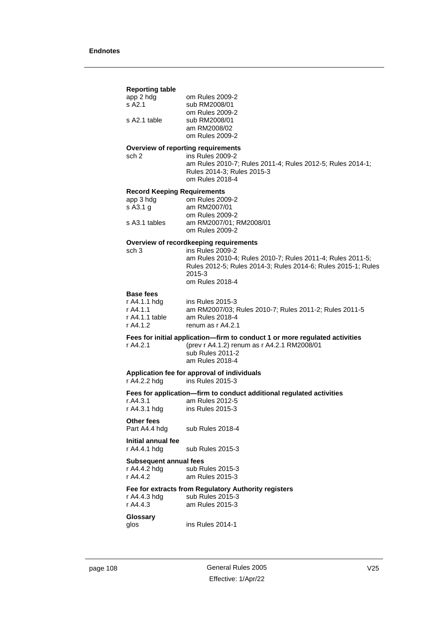## **Reporting table**

| app 2 hdg    | om Rules 2009-2 |
|--------------|-----------------|
| s A2.1       | sub RM2008/01   |
|              | om Rules 2009-2 |
| s A2.1 table | sub RM2008/01   |
|              | am RM2008/02    |
|              | om Rules 2009-2 |
|              |                 |

## **Overview of reporting requirements**

sch 2 ins Rules 2009-2 am Rules 2010-7; Rules 2011-4; Rules 2012-5; Rules 2014-1; Rules 2014-3; Rules 2015-3 om Rules 2018-4

#### **Record Keeping Requirements**

| om Rules 2009-2         |
|-------------------------|
| am RM2007/01            |
| om Rules 2009-2         |
| am RM2007/01: RM2008/01 |
| om Rules 2009-2         |
|                         |

## **Overview of recordkeeping requirements**

sch 3 ins Rules 2009-2 am Rules 2010-4; Rules 2010-7; Rules 2011-4; Rules 2011-5; Rules 2012-5; Rules 2014-3; Rules 2014-6; Rules 2015-1; Rules 2015-3 om Rules 2018-4

## **Base fees**

| r A4.1.1 hdg   | ins Rules 2015-3                                       |
|----------------|--------------------------------------------------------|
| r A4.1.1       | am RM2007/03: Rules 2010-7: Rules 2011-2: Rules 2011-5 |
| r A4.1.1 table | am Rules 2018-4                                        |
| r A4.1.2       | renum as r A4.2.1                                      |

#### **Fees for initial application—firm to conduct 1 or more regulated activities**

r A4.2.1 (prev r A4.1.2) renum as r A4.2.1 RM2008/01 sub Rules 2011-2 am Rules 2018-4

## **Application fee for approval of individuals**

r A4.2.2 hdg ins Rules 2015-3

# **Fees for application—firm to conduct additional regulated activities**

| r.A4.3.1     | am Rules 2012-5  |
|--------------|------------------|
| r A4.3.1 hdg | ins Rules 2015-3 |

**Other fees**

Part A4.4 hdg sub Rules 2018-4

# **Initial annual fee**

r A4.4.1 hdg sub Rules 2015-3

# **Subsequent annual fees**<br>r A4.4.2 hdg sub Ru

sub Rules 2015-3 r A4.4.2 am Rules 2015-3

## **Fee for extracts from Regulatory Authority registers**

| r A4.4.3 hdg | sub Rules 2015-3 |
|--------------|------------------|
| r A4.4.3     | am Rules 2015-3  |

## **Glossary**

glos ins Rules 2014-1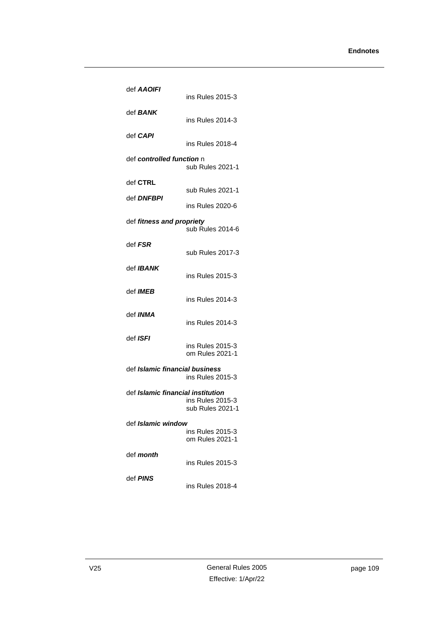| def AAOIFI                            | ins Rules 2015-3                     |
|---------------------------------------|--------------------------------------|
| def <b>BANK</b>                       | ins Rules 2014-3                     |
| def CAPI                              | ins Rules 2018-4                     |
| def controlled function n             | sub Rules 2021-1                     |
| def CTRL                              |                                      |
| def DNFBPI                            | sub Rules 2021-1                     |
|                                       | ins Rules 2020-6                     |
| def fitness and propriety             | sub Rules 2014-6                     |
| def FSR                               | sub Rules 2017-3                     |
| def <i>IBANK</i>                      | ins Rules 2015-3                     |
| def <b>IMEB</b>                       | ins Rules 2014-3                     |
| def <b>INMA</b>                       | ins Rules 2014-3                     |
| def <i>ISFI</i>                       | ins Rules 2015-3<br>om Rules 2021-1  |
| def <i>Islamic financial business</i> | ins Rules 2015-3                     |
| def Islamic financial institution     | ins Rules 2015-3<br>sub Rules 2021-1 |
| def Islamic windov                    | ins Rules 2015-3<br>om Rules 2021-1  |
| def <i>month</i>                      | ins Rules 2015-3                     |
| def PINS                              | ins Rules 2018-4                     |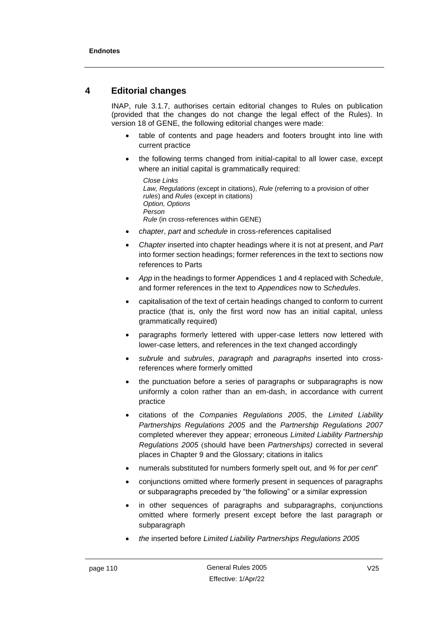# **4 Editorial changes**

INAP, rule 3.1.7, authorises certain editorial changes to Rules on publication (provided that the changes do not change the legal effect of the Rules). In version 18 of GENE, the following editorial changes were made:

- table of contents and page headers and footers brought into line with current practice
- the following terms changed from initial-capital to all lower case, except where an initial capital is grammatically required:

```
Close Links
Law, Regulations (except in citations), Rule (referring to a provision of other
rules) and Rules (except in citations)
Option, Options
Person
Rule (in cross-references within GENE)
```
- *chapter*, *part* and *schedule* in cross-references capitalised
- *Chapter* inserted into chapter headings where it is not at present, and *Part* into former section headings; former references in the text to sections now references to Parts
- *App* in the headings to former Appendices 1 and 4 replaced with *Schedule*, and former references in the text to *Appendices* now to *Schedules*.
- capitalisation of the text of certain headings changed to conform to current practice (that is, only the first word now has an initial capital, unless grammatically required)
- paragraphs formerly lettered with upper-case letters now lettered with lower-case letters, and references in the text changed accordingly
- *subrule* and *subrules*, *paragraph* and *paragraphs* inserted into crossreferences where formerly omitted
- the punctuation before a series of paragraphs or subparagraphs is now uniformly a colon rather than an em-dash, in accordance with current practice
- citations of the *Companies Regulations 2005*, the *Limited Liability Partnerships Regulations 2005* and the *Partnership Regulations 2007* completed wherever they appear; erroneous *Limited Liability Partnership Regulations 2005* (should have been *Partnerships)* corrected in several places in Chapter 9 and the Glossary; citations in italics
- numerals substituted for numbers formerly spelt out, and *%* for *per cent*"
- conjunctions omitted where formerly present in sequences of paragraphs or subparagraphs preceded by "the following" or a similar expression
- in other sequences of paragraphs and subparagraphs, conjunctions omitted where formerly present except before the last paragraph or subparagraph
- *the* inserted before *Limited Liability Partnerships Regulations 2005*